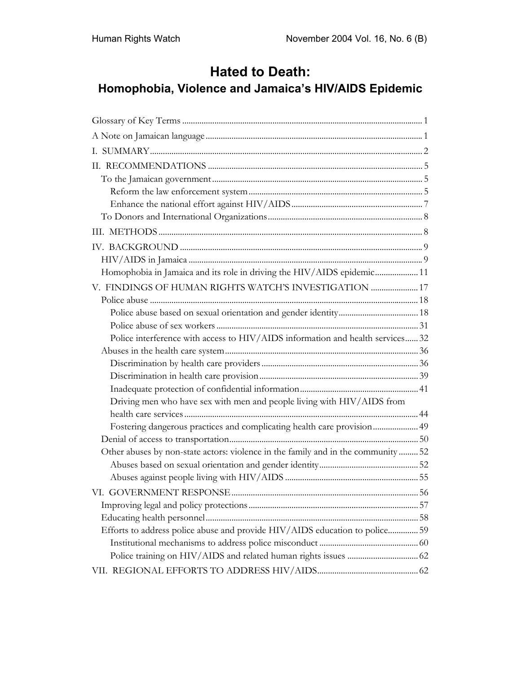# **Hated to Death:**

## **Homophobia, Violence and Jamaica's HIV/AIDS Epidemic**

| Homophobia in Jamaica and its role in driving the HIV/AIDS epidemic 11            |  |
|-----------------------------------------------------------------------------------|--|
| V. FINDINGS OF HUMAN RIGHTS WATCH'S INVESTIGATION  17                             |  |
|                                                                                   |  |
|                                                                                   |  |
|                                                                                   |  |
| Police interference with access to HIV/AIDS information and health services 32    |  |
|                                                                                   |  |
|                                                                                   |  |
|                                                                                   |  |
|                                                                                   |  |
| Driving men who have sex with men and people living with HIV/AIDS from            |  |
|                                                                                   |  |
| Fostering dangerous practices and complicating health care provision 49           |  |
|                                                                                   |  |
| Other abuses by non-state actors: violence in the family and in the community  52 |  |
|                                                                                   |  |
|                                                                                   |  |
|                                                                                   |  |
|                                                                                   |  |
|                                                                                   |  |
| Efforts to address police abuse and provide HIV/AIDS education to police 59       |  |
|                                                                                   |  |
|                                                                                   |  |
|                                                                                   |  |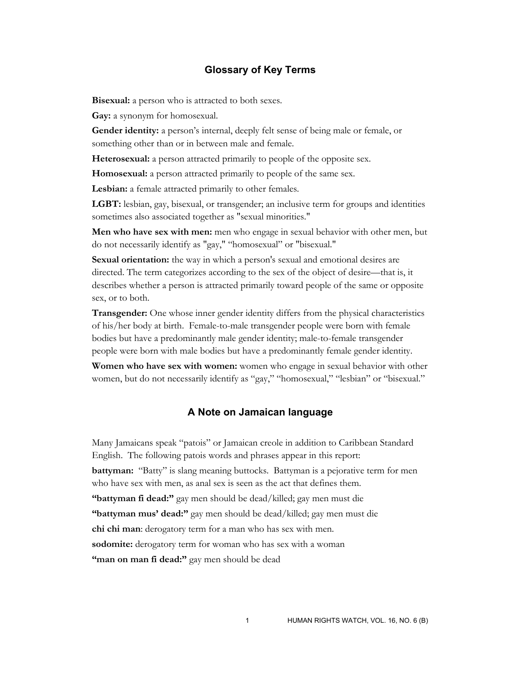## **Glossary of Key Terms**

**Bisexual:** a person who is attracted to both sexes.

**Gay:** a synonym for homosexual.

**Gender identity:** a person's internal, deeply felt sense of being male or female, or something other than or in between male and female.

**Heterosexual:** a person attracted primarily to people of the opposite sex.

**Homosexual:** a person attracted primarily to people of the same sex.

**Lesbian:** a female attracted primarily to other females.

**LGBT:** lesbian, gay, bisexual, or transgender; an inclusive term for groups and identities sometimes also associated together as "sexual minorities."

**Men who have sex with men:** men who engage in sexual behavior with other men, but do not necessarily identify as "gay," "homosexual" or "bisexual."

**Sexual orientation:** the way in which a person's sexual and emotional desires are directed. The term categorizes according to the sex of the object of desire—that is, it describes whether a person is attracted primarily toward people of the same or opposite sex, or to both.

**Transgender:** One whose inner gender identity differs from the physical characteristics of his/her body at birth. Female-to-male transgender people were born with female bodies but have a predominantly male gender identity; male-to-female transgender people were born with male bodies but have a predominantly female gender identity.

**Women who have sex with women:** women who engage in sexual behavior with other women, but do not necessarily identify as "gay," "homosexual," "lesbian" or "bisexual."

## **A Note on Jamaican language**

Many Jamaicans speak "patois" or Jamaican creole in addition to Caribbean Standard English. The following patois words and phrases appear in this report: **battyman:** "Batty" is slang meaning buttocks. Battyman is a pejorative term for men who have sex with men, as anal sex is seen as the act that defines them. **"battyman fi dead:"** gay men should be dead/killed; gay men must die **"battyman mus' dead:"** gay men should be dead/killed; gay men must die **chi chi man**: derogatory term for a man who has sex with men. **sodomite:** derogatory term for woman who has sex with a woman **"man on man fi dead:"** gay men should be dead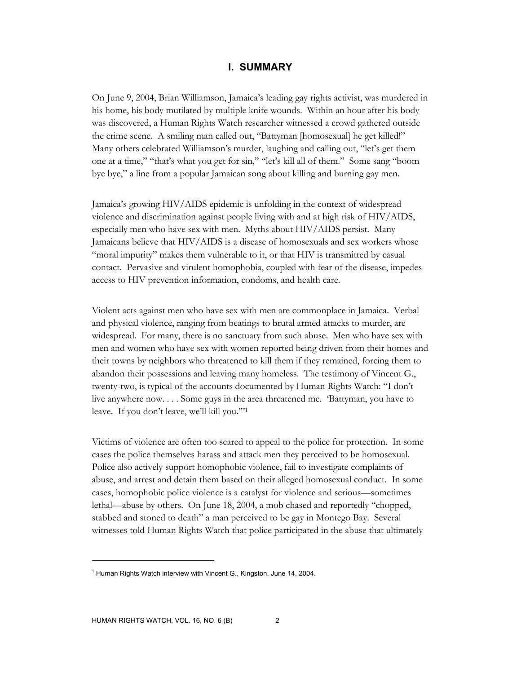#### **I. SUMMARY**

On June 9, 2004, Brian Williamson, Jamaica's leading gay rights activist, was murdered in his home, his body mutilated by multiple knife wounds. Within an hour after his body was discovered, a Human Rights Watch researcher witnessed a crowd gathered outside the crime scene. A smiling man called out, "Battyman [homosexual] he get killed!" Many others celebrated Williamson's murder, laughing and calling out, "let's get them one at a time," "that's what you get for sin," "let's kill all of them." Some sang "boom bye bye," a line from a popular Jamaican song about killing and burning gay men.

Jamaica's growing HIV/AIDS epidemic is unfolding in the context of widespread violence and discrimination against people living with and at high risk of HIV/AIDS, especially men who have sex with men. Myths about HIV/AIDS persist. Many Jamaicans believe that HIV/AIDS is a disease of homosexuals and sex workers whose "moral impurity" makes them vulnerable to it, or that HIV is transmitted by casual contact. Pervasive and virulent homophobia, coupled with fear of the disease, impedes access to HIV prevention information, condoms, and health care.

Violent acts against men who have sex with men are commonplace in Jamaica. Verbal and physical violence, ranging from beatings to brutal armed attacks to murder, are widespread. For many, there is no sanctuary from such abuse. Men who have sex with men and women who have sex with women reported being driven from their homes and their towns by neighbors who threatened to kill them if they remained, forcing them to abandon their possessions and leaving many homeless. The testimony of Vincent G., twenty-two, is typical of the accounts documented by Human Rights Watch: "I don't live anywhere now. . . . Some guys in the area threatened me. 'Battyman, you have to leave. If you don't leave, we'll kill you.'"1

Victims of violence are often too scared to appeal to the police for protection. In some cases the police themselves harass and attack men they perceived to be homosexual. Police also actively support homophobic violence, fail to investigate complaints of abuse, and arrest and detain them based on their alleged homosexual conduct. In some cases, homophobic police violence is a catalyst for violence and serious—sometimes lethal—abuse by others. On June 18, 2004, a mob chased and reportedly "chopped, stabbed and stoned to death" a man perceived to be gay in Montego Bay. Several witnesses told Human Rights Watch that police participated in the abuse that ultimately

<sup>&</sup>lt;sup>1</sup> Human Rights Watch interview with Vincent G., Kingston, June 14, 2004.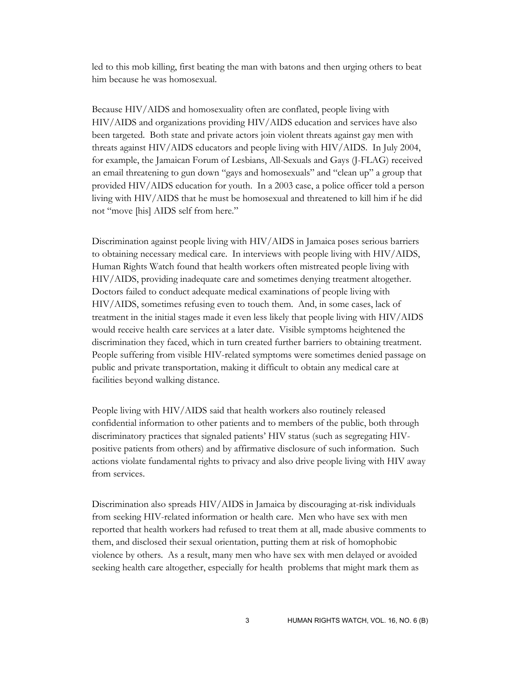led to this mob killing, first beating the man with batons and then urging others to beat him because he was homosexual.

Because HIV/AIDS and homosexuality often are conflated, people living with HIV/AIDS and organizations providing HIV/AIDS education and services have also been targeted. Both state and private actors join violent threats against gay men with threats against HIV/AIDS educators and people living with HIV/AIDS. In July 2004, for example, the Jamaican Forum of Lesbians, All-Sexuals and Gays (J-FLAG) received an email threatening to gun down "gays and homosexuals" and "clean up" a group that provided HIV/AIDS education for youth. In a 2003 case, a police officer told a person living with HIV/AIDS that he must be homosexual and threatened to kill him if he did not "move [his] AIDS self from here."

Discrimination against people living with HIV/AIDS in Jamaica poses serious barriers to obtaining necessary medical care. In interviews with people living with HIV/AIDS, Human Rights Watch found that health workers often mistreated people living with HIV/AIDS, providing inadequate care and sometimes denying treatment altogether. Doctors failed to conduct adequate medical examinations of people living with HIV/AIDS, sometimes refusing even to touch them. And, in some cases, lack of treatment in the initial stages made it even less likely that people living with HIV/AIDS would receive health care services at a later date. Visible symptoms heightened the discrimination they faced, which in turn created further barriers to obtaining treatment. People suffering from visible HIV-related symptoms were sometimes denied passage on public and private transportation, making it difficult to obtain any medical care at facilities beyond walking distance.

People living with HIV/AIDS said that health workers also routinely released confidential information to other patients and to members of the public, both through discriminatory practices that signaled patients' HIV status (such as segregating HIVpositive patients from others) and by affirmative disclosure of such information. Such actions violate fundamental rights to privacy and also drive people living with HIV away from services.

Discrimination also spreads HIV/AIDS in Jamaica by discouraging at-risk individuals from seeking HIV-related information or health care. Men who have sex with men reported that health workers had refused to treat them at all, made abusive comments to them, and disclosed their sexual orientation, putting them at risk of homophobic violence by others. As a result, many men who have sex with men delayed or avoided seeking health care altogether, especially for health problems that might mark them as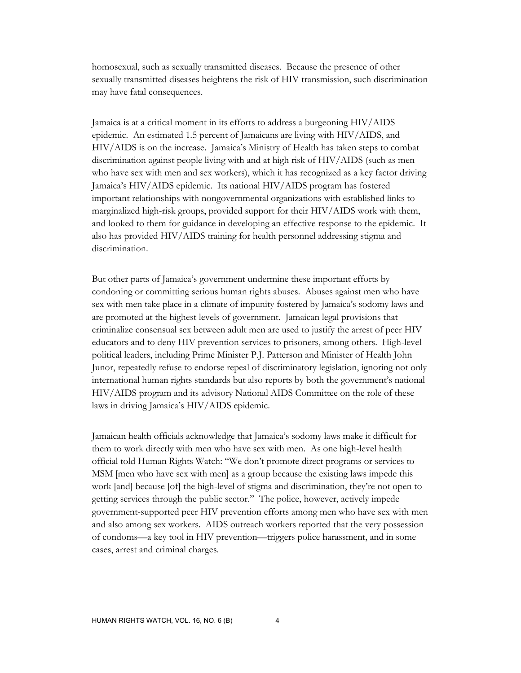homosexual, such as sexually transmitted diseases. Because the presence of other sexually transmitted diseases heightens the risk of HIV transmission, such discrimination may have fatal consequences.

Jamaica is at a critical moment in its efforts to address a burgeoning HIV/AIDS epidemic. An estimated 1.5 percent of Jamaicans are living with HIV/AIDS, and HIV/AIDS is on the increase. Jamaica's Ministry of Health has taken steps to combat discrimination against people living with and at high risk of HIV/AIDS (such as men who have sex with men and sex workers), which it has recognized as a key factor driving Jamaica's HIV/AIDS epidemic. Its national HIV/AIDS program has fostered important relationships with nongovernmental organizations with established links to marginalized high-risk groups, provided support for their HIV/AIDS work with them, and looked to them for guidance in developing an effective response to the epidemic. It also has provided HIV/AIDS training for health personnel addressing stigma and discrimination.

But other parts of Jamaica's government undermine these important efforts by condoning or committing serious human rights abuses. Abuses against men who have sex with men take place in a climate of impunity fostered by Jamaica's sodomy laws and are promoted at the highest levels of government. Jamaican legal provisions that criminalize consensual sex between adult men are used to justify the arrest of peer HIV educators and to deny HIV prevention services to prisoners, among others. High-level political leaders, including Prime Minister P.J. Patterson and Minister of Health John Junor, repeatedly refuse to endorse repeal of discriminatory legislation, ignoring not only international human rights standards but also reports by both the government's national HIV/AIDS program and its advisory National AIDS Committee on the role of these laws in driving Jamaica's HIV/AIDS epidemic.

Jamaican health officials acknowledge that Jamaica's sodomy laws make it difficult for them to work directly with men who have sex with men. As one high-level health official told Human Rights Watch: "We don't promote direct programs or services to MSM [men who have sex with men] as a group because the existing laws impede this work [and] because [of] the high-level of stigma and discrimination, they're not open to getting services through the public sector." The police, however, actively impede government-supported peer HIV prevention efforts among men who have sex with men and also among sex workers. AIDS outreach workers reported that the very possession of condoms—a key tool in HIV prevention—triggers police harassment, and in some cases, arrest and criminal charges.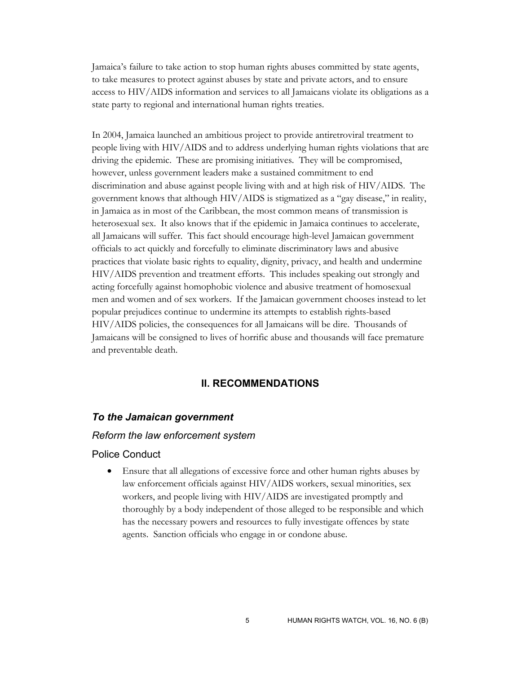Jamaica's failure to take action to stop human rights abuses committed by state agents, to take measures to protect against abuses by state and private actors, and to ensure access to HIV/AIDS information and services to all Jamaicans violate its obligations as a state party to regional and international human rights treaties.

In 2004, Jamaica launched an ambitious project to provide antiretroviral treatment to people living with HIV/AIDS and to address underlying human rights violations that are driving the epidemic. These are promising initiatives. They will be compromised, however, unless government leaders make a sustained commitment to end discrimination and abuse against people living with and at high risk of HIV/AIDS. The government knows that although HIV/AIDS is stigmatized as a "gay disease," in reality, in Jamaica as in most of the Caribbean, the most common means of transmission is heterosexual sex. It also knows that if the epidemic in Jamaica continues to accelerate, all Jamaicans will suffer. This fact should encourage high-level Jamaican government officials to act quickly and forcefully to eliminate discriminatory laws and abusive practices that violate basic rights to equality, dignity, privacy, and health and undermine HIV/AIDS prevention and treatment efforts. This includes speaking out strongly and acting forcefully against homophobic violence and abusive treatment of homosexual men and women and of sex workers. If the Jamaican government chooses instead to let popular prejudices continue to undermine its attempts to establish rights-based HIV/AIDS policies, the consequences for all Jamaicans will be dire. Thousands of Jamaicans will be consigned to lives of horrific abuse and thousands will face premature and preventable death.

## **II. RECOMMENDATIONS**

#### *To the Jamaican government*

#### *Reform the law enforcement system*

## Police Conduct

• Ensure that all allegations of excessive force and other human rights abuses by law enforcement officials against HIV/AIDS workers, sexual minorities, sex workers, and people living with HIV/AIDS are investigated promptly and thoroughly by a body independent of those alleged to be responsible and which has the necessary powers and resources to fully investigate offences by state agents. Sanction officials who engage in or condone abuse.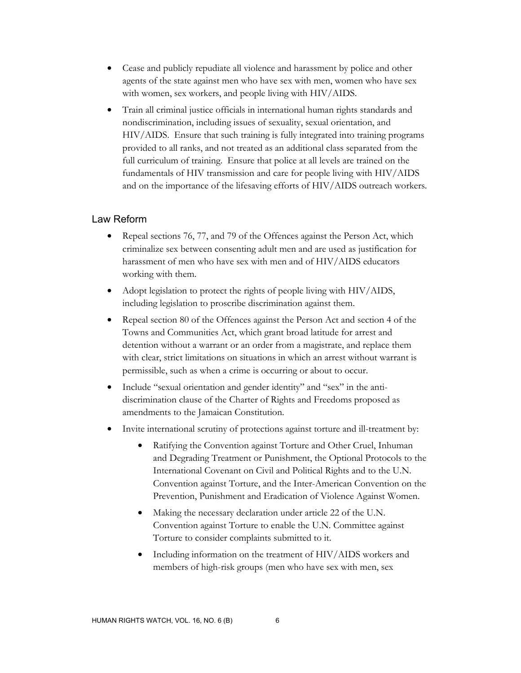- Cease and publicly repudiate all violence and harassment by police and other agents of the state against men who have sex with men, women who have sex with women, sex workers, and people living with HIV/AIDS.
- Train all criminal justice officials in international human rights standards and nondiscrimination, including issues of sexuality, sexual orientation, and HIV/AIDS. Ensure that such training is fully integrated into training programs provided to all ranks, and not treated as an additional class separated from the full curriculum of training. Ensure that police at all levels are trained on the fundamentals of HIV transmission and care for people living with HIV/AIDS and on the importance of the lifesaving efforts of HIV/AIDS outreach workers.

## Law Reform

- Repeal sections 76, 77, and 79 of the Offences against the Person Act, which criminalize sex between consenting adult men and are used as justification for harassment of men who have sex with men and of HIV/AIDS educators working with them.
- Adopt legislation to protect the rights of people living with HIV/AIDS, including legislation to proscribe discrimination against them.
- Repeal section 80 of the Offences against the Person Act and section 4 of the Towns and Communities Act, which grant broad latitude for arrest and detention without a warrant or an order from a magistrate, and replace them with clear, strict limitations on situations in which an arrest without warrant is permissible, such as when a crime is occurring or about to occur.
- Include "sexual orientation and gender identity" and "sex" in the antidiscrimination clause of the Charter of Rights and Freedoms proposed as amendments to the Jamaican Constitution.
- Invite international scrutiny of protections against torture and ill-treatment by:
	- Ratifying the Convention against Torture and Other Cruel, Inhuman and Degrading Treatment or Punishment, the Optional Protocols to the International Covenant on Civil and Political Rights and to the U.N. Convention against Torture, and the Inter-American Convention on the Prevention, Punishment and Eradication of Violence Against Women.
	- Making the necessary declaration under article 22 of the U.N. Convention against Torture to enable the U.N. Committee against Torture to consider complaints submitted to it.
	- Including information on the treatment of HIV/AIDS workers and members of high-risk groups (men who have sex with men, sex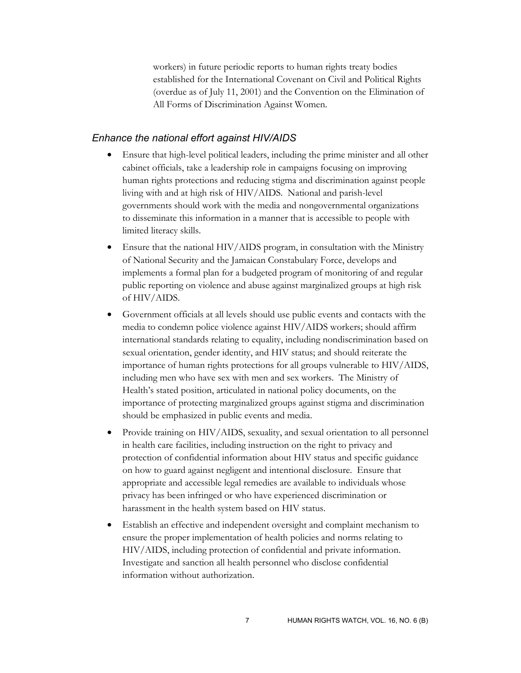workers) in future periodic reports to human rights treaty bodies established for the International Covenant on Civil and Political Rights (overdue as of July 11, 2001) and the Convention on the Elimination of All Forms of Discrimination Against Women.

#### *Enhance the national effort against HIV/AIDS*

- Ensure that high-level political leaders, including the prime minister and all other cabinet officials, take a leadership role in campaigns focusing on improving human rights protections and reducing stigma and discrimination against people living with and at high risk of HIV/AIDS. National and parish-level governments should work with the media and nongovernmental organizations to disseminate this information in a manner that is accessible to people with limited literacy skills.
- Ensure that the national HIV/AIDS program, in consultation with the Ministry of National Security and the Jamaican Constabulary Force, develops and implements a formal plan for a budgeted program of monitoring of and regular public reporting on violence and abuse against marginalized groups at high risk of HIV/AIDS.
- Government officials at all levels should use public events and contacts with the media to condemn police violence against HIV/AIDS workers; should affirm international standards relating to equality, including nondiscrimination based on sexual orientation, gender identity, and HIV status; and should reiterate the importance of human rights protections for all groups vulnerable to HIV/AIDS, including men who have sex with men and sex workers. The Ministry of Health's stated position, articulated in national policy documents, on the importance of protecting marginalized groups against stigma and discrimination should be emphasized in public events and media.
- Provide training on HIV/AIDS, sexuality, and sexual orientation to all personnel in health care facilities, including instruction on the right to privacy and protection of confidential information about HIV status and specific guidance on how to guard against negligent and intentional disclosure. Ensure that appropriate and accessible legal remedies are available to individuals whose privacy has been infringed or who have experienced discrimination or harassment in the health system based on HIV status.
- Establish an effective and independent oversight and complaint mechanism to ensure the proper implementation of health policies and norms relating to HIV/AIDS, including protection of confidential and private information. Investigate and sanction all health personnel who disclose confidential information without authorization.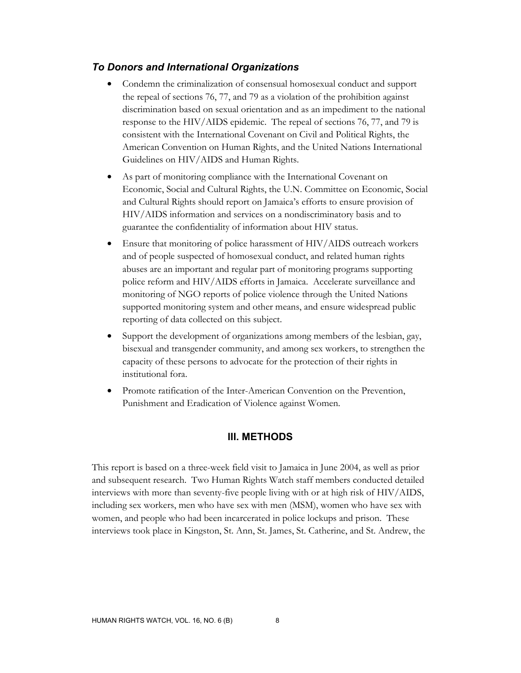## *To Donors and International Organizations*

- Condemn the criminalization of consensual homosexual conduct and support the repeal of sections 76, 77, and 79 as a violation of the prohibition against discrimination based on sexual orientation and as an impediment to the national response to the HIV/AIDS epidemic. The repeal of sections 76, 77, and 79 is consistent with the International Covenant on Civil and Political Rights, the American Convention on Human Rights, and the United Nations International Guidelines on HIV/AIDS and Human Rights.
- As part of monitoring compliance with the International Covenant on Economic, Social and Cultural Rights, the U.N. Committee on Economic, Social and Cultural Rights should report on Jamaica's efforts to ensure provision of HIV/AIDS information and services on a nondiscriminatory basis and to guarantee the confidentiality of information about HIV status.
- Ensure that monitoring of police harassment of HIV/AIDS outreach workers and of people suspected of homosexual conduct, and related human rights abuses are an important and regular part of monitoring programs supporting police reform and HIV/AIDS efforts in Jamaica. Accelerate surveillance and monitoring of NGO reports of police violence through the United Nations supported monitoring system and other means, and ensure widespread public reporting of data collected on this subject.
- Support the development of organizations among members of the lesbian, gay, bisexual and transgender community, and among sex workers, to strengthen the capacity of these persons to advocate for the protection of their rights in institutional fora.
- Promote ratification of the Inter-American Convention on the Prevention, Punishment and Eradication of Violence against Women.

### **III. METHODS**

This report is based on a three-week field visit to Jamaica in June 2004, as well as prior and subsequent research. Two Human Rights Watch staff members conducted detailed interviews with more than seventy-five people living with or at high risk of HIV/AIDS, including sex workers, men who have sex with men (MSM), women who have sex with women, and people who had been incarcerated in police lockups and prison. These interviews took place in Kingston, St. Ann, St. James, St. Catherine, and St. Andrew, the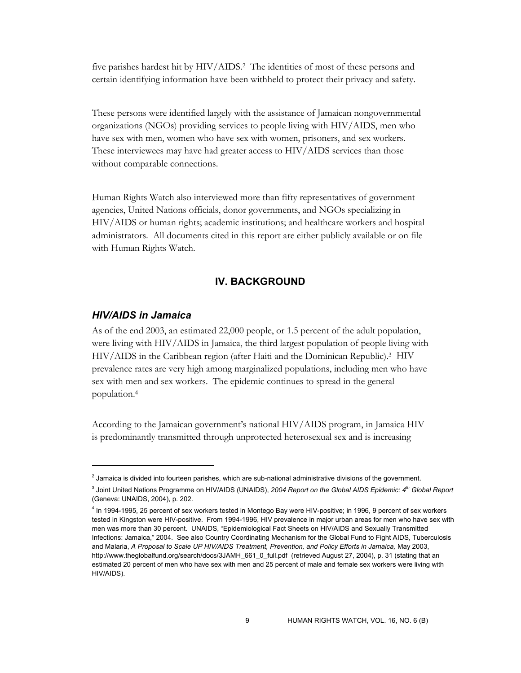five parishes hardest hit by HIV/AIDS.2 The identities of most of these persons and certain identifying information have been withheld to protect their privacy and safety.

These persons were identified largely with the assistance of Jamaican nongovernmental organizations (NGOs) providing services to people living with HIV/AIDS, men who have sex with men, women who have sex with women, prisoners, and sex workers. These interviewees may have had greater access to HIV/AIDS services than those without comparable connections.

Human Rights Watch also interviewed more than fifty representatives of government agencies, United Nations officials, donor governments, and NGOs specializing in HIV/AIDS or human rights; academic institutions; and healthcare workers and hospital administrators. All documents cited in this report are either publicly available or on file with Human Rights Watch.

## **IV. BACKGROUND**

## *HIV/AIDS in Jamaica*

 $\overline{a}$ 

As of the end 2003, an estimated 22,000 people, or 1.5 percent of the adult population, were living with HIV/AIDS in Jamaica, the third largest population of people living with HIV/AIDS in the Caribbean region (after Haiti and the Dominican Republic).3 HIV prevalence rates are very high among marginalized populations, including men who have sex with men and sex workers. The epidemic continues to spread in the general population.4

According to the Jamaican government's national HIV/AIDS program, in Jamaica HIV is predominantly transmitted through unprotected heterosexual sex and is increasing

<sup>&</sup>lt;sup>2</sup> Jamaica is divided into fourteen parishes, which are sub-national administrative divisions of the government.

<sup>3</sup> Joint United Nations Programme on HIV/AIDS (UNAIDS), *2004 Report on the Global AIDS Epidemic: 4th Global Report* (Geneva: UNAIDS, 2004), p. 202.

<sup>4</sup> In 1994-1995, 25 percent of sex workers tested in Montego Bay were HIV-positive; in 1996, 9 percent of sex workers tested in Kingston were HIV-positive. From 1994-1996, HIV prevalence in major urban areas for men who have sex with men was more than 30 percent. UNAIDS, "Epidemiological Fact Sheets on HIV/AIDS and Sexually Transmitted Infections: Jamaica," 2004. See also Country Coordinating Mechanism for the Global Fund to Fight AIDS, Tuberculosis and Malaria, *A Proposal to Scale UP HIV/AIDS Treatment, Prevention, and Policy Efforts in Jamaica,* May 2003, http://www.theglobalfund.org/search/docs/3JAMH\_661\_0\_full.pdf (retrieved August 27, 2004), p. 31 (stating that an estimated 20 percent of men who have sex with men and 25 percent of male and female sex workers were living with HIV/AIDS).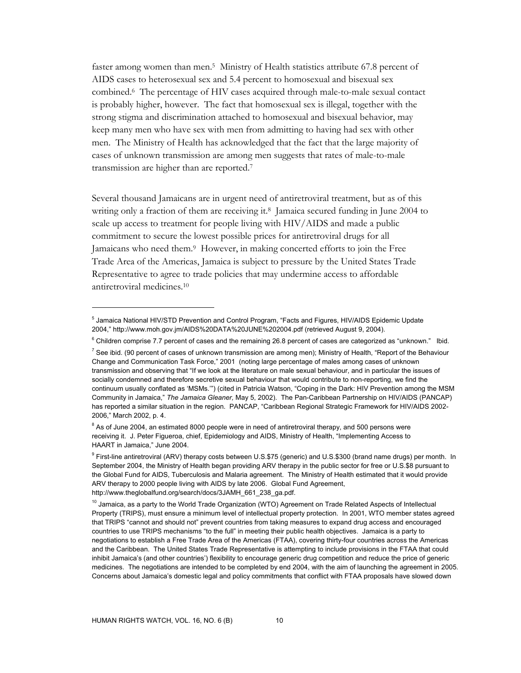faster among women than men.5 Ministry of Health statistics attribute 67.8 percent of AIDS cases to heterosexual sex and 5.4 percent to homosexual and bisexual sex combined.6 The percentage of HIV cases acquired through male-to-male sexual contact is probably higher, however. The fact that homosexual sex is illegal, together with the strong stigma and discrimination attached to homosexual and bisexual behavior, may keep many men who have sex with men from admitting to having had sex with other men. The Ministry of Health has acknowledged that the fact that the large majority of cases of unknown transmission are among men suggests that rates of male-to-male transmission are higher than are reported.7

Several thousand Jamaicans are in urgent need of antiretroviral treatment, but as of this writing only a fraction of them are receiving it.<sup>8</sup> Jamaica secured funding in June 2004 to scale up access to treatment for people living with HIV/AIDS and made a public commitment to secure the lowest possible prices for antiretroviral drugs for all Jamaicans who need them.9 However, in making concerted efforts to join the Free Trade Area of the Americas, Jamaica is subject to pressure by the United States Trade Representative to agree to trade policies that may undermine access to affordable antiretroviral medicines.10

<sup>&</sup>lt;sup>5</sup> Jamaica National HIV/STD Prevention and Control Program, "Facts and Figures, HIV/AIDS Epidemic Update 2004," http://www.moh.gov.jm/AIDS%20DATA%20JUNE%202004.pdf (retrieved August 9, 2004).

 $6$  Children comprise 7.7 percent of cases and the remaining 26.8 percent of cases are categorized as "unknown." Ibid.

<sup>&</sup>lt;sup>7</sup> See ibid. (90 percent of cases of unknown transmission are among men); Ministry of Health, "Report of the Behaviour Change and Communication Task Force," 2001 (noting large percentage of males among cases of unknown transmission and observing that "If we look at the literature on male sexual behaviour, and in particular the issues of socially condemned and therefore secretive sexual behaviour that would contribute to non-reporting, we find the continuum usually conflated as 'MSMs.'") (cited in Patricia Watson, "Coping in the Dark: HIV Prevention among the MSM Community in Jamaica," *The Jamaica Gleaner,* May 5, 2002). The Pan-Caribbean Partnership on HIV/AIDS (PANCAP) has reported a similar situation in the region. PANCAP, "Caribbean Regional Strategic Framework for HIV/AIDS 2002- 2006," March 2002, p. 4.

 $8$  As of June 2004, an estimated 8000 people were in need of antiretroviral therapy, and 500 persons were receiving it. J. Peter Figueroa, chief, Epidemiology and AIDS, Ministry of Health, "Implementing Access to HAART in Jamaica," June 2004.

<sup>&</sup>lt;sup>9</sup> First-line antiretroviral (ARV) therapy costs between U.S.\$75 (generic) and U.S.\$300 (brand name drugs) per month. In September 2004, the Ministry of Health began providing ARV therapy in the public sector for free or U.S.\$8 pursuant to the Global Fund for AIDS, Tuberculosis and Malaria agreement. The Ministry of Health estimated that it would provide ARV therapy to 2000 people living with AIDS by late 2006. Global Fund Agreement, http://www.theglobalfund.org/search/docs/3JAMH\_661\_238\_ga.pdf.

 $10$  Jamaica, as a party to the World Trade Organization (WTO) Agreement on Trade Related Aspects of Intellectual Property (TRIPS), must ensure a minimum level of intellectual property protection. In 2001, WTO member states agreed that TRIPS "cannot and should not" prevent countries from taking measures to expand drug access and encouraged countries to use TRIPS mechanisms "to the full" in meeting their public health objectives. Jamaica is a party to negotiations to establish a Free Trade Area of the Americas (FTAA), covering thirty-four countries across the Americas and the Caribbean. The United States Trade Representative is attempting to include provisions in the FTAA that could inhibit Jamaica's (and other countries') flexibility to encourage generic drug competition and reduce the price of generic medicines. The negotiations are intended to be completed by end 2004, with the aim of launching the agreement in 2005. Concerns about Jamaica's domestic legal and policy commitments that conflict with FTAA proposals have slowed down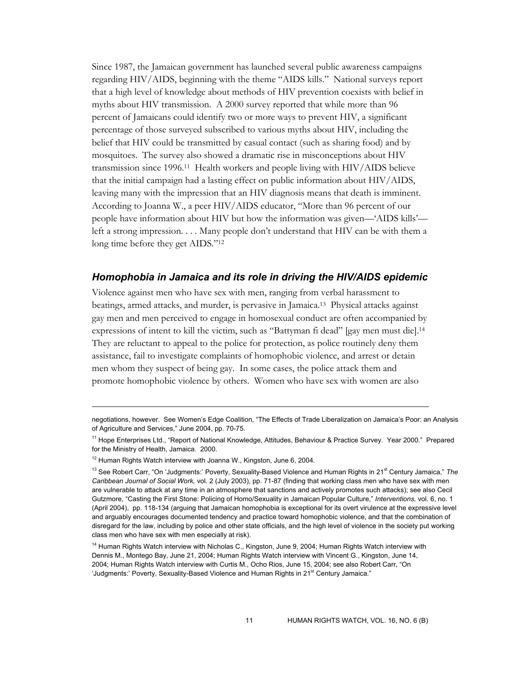Since 1987, the Jamaican government has launched several public awareness campaigns regarding HIV/AIDS, beginning with the theme "AIDS kills." National surveys report that a high level of knowledge about methods of HIV prevention coexists with belief in myths about HIV transmission. A 2000 survey reported that while more than 96 percent of Jamaicans could identify two or more ways to prevent HIV, a significant percentage of those surveyed subscribed to various myths about HIV, including the belief that HIV could be transmitted by casual contact (such as sharing food) and by mosquitoes. The survey also showed a dramatic rise in misconceptions about HIV transmission since 1996.11 Health workers and people living with HIV/AIDS believe that the initial campaign had a lasting effect on public information about HIV/AIDS, leaving many with the impression that an HIV diagnosis means that death is imminent. According to Joanna W., a peer HIV/AIDS educator, "More than 96 percent of our people have information about HIV but how the information was given—'AIDS kills' left a strong impression. . . . Many people don't understand that HIV can be with them a long time before they get AIDS."12

### *Homophobia in Jamaica and its role in driving the HIV/AIDS epidemic*

Violence against men who have sex with men, ranging from verbal harassment to beatings, armed attacks, and murder, is pervasive in Jamaica.13 Physical attacks against gay men and men perceived to engage in homosexual conduct are often accompanied by expressions of intent to kill the victim, such as "Battyman fi dead" [gay men must die].14 They are reluctant to appeal to the police for protection, as police routinely deny them assistance, fail to investigate complaints of homophobic violence, and arrest or detain men whom they suspect of being gay. In some cases, the police attack them and promote homophobic violence by others. Women who have sex with women are also

negotiations, however. See Women's Edge Coalition, "The Effects of Trade Liberalization on Jamaica's Poor: an Analysis of Agriculture and Services," June 2004, pp. 70-75.

<sup>11</sup> Hope Enterprises Ltd., "Report of National Knowledge, Attitudes, Behaviour & Practice Survey. Year 2000." Prepared for the Ministry of Health, Jamaica. 2000.

<sup>&</sup>lt;sup>12</sup> Human Rights Watch interview with Joanna W., Kingston, June 6, 2004.

<sup>&</sup>lt;sup>13</sup> See Robert Carr, "On 'Judgments:' Poverty, Sexuality-Based Violence and Human Rights in 21<sup>st</sup> Century Jamaica," The *Caribbean Journal of Social Work,* vol. 2 (July 2003), pp. 71-87 (finding that working class men who have sex with men are vulnerable to attack at any time in an atmosphere that sanctions and actively promotes such attacks); see also Cecil Gutzmore, "Casting the First Stone: Policing of Homo/Sexuality in Jamaican Popular Culture," *Interventions,* vol. 6, no. 1 (April 2004), pp. 118-134 (arguing that Jamaican homophobia is exceptional for its overt virulence at the expressive level and arguably encourages documented tendency and practice toward homophobic violence, and that the combination of disregard for the law, including by police and other state officials, and the high level of violence in the society put working class men who have sex with men especially at risk).

<sup>&</sup>lt;sup>14</sup> Human Rights Watch interview with Nicholas C., Kingston, June 9, 2004; Human Rights Watch interview with Dennis M., Montego Bay, June 21, 2004; Human Rights Watch interview with Vincent G., Kingston, June 14, 2004; Human Rights Watch interview with Curtis M., Ocho Rios, June 15, 2004; see also Robert Carr, "On 'Judgments:' Poverty, Sexuality-Based Violence and Human Rights in 21<sup>st</sup> Century Jamaica."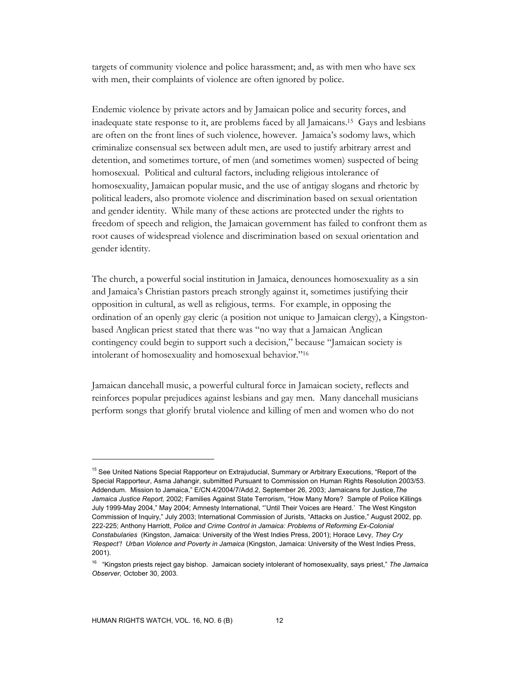targets of community violence and police harassment; and, as with men who have sex with men, their complaints of violence are often ignored by police.

Endemic violence by private actors and by Jamaican police and security forces, and inadequate state response to it, are problems faced by all Jamaicans.15 Gays and lesbians are often on the front lines of such violence, however. Jamaica's sodomy laws, which criminalize consensual sex between adult men, are used to justify arbitrary arrest and detention, and sometimes torture, of men (and sometimes women) suspected of being homosexual. Political and cultural factors, including religious intolerance of homosexuality, Jamaican popular music, and the use of antigay slogans and rhetoric by political leaders, also promote violence and discrimination based on sexual orientation and gender identity. While many of these actions are protected under the rights to freedom of speech and religion, the Jamaican government has failed to confront them as root causes of widespread violence and discrimination based on sexual orientation and gender identity.

The church, a powerful social institution in Jamaica, denounces homosexuality as a sin and Jamaica's Christian pastors preach strongly against it, sometimes justifying their opposition in cultural, as well as religious, terms. For example, in opposing the ordination of an openly gay cleric (a position not unique to Jamaican clergy), a Kingstonbased Anglican priest stated that there was "no way that a Jamaican Anglican contingency could begin to support such a decision," because "Jamaican society is intolerant of homosexuality and homosexual behavior."16

Jamaican dancehall music, a powerful cultural force in Jamaican society, reflects and reinforces popular prejudices against lesbians and gay men. Many dancehall musicians perform songs that glorify brutal violence and killing of men and women who do not

<sup>&</sup>lt;sup>15</sup> See United Nations Special Rapporteur on Extrajuducial, Summary or Arbitrary Executions, "Report of the Special Rapporteur, Asma Jahangir, submitted Pursuant to Commission on Human Rights Resolution 2003/53. Addendum. Mission to Jamaica," E/CN.4/2004/7/Add.2, September 26, 2003; Jamaicans for Justice,*The Jamaica Justice Report,* 2002; Families Against State Terrorism, "How Many More? Sample of Police Killings July 1999-May 2004," May 2004; Amnesty International, "'Until Their Voices are Heard.' The West Kingston Commission of Inquiry," July 2003; International Commission of Jurists, "Attacks on Justice," August 2002, pp. 222-225; Anthony Harriott, *Police and Crime Control in Jamaica: Problems of Reforming Ex-Colonial Constabularies* (Kingston, Jamaica: University of the West Indies Press, 2001); Horace Levy, *They Cry 'Respect'! Urban Violence and Poverty in Jamaica* (Kingston, Jamaica: University of the West Indies Press, 2001).

<sup>16 &</sup>quot;Kingston priests reject gay bishop. Jamaican society intolerant of homosexuality, says priest," *The Jamaica Observer,* October 30, 2003.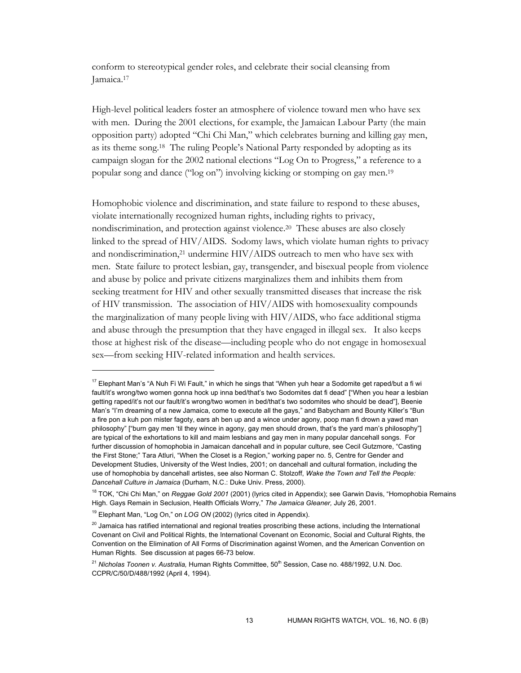conform to stereotypical gender roles, and celebrate their social cleansing from Jamaica.17

High-level political leaders foster an atmosphere of violence toward men who have sex with men. During the 2001 elections, for example, the Jamaican Labour Party (the main opposition party) adopted "Chi Chi Man," which celebrates burning and killing gay men, as its theme song.18 The ruling People's National Party responded by adopting as its campaign slogan for the 2002 national elections "Log On to Progress," a reference to a popular song and dance ("log on") involving kicking or stomping on gay men.19

Homophobic violence and discrimination, and state failure to respond to these abuses, violate internationally recognized human rights, including rights to privacy, nondiscrimination, and protection against violence.20 These abuses are also closely linked to the spread of HIV/AIDS. Sodomy laws, which violate human rights to privacy and nondiscrimination,21 undermine HIV/AIDS outreach to men who have sex with men. State failure to protect lesbian, gay, transgender, and bisexual people from violence and abuse by police and private citizens marginalizes them and inhibits them from seeking treatment for HIV and other sexually transmitted diseases that increase the risk of HIV transmission. The association of HIV/AIDS with homosexuality compounds the marginalization of many people living with HIV/AIDS, who face additional stigma and abuse through the presumption that they have engaged in illegal sex. It also keeps those at highest risk of the disease—including people who do not engage in homosexual sex—from seeking HIV-related information and health services.

<sup>&</sup>lt;sup>17</sup> Elephant Man's "A Nuh Fi Wi Fault," in which he sings that "When yuh hear a Sodomite get raped/but a fi wi fault/it's wrong/two women gonna hock up inna bed/that's two Sodomites dat fi dead" ["When you hear a lesbian getting raped/it's not our fault/it's wrong/two women in bed/that's two sodomites who should be dead"], Beenie Man's "I'm dreaming of a new Jamaica, come to execute all the gays," and Babycham and Bounty Killer's "Bun a fire pon a kuh pon mister fagoty, ears ah ben up and a wince under agony, poop man fi drown a yawd man philosophy" ["burn gay men 'til they wince in agony, gay men should drown, that's the yard man's philosophy"] are typical of the exhortations to kill and maim lesbians and gay men in many popular dancehall songs. For further discussion of homophobia in Jamaican dancehall and in popular culture, see Cecil Gutzmore, "Casting the First Stone;" Tara Atluri, "When the Closet is a Region," working paper no. 5, Centre for Gender and Development Studies, University of the West Indies, 2001; on dancehall and cultural formation, including the use of homophobia by dancehall artistes, see also Norman C. Stolzoff, *Wake the Town and Tell the People: Dancehall Culture in Jamaica* (Durham, N.C.: Duke Univ. Press, 2000).

<sup>18</sup> TOK, "Chi Chi Man," on *Reggae Gold 2001* (2001) (lyrics cited in Appendix); see Garwin Davis, "Homophobia Remains High. Gays Remain in Seclusion, Health Officials Worry," *The Jamaica Gleaner,* July 26, 2001.

<sup>&</sup>lt;sup>19</sup> Elephant Man, "Log On," on *LOG ON* (2002) (lyrics cited in Appendix).

 $20$  Jamaica has ratified international and regional treaties proscribing these actions, including the International Covenant on Civil and Political Rights, the International Covenant on Economic, Social and Cultural Rights, the Convention on the Elimination of All Forms of Discrimination against Women, and the American Convention on Human Rights. See discussion at pages 66-73 below.

<sup>&</sup>lt;sup>21</sup> Nicholas Toonen v. Australia, Human Rights Committee, 50<sup>th</sup> Session, Case no. 488/1992, U.N. Doc. CCPR/C/50/D/488/1992 (April 4, 1994).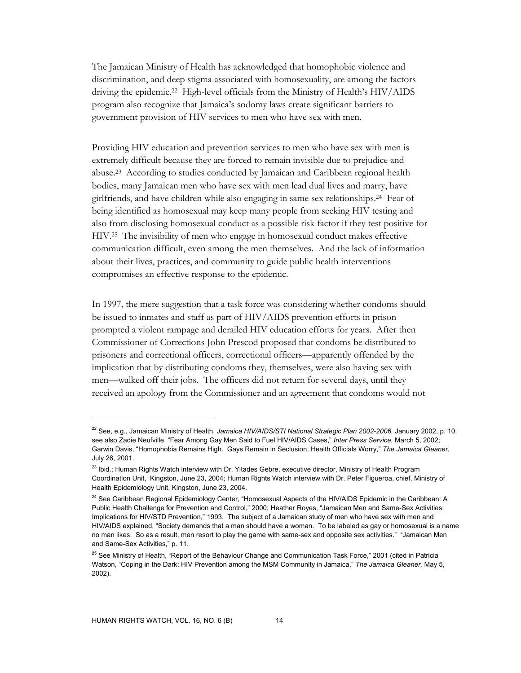The Jamaican Ministry of Health has acknowledged that homophobic violence and discrimination, and deep stigma associated with homosexuality, are among the factors driving the epidemic.22 High-level officials from the Ministry of Health's HIV/AIDS program also recognize that Jamaica's sodomy laws create significant barriers to government provision of HIV services to men who have sex with men.

Providing HIV education and prevention services to men who have sex with men is extremely difficult because they are forced to remain invisible due to prejudice and abuse.23 According to studies conducted by Jamaican and Caribbean regional health bodies, many Jamaican men who have sex with men lead dual lives and marry, have girlfriends, and have children while also engaging in same sex relationships.24 Fear of being identified as homosexual may keep many people from seeking HIV testing and also from disclosing homosexual conduct as a possible risk factor if they test positive for HIV.25 The invisibility of men who engage in homosexual conduct makes effective communication difficult, even among the men themselves. And the lack of information about their lives, practices, and community to guide public health interventions compromises an effective response to the epidemic.

In 1997, the mere suggestion that a task force was considering whether condoms should be issued to inmates and staff as part of HIV/AIDS prevention efforts in prison prompted a violent rampage and derailed HIV education efforts for years. After then Commissioner of Corrections John Prescod proposed that condoms be distributed to prisoners and correctional officers, correctional officers—apparently offended by the implication that by distributing condoms they, themselves, were also having sex with men—walked off their jobs. The officers did not return for several days, until they received an apology from the Commissioner and an agreement that condoms would not

<sup>&</sup>lt;sup>22</sup> See, e.g., Jamaican Ministry of Health, Jamaica HIV/AIDS/STI National Strategic Plan 2002-2006, January 2002, p. 10; see also Zadie Neufville, "Fear Among Gay Men Said to Fuel HIV/AIDS Cases," *Inter Press Service,* March 5, 2002; Garwin Davis, "Homophobia Remains High. Gays Remain in Seclusion, Health Officials Worry," *The Jamaica Gleaner*, July 26, 2001.

<sup>&</sup>lt;sup>23</sup> Ibid.; Human Rights Watch interview with Dr. Yitades Gebre, executive director, Ministry of Health Program Coordination Unit, Kingston, June 23, 2004; Human Rights Watch interview with Dr. Peter Figueroa, chief, Ministry of Health Epidemiology Unit, Kingston, June 23, 2004.

<sup>&</sup>lt;sup>24</sup> See Caribbean Regional Epidemiology Center, "Homosexual Aspects of the HIV/AIDS Epidemic in the Caribbean: A Public Health Challenge for Prevention and Control," 2000; Heather Royes, "Jamaican Men and Same-Sex Activities: Implications for HIV/STD Prevention," 1993. The subject of a Jamaican study of men who have sex with men and HIV/AIDS explained, "Society demands that a man should have a woman. To be labeled as gay or homosexual is a name no man likes. So as a result, men resort to play the game with same-sex and opposite sex activities." "Jamaican Men and Same-Sex Activities," p. 11.

**<sup>25</sup>** See Ministry of Health, "Report of the Behaviour Change and Communication Task Force," 2001 (cited in Patricia Watson, "Coping in the Dark: HIV Prevention among the MSM Community in Jamaica," *The Jamaica Gleaner,* May 5, 2002).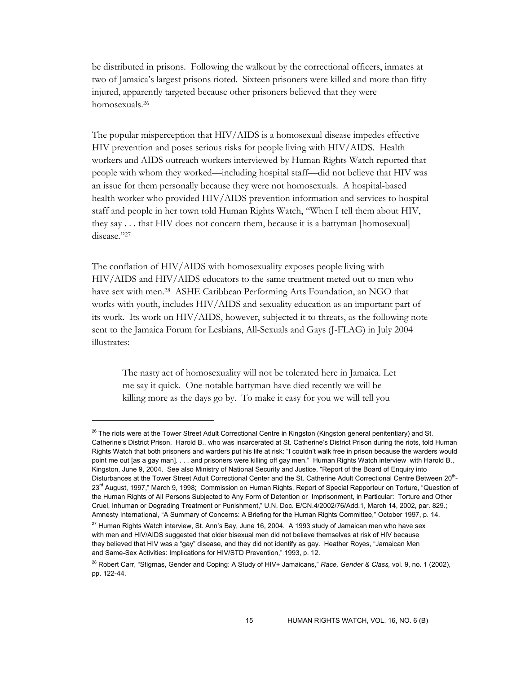be distributed in prisons. Following the walkout by the correctional officers, inmates at two of Jamaica's largest prisons rioted. Sixteen prisoners were killed and more than fifty injured, apparently targeted because other prisoners believed that they were homosexuals.26

The popular misperception that HIV/AIDS is a homosexual disease impedes effective HIV prevention and poses serious risks for people living with HIV/AIDS. Health workers and AIDS outreach workers interviewed by Human Rights Watch reported that people with whom they worked—including hospital staff—did not believe that HIV was an issue for them personally because they were not homosexuals. A hospital-based health worker who provided HIV/AIDS prevention information and services to hospital staff and people in her town told Human Rights Watch, "When I tell them about HIV, they say . . . that HIV does not concern them, because it is a battyman [homosexual] disease."27

The conflation of HIV/AIDS with homosexuality exposes people living with HIV/AIDS and HIV/AIDS educators to the same treatment meted out to men who have sex with men.<sup>28</sup> ASHE Caribbean Performing Arts Foundation, an NGO that works with youth, includes HIV/AIDS and sexuality education as an important part of its work. Its work on HIV/AIDS, however, subjected it to threats, as the following note sent to the Jamaica Forum for Lesbians, All-Sexuals and Gays (J-FLAG) in July 2004 illustrates:

The nasty act of homosexuality will not be tolerated here in Jamaica. Let me say it quick. One notable battyman have died recently we will be killing more as the days go by. To make it easy for you we will tell you

 $^{26}$  The riots were at the Tower Street Adult Correctional Centre in Kingston (Kingston general penitentiary) and St. Catherine's District Prison. Harold B., who was incarcerated at St. Catherine's District Prison during the riots, told Human Rights Watch that both prisoners and warders put his life at risk: "I couldn't walk free in prison because the warders would point me out [as a gay man]. . . . and prisoners were killing off gay men." Human Rights Watch interview with Harold B., Kingston, June 9, 2004. See also Ministry of National Security and Justice, "Report of the Board of Enquiry into Disturbances at the Tower Street Adult Correctional Center and the St. Catherine Adult Correctional Centre Between 20<sup>th</sup>-23<sup>rd</sup> August, 1997," March 9, 1998; Commission on Human Rights, Report of Special Rapporteur on Torture, "Question of the Human Rights of All Persons Subjected to Any Form of Detention or Imprisonment, in Particular: Torture and Other Cruel, Inhuman or Degrading Treatment or Punishment," U.N. Doc. E/CN.4/2002/76/Add.1, March 14, 2002, par. 829.; Amnesty International, "A Summary of Concerns: A Briefing for the Human Rights Committee," October 1997, p. 14.

 $27$  Human Rights Watch interview, St. Ann's Bay, June 16, 2004. A 1993 study of Jamaican men who have sex with men and HIV/AIDS suggested that older bisexual men did not believe themselves at risk of HIV because they believed that HIV was a "gay" disease, and they did not identify as gay. Heather Royes, "Jamaican Men and Same-Sex Activities: Implications for HIV/STD Prevention," 1993, p. 12.

<sup>28</sup> Robert Carr, "Stigmas, Gender and Coping: A Study of HIV+ Jamaicans," *Race, Gender & Class,* vol. 9, no. 1 (2002), pp. 122-44.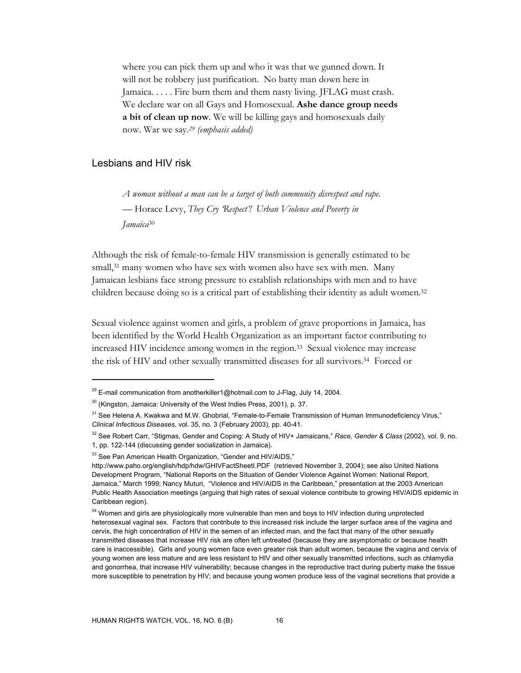where you can pick them up and who it was that we gunned down. It will not be robbery just purification. No batty man down here in Jamaica. . . . . Fire burn them and them nasty living. JFLAG must crash. We declare war on all Gays and Homosexual. **Ashe dance group needs a bit of clean up now***.* We will be killing gays and homosexuals daily now. War we say*. 29 (emphasis added)*

## Lesbians and HIV risk

 $\overline{a}$ 

*A woman without a man can be a target of both community disrespect and rape.*  — Horace Levy, *They Cry 'Respect'! Urban Violence and Poverty in Jamaica*30

Although the risk of female-to-female HIV transmission is generally estimated to be small,<sup>31</sup> many women who have sex with women also have sex with men. Many Jamaican lesbians face strong pressure to establish relationships with men and to have children because doing so is a critical part of establishing their identity as adult women.32

Sexual violence against women and girls, a problem of grave proportions in Jamaica, has been identified by the World Health Organization as an important factor contributing to increased HIV incidence among women in the region.33 Sexual violence may increase the risk of HIV and other sexually transmitted diseases for all survivors.34 Forced or

 $29$  E-mail communication from anotherkiller1@hotmail.com to J-Flag, July 14, 2004.

<sup>&</sup>lt;sup>30</sup> (Kingston, Jamaica: University of the West Indies Press, 2001), p. 37.

<sup>&</sup>lt;sup>31</sup> See Helena A. Kwakwa and M.W. Ghobrial, "Female-to-Female Transmission of Human Immunodeficiency Virus," *Clinical Infectious Diseases,* vol. 35, no. 3 (February 2003), pp. 40-41.

<sup>32</sup> See Robert Carr, "Stigmas, Gender and Coping: A Study of HIV+ Jamaicans," *Race, Gender & Class* (2002), vol. 9, no. 1, pp. 122-144 (discussing gender socialization in Jamaica).

<sup>&</sup>lt;sup>33</sup> See Pan American Health Organization, "Gender and HIV/AIDS,"

http://www.paho.org/english/hdp/hdw/GHIVFactSheetI.PDF (retrieved November 3, 2004); see also United Nations Development Program, "National Reports on the Situation of Gender Violence Against Women: National Report, Jamaica," March 1999; Nancy Muturi, "Violence and HIV/AIDS in the Caribbean," presentation at the 2003 American Public Health Association meetings (arguing that high rates of sexual violence contribute to growing HIV/AIDS epidemic in Caribbean region).

<sup>&</sup>lt;sup>34</sup> Women and girls are physiologically more vulnerable than men and boys to HIV infection during unprotected heterosexual vaginal sex. Factors that contribute to this increased risk include the larger surface area of the vagina and cervix, the high concentration of HIV in the semen of an infected man, and the fact that many of the other sexually transmitted diseases that increase HIV risk are often left untreated (because they are asymptomatic or because health care is inaccessible). Girls and young women face even greater risk than adult women, because the vagina and cervix of young women are less mature and are less resistant to HIV and other sexually transmitted infections, such as chlamydia and gonorrhea, that increase HIV vulnerability; because changes in the reproductive tract during puberty make the tissue more susceptible to penetration by HIV; and because young women produce less of the vaginal secretions that provide a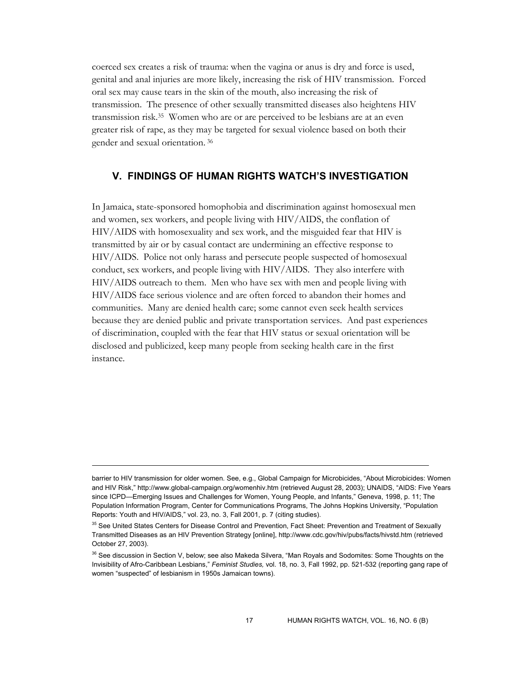coerced sex creates a risk of trauma: when the vagina or anus is dry and force is used, genital and anal injuries are more likely, increasing the risk of HIV transmission. Forced oral sex may cause tears in the skin of the mouth, also increasing the risk of transmission. The presence of other sexually transmitted diseases also heightens HIV transmission risk.35 Women who are or are perceived to be lesbians are at an even greater risk of rape, as they may be targeted for sexual violence based on both their gender and sexual orientation. 36

### **V. FINDINGS OF HUMAN RIGHTS WATCH'S INVESTIGATION**

In Jamaica, state-sponsored homophobia and discrimination against homosexual men and women, sex workers, and people living with HIV/AIDS, the conflation of HIV/AIDS with homosexuality and sex work, and the misguided fear that HIV is transmitted by air or by casual contact are undermining an effective response to HIV/AIDS. Police not only harass and persecute people suspected of homosexual conduct, sex workers, and people living with HIV/AIDS. They also interfere with HIV/AIDS outreach to them. Men who have sex with men and people living with HIV/AIDS face serious violence and are often forced to abandon their homes and communities. Many are denied health care; some cannot even seek health services because they are denied public and private transportation services. And past experiences of discrimination, coupled with the fear that HIV status or sexual orientation will be disclosed and publicized, keep many people from seeking health care in the first instance.

barrier to HIV transmission for older women. See, e.g., Global Campaign for Microbicides, "About Microbicides: Women and HIV Risk," http://www.global-campaign.org/womenhiv.htm (retrieved August 28, 2003); UNAIDS, "AIDS: Five Years since ICPD—Emerging Issues and Challenges for Women, Young People, and Infants," Geneva, 1998, p. 11; The Population Information Program, Center for Communications Programs, The Johns Hopkins University, "Population Reports: Youth and HIV/AIDS," vol. 23, no. 3, Fall 2001, p. 7 (citing studies).

<sup>&</sup>lt;sup>35</sup> See United States Centers for Disease Control and Prevention, Fact Sheet: Prevention and Treatment of Sexually Transmitted Diseases as an HIV Prevention Strategy [online], http://www.cdc.gov/hiv/pubs/facts/hivstd.htm (retrieved October 27, 2003).

<sup>&</sup>lt;sup>36</sup> See discussion in Section V, below; see also Makeda Silvera, "Man Royals and Sodomites: Some Thoughts on the Invisibility of Afro-Caribbean Lesbians," *Feminist Studies,* vol. 18, no. 3, Fall 1992, pp. 521-532 (reporting gang rape of women "suspected" of lesbianism in 1950s Jamaican towns).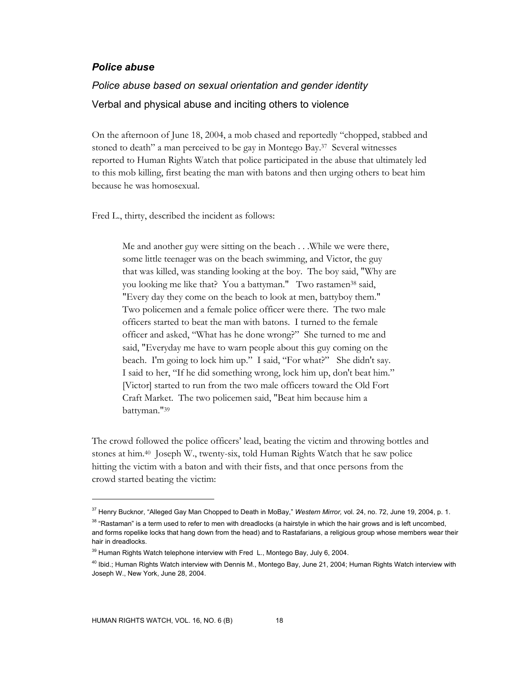## *Police abuse*

## *Police abuse based on sexual orientation and gender identity*  Verbal and physical abuse and inciting others to violence

On the afternoon of June 18, 2004, a mob chased and reportedly "chopped, stabbed and stoned to death" a man perceived to be gay in Montego Bay.37 Several witnesses reported to Human Rights Watch that police participated in the abuse that ultimately led to this mob killing, first beating the man with batons and then urging others to beat him because he was homosexual.

Fred L., thirty, described the incident as follows:

Me and another guy were sitting on the beach . . .While we were there, some little teenager was on the beach swimming, and Victor, the guy that was killed, was standing looking at the boy. The boy said, "Why are you looking me like that? You a battyman." Two rastamen38 said, "Every day they come on the beach to look at men, battyboy them." Two policemen and a female police officer were there. The two male officers started to beat the man with batons. I turned to the female officer and asked, "What has he done wrong?" She turned to me and said, "Everyday me have to warn people about this guy coming on the beach. I'm going to lock him up." I said, "For what?" She didn't say. I said to her, "If he did something wrong, lock him up, don't beat him." [Victor] started to run from the two male officers toward the Old Fort Craft Market. The two policemen said, "Beat him because him a battyman."39

The crowd followed the police officers' lead, beating the victim and throwing bottles and stones at him.40 Joseph W., twenty-six, told Human Rights Watch that he saw police hitting the victim with a baton and with their fists, and that once persons from the crowd started beating the victim:

<sup>37</sup> Henry Bucknor, "Alleged Gay Man Chopped to Death in MoBay," *Western Mirror,* vol. 24, no. 72, June 19, 2004, p. 1.

 $38$  "Rastaman" is a term used to refer to men with dreadlocks (a hairstyle in which the hair grows and is left uncombed, and forms ropelike locks that hang down from the head) and to Rastafarians, a religious group whose members wear their hair in dreadlocks.

 $39$  Human Rights Watch telephone interview with Fred L., Montego Bay, July 6, 2004.

<sup>40</sup> Ibid.; Human Rights Watch interview with Dennis M., Montego Bay, June 21, 2004; Human Rights Watch interview with Joseph W., New York, June 28, 2004.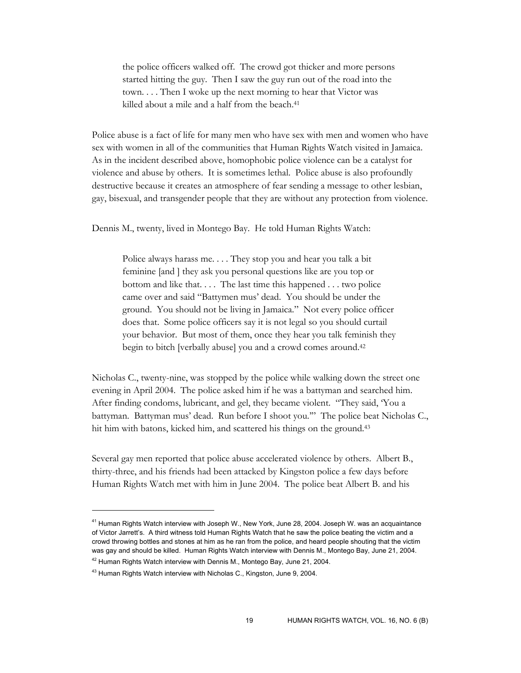the police officers walked off. The crowd got thicker and more persons started hitting the guy. Then I saw the guy run out of the road into the town. . . . Then I woke up the next morning to hear that Victor was killed about a mile and a half from the beach.<sup>41</sup>

Police abuse is a fact of life for many men who have sex with men and women who have sex with women in all of the communities that Human Rights Watch visited in Jamaica. As in the incident described above, homophobic police violence can be a catalyst for violence and abuse by others. It is sometimes lethal. Police abuse is also profoundly destructive because it creates an atmosphere of fear sending a message to other lesbian, gay, bisexual, and transgender people that they are without any protection from violence.

Dennis M., twenty, lived in Montego Bay. He told Human Rights Watch:

Police always harass me. . . . They stop you and hear you talk a bit feminine [and ] they ask you personal questions like are you top or bottom and like that. . . . The last time this happened . . . two police came over and said "Battymen mus' dead. You should be under the ground. You should not be living in Jamaica." Not every police officer does that. Some police officers say it is not legal so you should curtail your behavior. But most of them, once they hear you talk feminish they begin to bitch [verbally abuse] you and a crowd comes around.42

Nicholas C., twenty-nine, was stopped by the police while walking down the street one evening in April 2004. The police asked him if he was a battyman and searched him. After finding condoms, lubricant, and gel, they became violent. "They said, 'You a battyman. Battyman mus' dead. Run before I shoot you.'" The police beat Nicholas C., hit him with batons, kicked him, and scattered his things on the ground.<sup>43</sup>

Several gay men reported that police abuse accelerated violence by others. Albert B., thirty-three, and his friends had been attacked by Kingston police a few days before Human Rights Watch met with him in June 2004. The police beat Albert B. and his

<sup>&</sup>lt;sup>41</sup> Human Rights Watch interview with Joseph W., New York, June 28, 2004. Joseph W. was an acquaintance of Victor Jarrett's. A third witness told Human Rights Watch that he saw the police beating the victim and a crowd throwing bottles and stones at him as he ran from the police, and heard people shouting that the victim was gay and should be killed. Human Rights Watch interview with Dennis M., Montego Bay, June 21, 2004.

 $42$  Human Rights Watch interview with Dennis M., Montego Bay, June 21, 2004.

<sup>&</sup>lt;sup>43</sup> Human Rights Watch interview with Nicholas C., Kingston, June 9, 2004.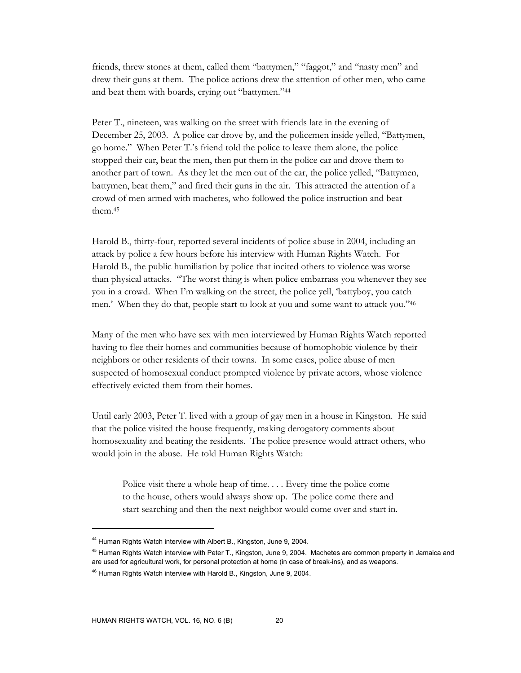friends, threw stones at them, called them "battymen," "faggot," and "nasty men" and drew their guns at them. The police actions drew the attention of other men, who came and beat them with boards, crying out "battymen."44

Peter T., nineteen, was walking on the street with friends late in the evening of December 25, 2003. A police car drove by, and the policemen inside yelled, "Battymen, go home." When Peter T.'s friend told the police to leave them alone, the police stopped their car, beat the men, then put them in the police car and drove them to another part of town. As they let the men out of the car, the police yelled, "Battymen, battymen, beat them," and fired their guns in the air. This attracted the attention of a crowd of men armed with machetes, who followed the police instruction and beat them.45

Harold B., thirty-four, reported several incidents of police abuse in 2004, including an attack by police a few hours before his interview with Human Rights Watch. For Harold B., the public humiliation by police that incited others to violence was worse than physical attacks. "The worst thing is when police embarrass you whenever they see you in a crowd. When I'm walking on the street, the police yell, 'battyboy, you catch men.' When they do that, people start to look at you and some want to attack you."46

Many of the men who have sex with men interviewed by Human Rights Watch reported having to flee their homes and communities because of homophobic violence by their neighbors or other residents of their towns. In some cases, police abuse of men suspected of homosexual conduct prompted violence by private actors, whose violence effectively evicted them from their homes.

Until early 2003, Peter T. lived with a group of gay men in a house in Kingston. He said that the police visited the house frequently, making derogatory comments about homosexuality and beating the residents. The police presence would attract others, who would join in the abuse. He told Human Rights Watch:

Police visit there a whole heap of time.... Every time the police come to the house, others would always show up. The police come there and start searching and then the next neighbor would come over and start in.

<sup>44</sup> Human Rights Watch interview with Albert B., Kingston, June 9, 2004.

<sup>&</sup>lt;sup>45</sup> Human Rights Watch interview with Peter T., Kingston, June 9, 2004. Machetes are common property in Jamaica and are used for agricultural work, for personal protection at home (in case of break-ins), and as weapons.

<sup>46</sup> Human Rights Watch interview with Harold B., Kingston, June 9, 2004.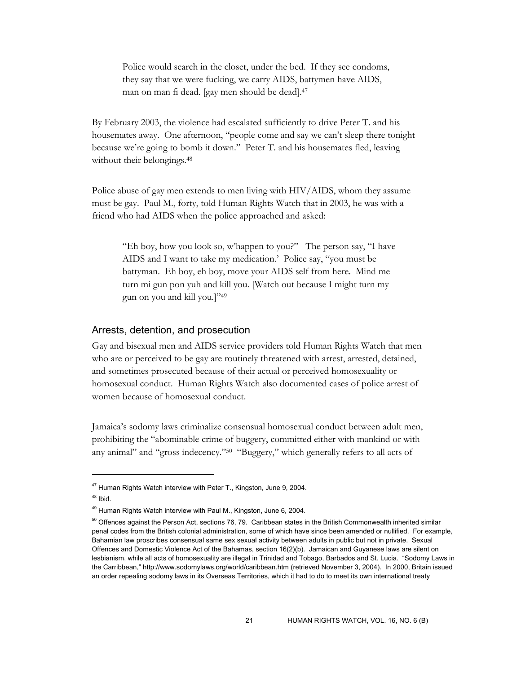Police would search in the closet, under the bed. If they see condoms, they say that we were fucking, we carry AIDS, battymen have AIDS, man on man fi dead. [gay men should be dead].47

By February 2003, the violence had escalated sufficiently to drive Peter T. and his housemates away. One afternoon, "people come and say we can't sleep there tonight because we're going to bomb it down." Peter T. and his housemates fled, leaving without their belongings.<sup>48</sup>

Police abuse of gay men extends to men living with HIV/AIDS, whom they assume must be gay. Paul M., forty, told Human Rights Watch that in 2003, he was with a friend who had AIDS when the police approached and asked:

"Eh boy, how you look so, w'happen to you?" The person say, "I have AIDS and I want to take my medication.' Police say, "you must be battyman. Eh boy, eh boy, move your AIDS self from here. Mind me turn mi gun pon yuh and kill you. [Watch out because I might turn my gun on you and kill you.]"49

#### Arrests, detention, and prosecution

Gay and bisexual men and AIDS service providers told Human Rights Watch that men who are or perceived to be gay are routinely threatened with arrest, arrested, detained, and sometimes prosecuted because of their actual or perceived homosexuality or homosexual conduct. Human Rights Watch also documented cases of police arrest of women because of homosexual conduct.

Jamaica's sodomy laws criminalize consensual homosexual conduct between adult men, prohibiting the "abominable crime of buggery, committed either with mankind or with any animal" and "gross indecency."50 "Buggery," which generally refers to all acts of

<sup>47</sup> Human Rights Watch interview with Peter T., Kingston, June 9, 2004.

 $48$  Ibid.

<sup>49</sup> Human Rights Watch interview with Paul M., Kingston, June 6, 2004.

 $50$  Offences against the Person Act, sections 76, 79. Caribbean states in the British Commonwealth inherited similar penal codes from the British colonial administration, some of which have since been amended or nullified. For example, Bahamian law proscribes consensual same sex sexual activity between adults in public but not in private. Sexual Offences and Domestic Violence Act of the Bahamas, section 16(2)(b). Jamaican and Guyanese laws are silent on lesbianism, while all acts of homosexuality are illegal in Trinidad and Tobago, Barbados and St. Lucia. "Sodomy Laws in the Carribbean," http://www.sodomylaws.org/world/caribbean.htm (retrieved November 3, 2004). In 2000, Britain issued an order repealing sodomy laws in its Overseas Territories, which it had to do to meet its own international treaty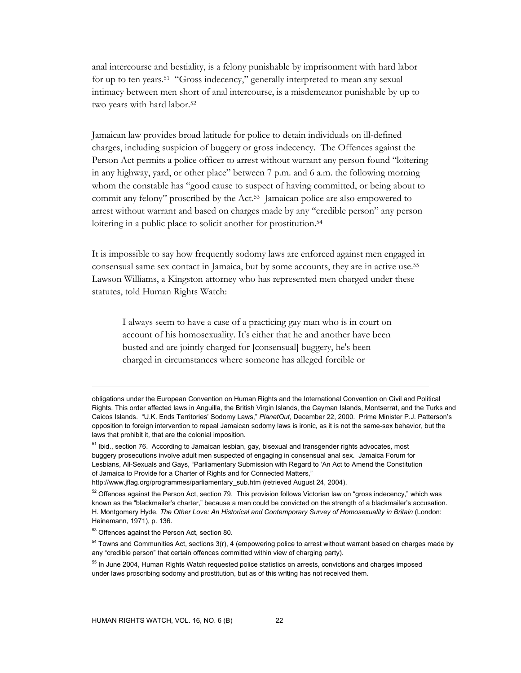anal intercourse and bestiality, is a felony punishable by imprisonment with hard labor for up to ten years.51 "Gross indecency," generally interpreted to mean any sexual intimacy between men short of anal intercourse, is a misdemeanor punishable by up to two years with hard labor.<sup>52</sup>

Jamaican law provides broad latitude for police to detain individuals on ill-defined charges, including suspicion of buggery or gross indecency. The Offences against the Person Act permits a police officer to arrest without warrant any person found "loitering in any highway, yard, or other place" between 7 p.m. and 6 a.m. the following morning whom the constable has "good cause to suspect of having committed, or being about to commit any felony" proscribed by the Act.53 Jamaican police are also empowered to arrest without warrant and based on charges made by any "credible person" any person loitering in a public place to solicit another for prostitution.<sup>54</sup>

It is impossible to say how frequently sodomy laws are enforced against men engaged in consensual same sex contact in Jamaica, but by some accounts, they are in active use.55 Lawson Williams, a Kingston attorney who has represented men charged under these statutes, told Human Rights Watch:

I always seem to have a case of a practicing gay man who is in court on account of his homosexuality. It's either that he and another have been busted and are jointly charged for [consensual] buggery, he's been charged in circumstances where someone has alleged forcible or

obligations under the European Convention on Human Rights and the International Convention on Civil and Political Rights. This order affected laws in Anguilla, the British Virgin Islands, the Cayman Islands, Montserrat, and the Turks and Caicos Islands. "U.K. Ends Territories' Sodomy Laws," *PlanetOut,* December 22, 2000. Prime Minister P.J. Patterson's opposition to foreign intervention to repeal Jamaican sodomy laws is ironic, as it is not the same-sex behavior, but the laws that prohibit it, that are the colonial imposition.

<sup>&</sup>lt;sup>51</sup> Ibid., section 76. According to Jamaican lesbian, gay, bisexual and transgender rights advocates, most buggery prosecutions involve adult men suspected of engaging in consensual anal sex. Jamaica Forum for Lesbians, All-Sexuals and Gays, "Parliamentary Submission with Regard to 'An Act to Amend the Constitution of Jamaica to Provide for a Charter of Rights and for Connected Matters,"

http://www.jflag.org/programmes/parliamentary\_sub.htm (retrieved August 24, 2004).

 $52$  Offences against the Person Act, section 79. This provision follows Victorian law on "gross indecency," which was known as the "blackmailer's charter," because a man could be convicted on the strength of a blackmailer's accusation. H. Montgomery Hyde, *The Other Love: An Historical and Contemporary Survey of Homosexuality in Britain* (London: Heinemann, 1971), p. 136.

<sup>&</sup>lt;sup>53</sup> Offences against the Person Act, section 80.

 $54$  Towns and Communities Act, sections  $3(r)$ , 4 (empowering police to arrest without warrant based on charges made by any "credible person" that certain offences committed within view of charging party).

<sup>&</sup>lt;sup>55</sup> In June 2004, Human Rights Watch requested police statistics on arrests, convictions and charges imposed under laws proscribing sodomy and prostitution, but as of this writing has not received them.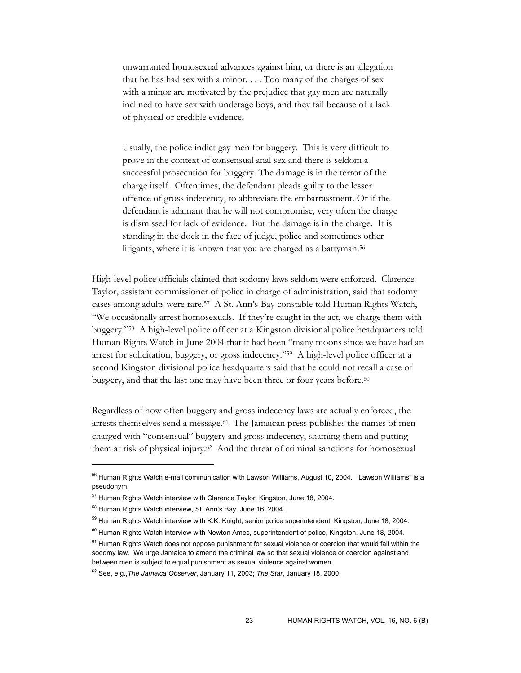unwarranted homosexual advances against him, or there is an allegation that he has had sex with a minor. . . . Too many of the charges of sex with a minor are motivated by the prejudice that gay men are naturally inclined to have sex with underage boys, and they fail because of a lack of physical or credible evidence.

Usually, the police indict gay men for buggery. This is very difficult to prove in the context of consensual anal sex and there is seldom a successful prosecution for buggery. The damage is in the terror of the charge itself. Oftentimes, the defendant pleads guilty to the lesser offence of gross indecency, to abbreviate the embarrassment. Or if the defendant is adamant that he will not compromise, very often the charge is dismissed for lack of evidence. But the damage is in the charge. It is standing in the dock in the face of judge, police and sometimes other litigants, where it is known that you are charged as a battyman.<sup>56</sup>

High-level police officials claimed that sodomy laws seldom were enforced. Clarence Taylor, assistant commissioner of police in charge of administration, said that sodomy cases among adults were rare.57 A St. Ann's Bay constable told Human Rights Watch, "We occasionally arrest homosexuals. If they're caught in the act, we charge them with buggery."58 A high-level police officer at a Kingston divisional police headquarters told Human Rights Watch in June 2004 that it had been "many moons since we have had an arrest for solicitation, buggery, or gross indecency."59 A high-level police officer at a second Kingston divisional police headquarters said that he could not recall a case of buggery, and that the last one may have been three or four years before.<sup>60</sup>

Regardless of how often buggery and gross indecency laws are actually enforced, the arrests themselves send a message.61 The Jamaican press publishes the names of men charged with "consensual" buggery and gross indecency, shaming them and putting them at risk of physical injury.62 And the threat of criminal sanctions for homosexual

<sup>&</sup>lt;sup>56</sup> Human Rights Watch e-mail communication with Lawson Williams, August 10, 2004. "Lawson Williams" is a pseudonym.

<sup>&</sup>lt;sup>57</sup> Human Rights Watch interview with Clarence Taylor, Kingston, June 18, 2004.

<sup>58</sup> Human Rights Watch interview, St. Ann's Bay, June 16, 2004.

<sup>&</sup>lt;sup>59</sup> Human Rights Watch interview with K.K. Knight, senior police superintendent, Kingston, June 18, 2004.

 $60$  Human Rights Watch interview with Newton Ames, superintendent of police, Kingston, June 18, 2004.

 $61$  Human Rights Watch does not oppose punishment for sexual violence or coercion that would fall within the sodomy law. We urge Jamaica to amend the criminal law so that sexual violence or coercion against and between men is subject to equal punishment as sexual violence against women.

<sup>62</sup> See, e.g.,*The Jamaica Observer*, January 11, 2003; *The Star*, January 18, 2000.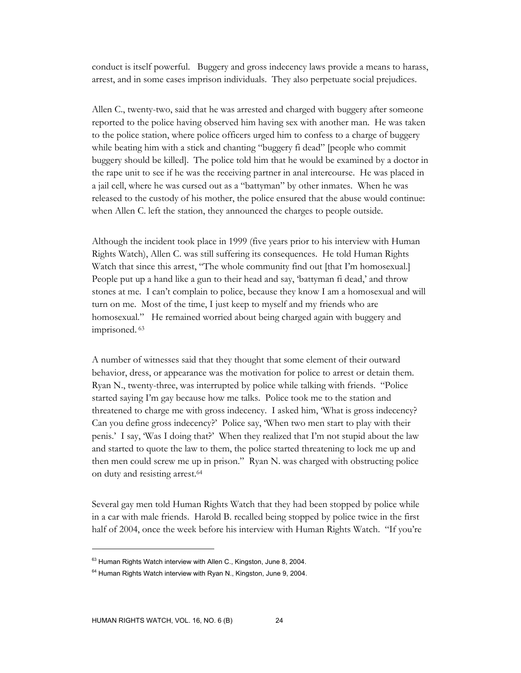conduct is itself powerful. Buggery and gross indecency laws provide a means to harass, arrest, and in some cases imprison individuals. They also perpetuate social prejudices.

Allen C., twenty-two, said that he was arrested and charged with buggery after someone reported to the police having observed him having sex with another man. He was taken to the police station, where police officers urged him to confess to a charge of buggery while beating him with a stick and chanting "buggery fi dead" [people who commit buggery should be killed]. The police told him that he would be examined by a doctor in the rape unit to see if he was the receiving partner in anal intercourse. He was placed in a jail cell, where he was cursed out as a "battyman" by other inmates. When he was released to the custody of his mother, the police ensured that the abuse would continue: when Allen C. left the station, they announced the charges to people outside.

Although the incident took place in 1999 (five years prior to his interview with Human Rights Watch), Allen C. was still suffering its consequences. He told Human Rights Watch that since this arrest, "The whole community find out [that I'm homosexual.] People put up a hand like a gun to their head and say, 'battyman fi dead,' and throw stones at me. I can't complain to police, because they know I am a homosexual and will turn on me. Most of the time, I just keep to myself and my friends who are homosexual." He remained worried about being charged again with buggery and imprisoned. 63

A number of witnesses said that they thought that some element of their outward behavior, dress, or appearance was the motivation for police to arrest or detain them. Ryan N., twenty-three, was interrupted by police while talking with friends. "Police started saying I'm gay because how me talks. Police took me to the station and threatened to charge me with gross indecency. I asked him, 'What is gross indecency? Can you define gross indecency?' Police say, 'When two men start to play with their penis.' I say, 'Was I doing that?' When they realized that I'm not stupid about the law and started to quote the law to them, the police started threatening to lock me up and then men could screw me up in prison." Ryan N. was charged with obstructing police on duty and resisting arrest.64

Several gay men told Human Rights Watch that they had been stopped by police while in a car with male friends. Harold B. recalled being stopped by police twice in the first half of 2004, once the week before his interview with Human Rights Watch. "If you're

<sup>&</sup>lt;sup>63</sup> Human Rights Watch interview with Allen C., Kingston, June 8, 2004.

 $64$  Human Rights Watch interview with Ryan N., Kingston, June 9, 2004.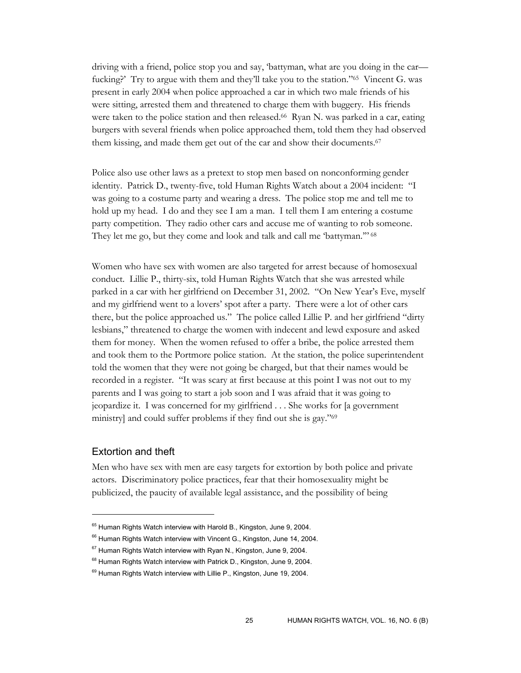driving with a friend, police stop you and say, 'battyman, what are you doing in the car fucking?' Try to argue with them and they'll take you to the station."65 Vincent G. was present in early 2004 when police approached a car in which two male friends of his were sitting, arrested them and threatened to charge them with buggery. His friends were taken to the police station and then released.<sup>66</sup> Ryan N. was parked in a car, eating burgers with several friends when police approached them, told them they had observed them kissing, and made them get out of the car and show their documents.<sup>67</sup>

Police also use other laws as a pretext to stop men based on nonconforming gender identity. Patrick D., twenty-five, told Human Rights Watch about a 2004 incident: "I was going to a costume party and wearing a dress. The police stop me and tell me to hold up my head. I do and they see I am a man. I tell them I am entering a costume party competition. They radio other cars and accuse me of wanting to rob someone. They let me go, but they come and look and talk and call me 'battyman.'" 68

Women who have sex with women are also targeted for arrest because of homosexual conduct. Lillie P., thirty-six, told Human Rights Watch that she was arrested while parked in a car with her girlfriend on December 31, 2002. "On New Year's Eve, myself and my girlfriend went to a lovers' spot after a party. There were a lot of other cars there, but the police approached us." The police called Lillie P. and her girlfriend "dirty lesbians," threatened to charge the women with indecent and lewd exposure and asked them for money. When the women refused to offer a bribe, the police arrested them and took them to the Portmore police station. At the station, the police superintendent told the women that they were not going be charged, but that their names would be recorded in a register. "It was scary at first because at this point I was not out to my parents and I was going to start a job soon and I was afraid that it was going to jeopardize it. I was concerned for my girlfriend . . . She works for [a government ministry] and could suffer problems if they find out she is gay."69

### Extortion and theft

 $\overline{a}$ 

Men who have sex with men are easy targets for extortion by both police and private actors. Discriminatory police practices, fear that their homosexuality might be publicized, the paucity of available legal assistance, and the possibility of being

<sup>&</sup>lt;sup>65</sup> Human Rights Watch interview with Harold B., Kingston, June 9, 2004.

<sup>&</sup>lt;sup>66</sup> Human Rights Watch interview with Vincent G., Kingston, June 14, 2004.

 $67$  Human Rights Watch interview with Ryan N., Kingston, June 9, 2004.

<sup>&</sup>lt;sup>68</sup> Human Rights Watch interview with Patrick D., Kingston, June 9, 2004.

<sup>&</sup>lt;sup>69</sup> Human Rights Watch interview with Lillie P., Kingston, June 19, 2004.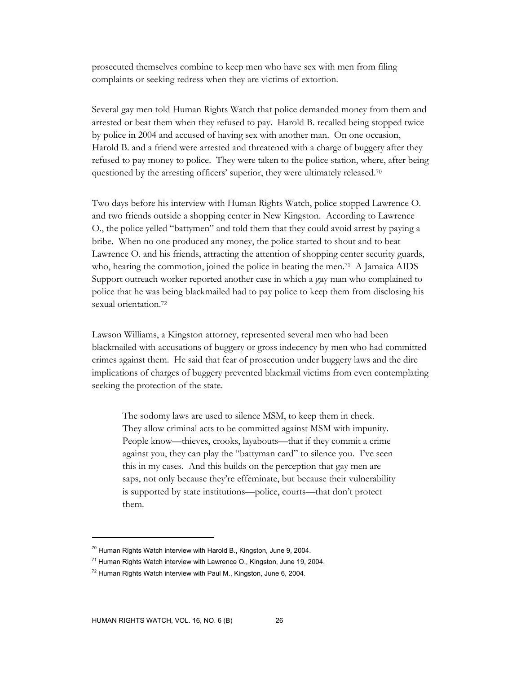prosecuted themselves combine to keep men who have sex with men from filing complaints or seeking redress when they are victims of extortion.

Several gay men told Human Rights Watch that police demanded money from them and arrested or beat them when they refused to pay. Harold B. recalled being stopped twice by police in 2004 and accused of having sex with another man. On one occasion, Harold B. and a friend were arrested and threatened with a charge of buggery after they refused to pay money to police. They were taken to the police station, where, after being questioned by the arresting officers' superior, they were ultimately released.<sup>70</sup>

Two days before his interview with Human Rights Watch, police stopped Lawrence O. and two friends outside a shopping center in New Kingston. According to Lawrence O., the police yelled "battymen" and told them that they could avoid arrest by paying a bribe. When no one produced any money, the police started to shout and to beat Lawrence O. and his friends, attracting the attention of shopping center security guards, who, hearing the commotion, joined the police in beating the men.<sup>71</sup> A Jamaica AIDS Support outreach worker reported another case in which a gay man who complained to police that he was being blackmailed had to pay police to keep them from disclosing his sexual orientation.72

Lawson Williams, a Kingston attorney, represented several men who had been blackmailed with accusations of buggery or gross indecency by men who had committed crimes against them. He said that fear of prosecution under buggery laws and the dire implications of charges of buggery prevented blackmail victims from even contemplating seeking the protection of the state.

The sodomy laws are used to silence MSM, to keep them in check. They allow criminal acts to be committed against MSM with impunity. People know—thieves, crooks, layabouts—that if they commit a crime against you, they can play the "battyman card" to silence you. I've seen this in my cases. And this builds on the perception that gay men are saps, not only because they're effeminate, but because their vulnerability is supported by state institutions—police, courts—that don't protect them.

 $70$  Human Rights Watch interview with Harold B., Kingston, June 9, 2004.

 $71$  Human Rights Watch interview with Lawrence O., Kingston, June 19, 2004.

 $72$  Human Rights Watch interview with Paul M., Kingston, June 6, 2004.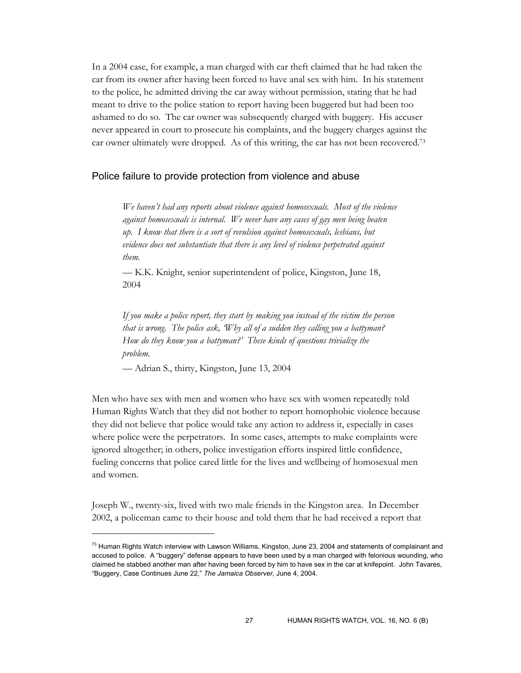In a 2004 case, for example, a man charged with car theft claimed that he had taken the car from its owner after having been forced to have anal sex with him. In his statement to the police, he admitted driving the car away without permission, stating that he had meant to drive to the police station to report having been buggered but had been too ashamed to do so. The car owner was subsequently charged with buggery. His accuser never appeared in court to prosecute his complaints, and the buggery charges against the car owner ultimately were dropped. As of this writing, the car has not been recovered.73

#### Police failure to provide protection from violence and abuse

*We haven't had any reports about violence against homosexuals. Most of the violence against homosexuals is internal. We never have any cases of gay men being beaten up. I know that there is a sort of revulsion against homosexuals, lesbians, but evidence does not substantiate that there is any level of violence perpetrated against them.* 

— K.K. Knight, senior superintendent of police, Kingston, June 18, 2004

*If you make a police report, they start by making you instead of the victim the person that is wrong. The police ask, 'Why all of a sudden they calling you a battyman? How do they know you a battyman?' These kinds of questions trivialize the problem.* 

— Adrian S., thirty, Kingston, June 13, 2004

 $\overline{a}$ 

Men who have sex with men and women who have sex with women repeatedly told Human Rights Watch that they did not bother to report homophobic violence because they did not believe that police would take any action to address it, especially in cases where police were the perpetrators. In some cases, attempts to make complaints were ignored altogether; in others, police investigation efforts inspired little confidence, fueling concerns that police cared little for the lives and wellbeing of homosexual men and women.

Joseph W., twenty-six, lived with two male friends in the Kingston area. In December 2002, a policeman came to their house and told them that he had received a report that

<sup>&</sup>lt;sup>73</sup> Human Rights Watch interview with Lawson Williams, Kingston, June 23, 2004 and statements of complainant and accused to police. A "buggery" defense appears to have been used by a man charged with felonious wounding, who claimed he stabbed another man after having been forced by him to have sex in the car at knifepoint. John Tavares, "Buggery, Case Continues June 22," *The Jamaica Observer,* June 4, 2004.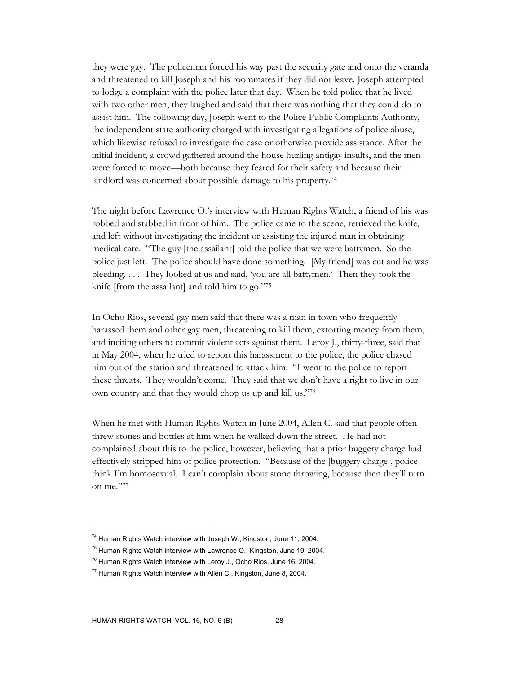they were gay. The policeman forced his way past the security gate and onto the veranda and threatened to kill Joseph and his roommates if they did not leave. Joseph attempted to lodge a complaint with the police later that day. When he told police that he lived with two other men, they laughed and said that there was nothing that they could do to assist him. The following day, Joseph went to the Police Public Complaints Authority, the independent state authority charged with investigating allegations of police abuse, which likewise refused to investigate the case or otherwise provide assistance. After the initial incident, a crowd gathered around the house hurling antigay insults, and the men were forced to move—both because they feared for their safety and because their landlord was concerned about possible damage to his property.74

The night before Lawrence O.'s interview with Human Rights Watch, a friend of his was robbed and stabbed in front of him. The police came to the scene, retrieved the knife, and left without investigating the incident or assisting the injured man in obtaining medical care. "The guy [the assailant] told the police that we were battymen. So the police just left. The police should have done something. [My friend] was cut and he was bleeding. . . . They looked at us and said, 'you are all battymen.' Then they took the knife [from the assailant] and told him to go."75

In Ocho Rios, several gay men said that there was a man in town who frequently harassed them and other gay men, threatening to kill them, extorting money from them, and inciting others to commit violent acts against them. Leroy J., thirty-three, said that in May 2004, when he tried to report this harassment to the police, the police chased him out of the station and threatened to attack him. "I went to the police to report these threats. They wouldn't come. They said that we don't have a right to live in our own country and that they would chop us up and kill us."76

When he met with Human Rights Watch in June 2004, Allen C. said that people often threw stones and bottles at him when he walked down the street. He had not complained about this to the police, however, believing that a prior buggery charge had effectively stripped him of police protection. "Because of the [buggery charge], police think I'm homosexual. I can't complain about stone throwing, because then they'll turn on me."77

<sup>&</sup>lt;sup>74</sup> Human Rights Watch interview with Joseph W., Kingston, June 11, 2004.

 $75$  Human Rights Watch interview with Lawrence O., Kingston, June 19, 2004.

 $76$  Human Rights Watch interview with Leroy J., Ocho Rios, June 16, 2004.

 $77$  Human Rights Watch interview with Allen C., Kingston, June 8, 2004.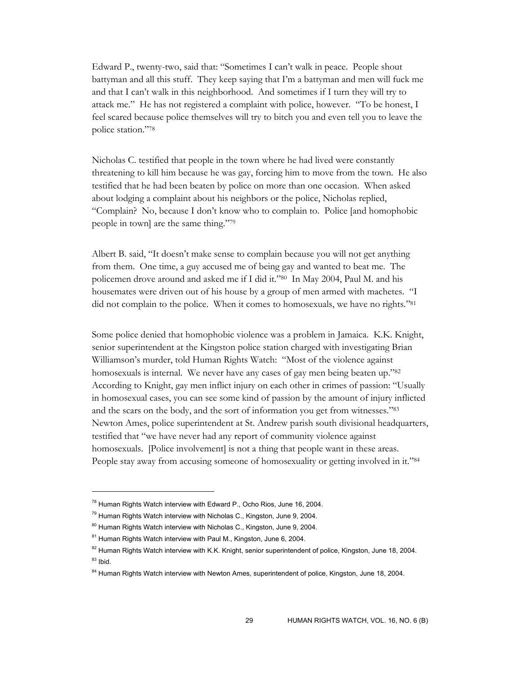Edward P., twenty-two, said that: "Sometimes I can't walk in peace. People shout battyman and all this stuff. They keep saying that I'm a battyman and men will fuck me and that I can't walk in this neighborhood. And sometimes if I turn they will try to attack me." He has not registered a complaint with police, however. "To be honest, I feel scared because police themselves will try to bitch you and even tell you to leave the police station."78

Nicholas C. testified that people in the town where he had lived were constantly threatening to kill him because he was gay, forcing him to move from the town. He also testified that he had been beaten by police on more than one occasion. When asked about lodging a complaint about his neighbors or the police, Nicholas replied, "Complain? No, because I don't know who to complain to. Police [and homophobic people in town] are the same thing."79

Albert B. said, "It doesn't make sense to complain because you will not get anything from them. One time, a guy accused me of being gay and wanted to beat me. The policemen drove around and asked me if I did it."80 In May 2004, Paul M. and his housemates were driven out of his house by a group of men armed with machetes. "I did not complain to the police. When it comes to homosexuals, we have no rights."<sup>81</sup>

Some police denied that homophobic violence was a problem in Jamaica. K.K. Knight, senior superintendent at the Kingston police station charged with investigating Brian Williamson's murder, told Human Rights Watch: "Most of the violence against homosexuals is internal. We never have any cases of gay men being beaten up."82 According to Knight, gay men inflict injury on each other in crimes of passion: "Usually in homosexual cases, you can see some kind of passion by the amount of injury inflicted and the scars on the body, and the sort of information you get from witnesses."83 Newton Ames, police superintendent at St. Andrew parish south divisional headquarters, testified that "we have never had any report of community violence against homosexuals. [Police involvement] is not a thing that people want in these areas. People stay away from accusing someone of homosexuality or getting involved in it."84

<sup>78</sup> Human Rights Watch interview with Edward P., Ocho Rios, June 16, 2004.

 $79$  Human Rights Watch interview with Nicholas C., Kingston, June 9, 2004.

<sup>&</sup>lt;sup>80</sup> Human Rights Watch interview with Nicholas C., Kingston, June 9, 2004.

<sup>&</sup>lt;sup>81</sup> Human Rights Watch interview with Paul M., Kingston, June 6, 2004.

<sup>&</sup>lt;sup>82</sup> Human Rights Watch interview with K.K. Knight, senior superintendent of police, Kingston, June 18, 2004.  $83$  Ibid.

<sup>&</sup>lt;sup>84</sup> Human Rights Watch interview with Newton Ames, superintendent of police, Kingston, June 18, 2004.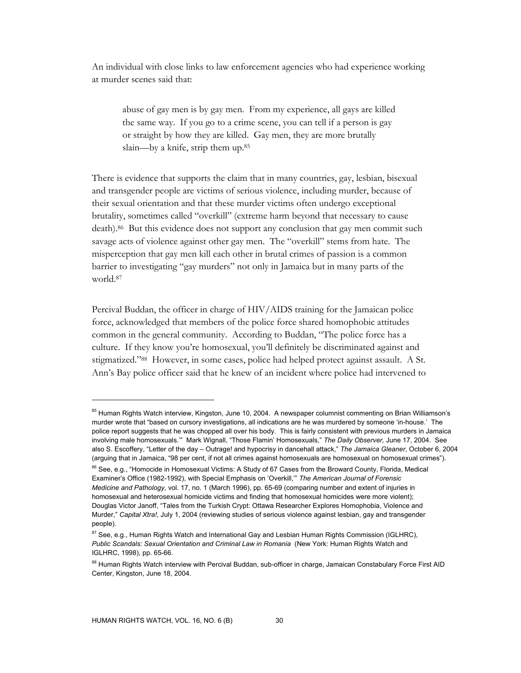An individual with close links to law enforcement agencies who had experience working at murder scenes said that:

abuse of gay men is by gay men. From my experience, all gays are killed the same way. If you go to a crime scene, you can tell if a person is gay or straight by how they are killed. Gay men, they are more brutally slain—by a knife, strip them up.85

There is evidence that supports the claim that in many countries, gay, lesbian, bisexual and transgender people are victims of serious violence, including murder, because of their sexual orientation and that these murder victims often undergo exceptional brutality, sometimes called "overkill" (extreme harm beyond that necessary to cause death).86 But this evidence does not support any conclusion that gay men commit such savage acts of violence against other gay men. The "overkill" stems from hate. The misperception that gay men kill each other in brutal crimes of passion is a common barrier to investigating "gay murders" not only in Jamaica but in many parts of the world.87

Percival Buddan, the officer in charge of HIV/AIDS training for the Jamaican police force, acknowledged that members of the police force shared homophobic attitudes common in the general community. According to Buddan, "The police force has a culture. If they know you're homosexual, you'll definitely be discriminated against and stigmatized."88 However, in some cases, police had helped protect against assault. A St. Ann's Bay police officer said that he knew of an incident where police had intervened to

<sup>&</sup>lt;sup>85</sup> Human Rights Watch interview, Kingston, June 10, 2004. A newspaper columnist commenting on Brian Williamson's murder wrote that "based on cursory investigations, all indications are he was murdered by someone 'in-house.' The police report suggests that he was chopped all over his body. This is fairly consistent with previous murders in Jamaica involving male homosexuals.'" Mark Wignall, "Those Flamin' Homosexuals," *The Daily Observer,* June 17, 2004. See also S. Escoffery, "Letter of the day – Outrage! and hypocrisy in dancehall attack," *The Jamaica Gleaner*, October 6, 2004 (arguing that in Jamaica, "98 per cent, if not all crimes against homosexuals are homosexual on homosexual crimes").

<sup>&</sup>lt;sup>86</sup> See, e.g., "Homocide in Homosexual Victims: A Study of 67 Cases from the Broward County, Florida, Medical Examiner's Office (1982-1992), with Special Emphasis on 'Overkill,'" *The American Journal of Forensic Medicine and Pathology,* vol. 17, no. 1 (March 1996), pp. 65-69 (comparing number and extent of injuries in homosexual and heterosexual homicide victims and finding that homosexual homicides were more violent); Douglas Victor Janoff, "Tales from the Turkish Crypt: Ottawa Researcher Explores Homophobia, Violence and Murder," *Capital Xtra!,* July 1, 2004 (reviewing studies of serious violence against lesbian, gay and transgender people).

<sup>&</sup>lt;sup>87</sup> See, e.g., Human Rights Watch and International Gay and Lesbian Human Rights Commission (IGLHRC), *Public Scandals: Sexual Orientation and Criminal Law in Romania* (New York: Human Rights Watch and IGLHRC, 1998), pp. 65-66.

<sup>88</sup> Human Rights Watch interview with Percival Buddan, sub-officer in charge, Jamaican Constabulary Force First AID Center, Kingston, June 18, 2004.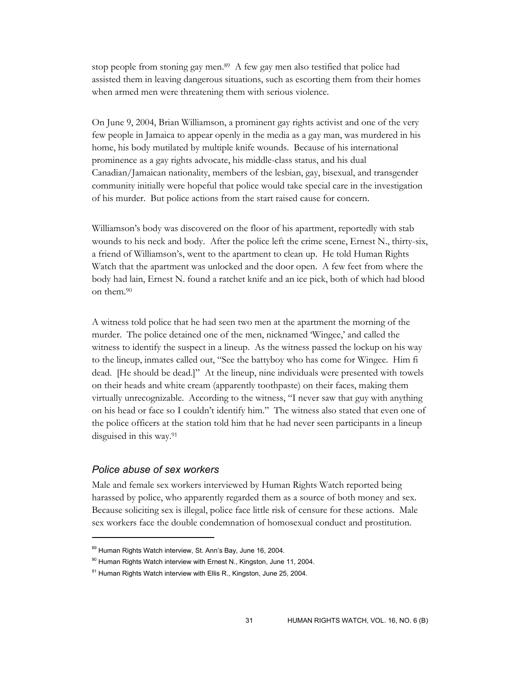stop people from stoning gay men.89 A few gay men also testified that police had assisted them in leaving dangerous situations, such as escorting them from their homes when armed men were threatening them with serious violence.

On June 9, 2004, Brian Williamson, a prominent gay rights activist and one of the very few people in Jamaica to appear openly in the media as a gay man, was murdered in his home, his body mutilated by multiple knife wounds. Because of his international prominence as a gay rights advocate, his middle-class status, and his dual Canadian/Jamaican nationality, members of the lesbian, gay, bisexual, and transgender community initially were hopeful that police would take special care in the investigation of his murder. But police actions from the start raised cause for concern.

Williamson's body was discovered on the floor of his apartment, reportedly with stab wounds to his neck and body. After the police left the crime scene, Ernest N., thirty-six, a friend of Williamson's, went to the apartment to clean up. He told Human Rights Watch that the apartment was unlocked and the door open. A few feet from where the body had lain, Ernest N. found a ratchet knife and an ice pick, both of which had blood on them.90

A witness told police that he had seen two men at the apartment the morning of the murder. The police detained one of the men, nicknamed 'Wingee,' and called the witness to identify the suspect in a lineup. As the witness passed the lockup on his way to the lineup, inmates called out, "See the battyboy who has come for Wingee. Him fi dead. [He should be dead.]" At the lineup, nine individuals were presented with towels on their heads and white cream (apparently toothpaste) on their faces, making them virtually unrecognizable. According to the witness, "I never saw that guy with anything on his head or face so I couldn't identify him." The witness also stated that even one of the police officers at the station told him that he had never seen participants in a lineup disguised in this way.91

#### *Police abuse of sex workers*

 $\overline{a}$ 

Male and female sex workers interviewed by Human Rights Watch reported being harassed by police, who apparently regarded them as a source of both money and sex. Because soliciting sex is illegal, police face little risk of censure for these actions. Male sex workers face the double condemnation of homosexual conduct and prostitution.

<sup>89</sup> Human Rights Watch interview, St. Ann's Bay, June 16, 2004.

<sup>90</sup> Human Rights Watch interview with Ernest N., Kingston, June 11, 2004.

 $91$  Human Rights Watch interview with Ellis R., Kingston, June 25, 2004.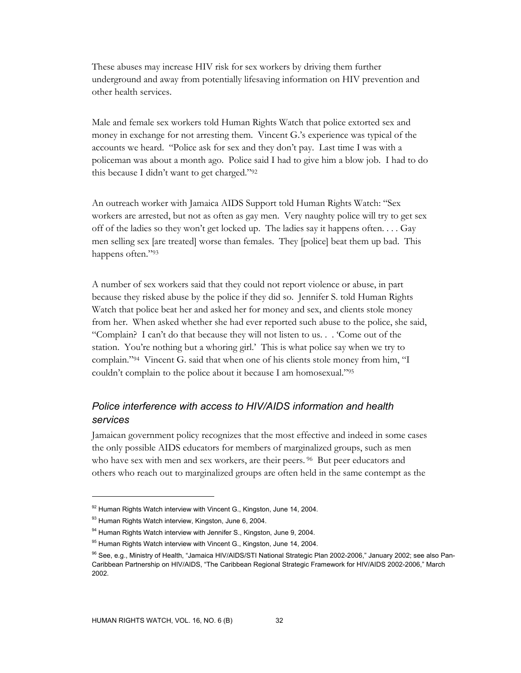These abuses may increase HIV risk for sex workers by driving them further underground and away from potentially lifesaving information on HIV prevention and other health services.

Male and female sex workers told Human Rights Watch that police extorted sex and money in exchange for not arresting them. Vincent G.'s experience was typical of the accounts we heard. "Police ask for sex and they don't pay. Last time I was with a policeman was about a month ago. Police said I had to give him a blow job. I had to do this because I didn't want to get charged."92

An outreach worker with Jamaica AIDS Support told Human Rights Watch: "Sex workers are arrested, but not as often as gay men. Very naughty police will try to get sex off of the ladies so they won't get locked up. The ladies say it happens often. . . . Gay men selling sex [are treated] worse than females. They [police] beat them up bad. This happens often."93

A number of sex workers said that they could not report violence or abuse, in part because they risked abuse by the police if they did so. Jennifer S. told Human Rights Watch that police beat her and asked her for money and sex, and clients stole money from her. When asked whether she had ever reported such abuse to the police, she said, "Complain? I can't do that because they will not listen to us. . . 'Come out of the station. You're nothing but a whoring girl.' This is what police say when we try to complain."94 Vincent G. said that when one of his clients stole money from him, "I couldn't complain to the police about it because I am homosexual."95

## *Police interference with access to HIV/AIDS information and health services*

Jamaican government policy recognizes that the most effective and indeed in some cases the only possible AIDS educators for members of marginalized groups, such as men who have sex with men and sex workers, are their peers. <sup>96</sup> But peer educators and others who reach out to marginalized groups are often held in the same contempt as the

<sup>92</sup> Human Rights Watch interview with Vincent G., Kingston, June 14, 2004.

<sup>93</sup> Human Rights Watch interview, Kingston, June 6, 2004.

<sup>94</sup> Human Rights Watch interview with Jennifer S., Kingston, June 9, 2004.

<sup>&</sup>lt;sup>95</sup> Human Rights Watch interview with Vincent G., Kingston, June 14, 2004.

<sup>96</sup> See, e.g., Ministry of Health, "Jamaica HIV/AIDS/STI National Strategic Plan 2002-2006," January 2002; see also Pan-Caribbean Partnership on HIV/AIDS, "The Caribbean Regional Strategic Framework for HIV/AIDS 2002-2006," March 2002.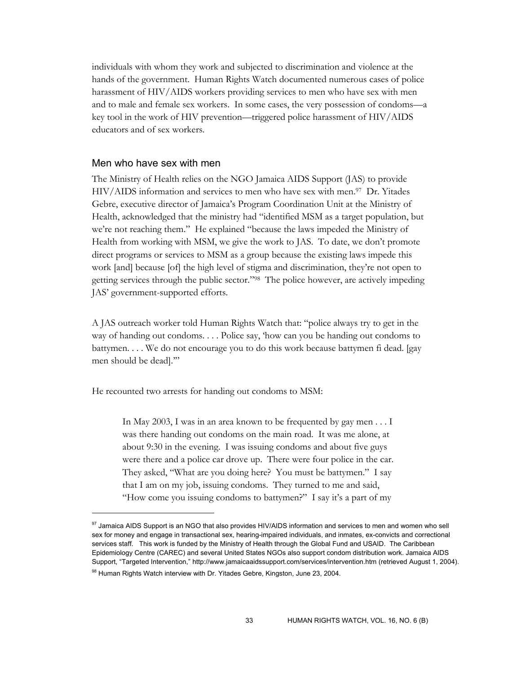individuals with whom they work and subjected to discrimination and violence at the hands of the government. Human Rights Watch documented numerous cases of police harassment of HIV/AIDS workers providing services to men who have sex with men and to male and female sex workers. In some cases, the very possession of condoms—a key tool in the work of HIV prevention—triggered police harassment of HIV/AIDS educators and of sex workers.

#### Men who have sex with men

-

The Ministry of Health relies on the NGO Jamaica AIDS Support (JAS) to provide HIV/AIDS information and services to men who have sex with men.<sup>97</sup> Dr. Yitades Gebre, executive director of Jamaica's Program Coordination Unit at the Ministry of Health, acknowledged that the ministry had "identified MSM as a target population, but we're not reaching them." He explained "because the laws impeded the Ministry of Health from working with MSM, we give the work to JAS. To date, we don't promote direct programs or services to MSM as a group because the existing laws impede this work [and] because [of] the high level of stigma and discrimination, they're not open to getting services through the public sector."98 The police however, are actively impeding JAS' government-supported efforts.

A JAS outreach worker told Human Rights Watch that: "police always try to get in the way of handing out condoms. . . . Police say, 'how can you be handing out condoms to battymen. . . . We do not encourage you to do this work because battymen fi dead. [gay men should be dead].'"

He recounted two arrests for handing out condoms to MSM:

In May 2003, I was in an area known to be frequented by gay men . . . I was there handing out condoms on the main road. It was me alone, at about 9:30 in the evening. I was issuing condoms and about five guys were there and a police car drove up. There were four police in the car. They asked, "What are you doing here? You must be battymen." I say that I am on my job, issuing condoms. They turned to me and said, "How come you issuing condoms to battymen?" I say it's a part of my

<sup>&</sup>lt;sup>97</sup> Jamaica AIDS Support is an NGO that also provides HIV/AIDS information and services to men and women who sell sex for money and engage in transactional sex, hearing-impaired individuals, and inmates, ex-convicts and correctional services staff. This work is funded by the Ministry of Health through the Global Fund and USAID. The Caribbean Epidemiology Centre (CAREC) and several United States NGOs also support condom distribution work. Jamaica AIDS Support, "Targeted Intervention," http://www.jamaicaaidssupport.com/services/intervention.htm (retrieved August 1, 2004). 98 Human Rights Watch interview with Dr. Yitades Gebre, Kingston, June 23, 2004.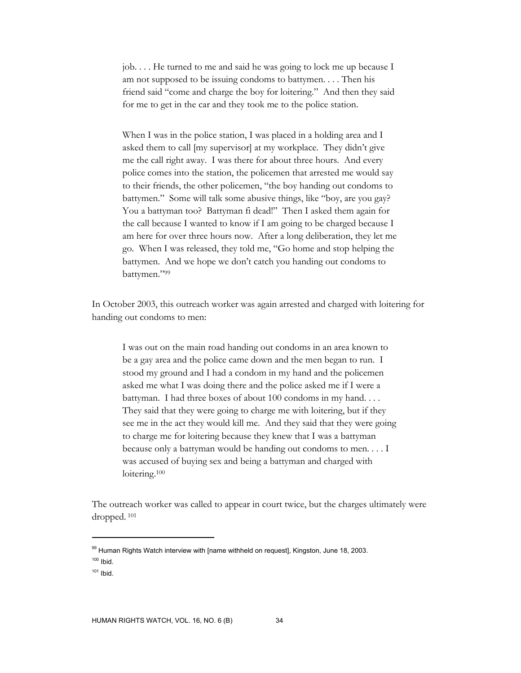job. . . . He turned to me and said he was going to lock me up because I am not supposed to be issuing condoms to battymen. . . . Then his friend said "come and charge the boy for loitering." And then they said for me to get in the car and they took me to the police station.

When I was in the police station, I was placed in a holding area and I asked them to call [my supervisor] at my workplace. They didn't give me the call right away. I was there for about three hours. And every police comes into the station, the policemen that arrested me would say to their friends, the other policemen, "the boy handing out condoms to battymen." Some will talk some abusive things, like "boy, are you gay? You a battyman too? Battyman fi dead!" Then I asked them again for the call because I wanted to know if I am going to be charged because I am here for over three hours now. After a long deliberation, they let me go. When I was released, they told me, "Go home and stop helping the battymen. And we hope we don't catch you handing out condoms to battymen."99

In October 2003, this outreach worker was again arrested and charged with loitering for handing out condoms to men:

I was out on the main road handing out condoms in an area known to be a gay area and the police came down and the men began to run. I stood my ground and I had a condom in my hand and the policemen asked me what I was doing there and the police asked me if I were a battyman. I had three boxes of about 100 condoms in my hand. . . . They said that they were going to charge me with loitering, but if they see me in the act they would kill me. And they said that they were going to charge me for loitering because they knew that I was a battyman because only a battyman would be handing out condoms to men. . . . I was accused of buying sex and being a battyman and charged with loitering.<sup>100</sup>

The outreach worker was called to appear in court twice, but the charges ultimately were dropped. 101

<sup>99</sup> Human Rights Watch interview with [name withheld on request], Kingston, June 18, 2003.

 $100$  Ibid.

 $101$  Ibid.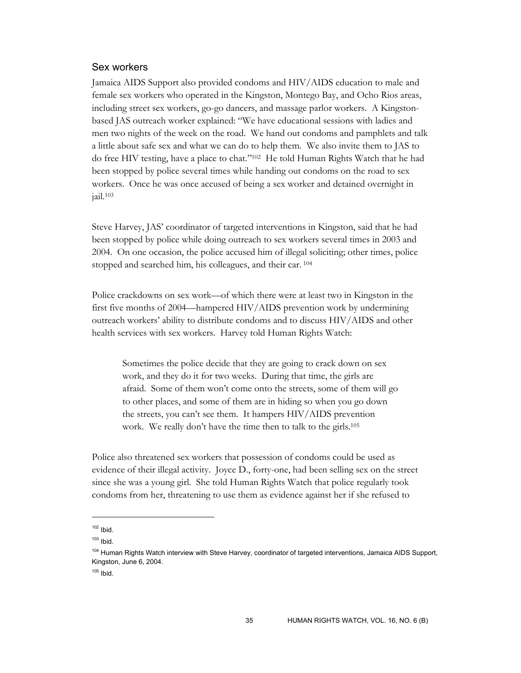### Sex workers

Jamaica AIDS Support also provided condoms and HIV/AIDS education to male and female sex workers who operated in the Kingston, Montego Bay, and Ocho Rios areas, including street sex workers, go-go dancers, and massage parlor workers. A Kingstonbased JAS outreach worker explained: "We have educational sessions with ladies and men two nights of the week on the road. We hand out condoms and pamphlets and talk a little about safe sex and what we can do to help them. We also invite them to JAS to do free HIV testing, have a place to chat."102 He told Human Rights Watch that he had been stopped by police several times while handing out condoms on the road to sex workers. Once he was once accused of being a sex worker and detained overnight in jail.103

Steve Harvey, JAS' coordinator of targeted interventions in Kingston, said that he had been stopped by police while doing outreach to sex workers several times in 2003 and 2004. On one occasion, the police accused him of illegal soliciting; other times, police stopped and searched him, his colleagues, and their car. 104

Police crackdowns on sex work—of which there were at least two in Kingston in the first five months of 2004—hampered HIV/AIDS prevention work by undermining outreach workers' ability to distribute condoms and to discuss HIV/AIDS and other health services with sex workers. Harvey told Human Rights Watch:

Sometimes the police decide that they are going to crack down on sex work, and they do it for two weeks. During that time, the girls are afraid. Some of them won't come onto the streets, some of them will go to other places, and some of them are in hiding so when you go down the streets, you can't see them. It hampers HIV/AIDS prevention work. We really don't have the time then to talk to the girls.<sup>105</sup>

Police also threatened sex workers that possession of condoms could be used as evidence of their illegal activity. Joyce D., forty-one, had been selling sex on the street since she was a young girl. She told Human Rights Watch that police regularly took condoms from her, threatening to use them as evidence against her if she refused to

 $102$  Ibid.

 $103$  Ibid.

<sup>&</sup>lt;sup>104</sup> Human Rights Watch interview with Steve Harvey, coordinator of targeted interventions, Jamaica AIDS Support, Kingston, June 6, 2004.

 $105$  Ibid.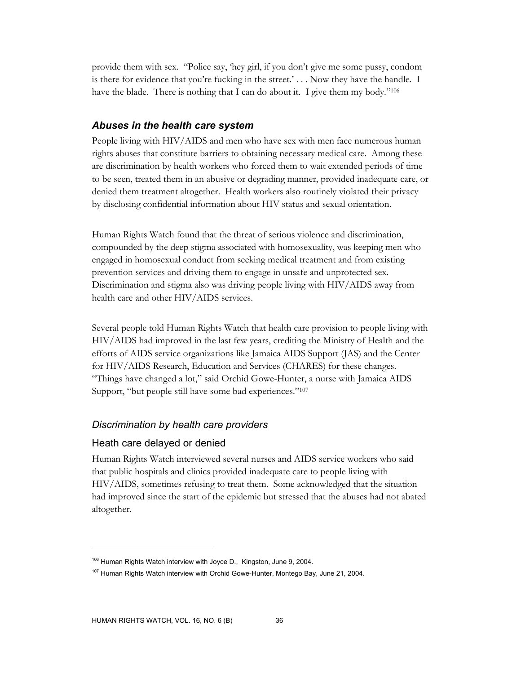provide them with sex. "Police say, 'hey girl, if you don't give me some pussy, condom is there for evidence that you're fucking in the street.'  $\ldots$  Now they have the handle. I have the blade. There is nothing that I can do about it. I give them my body."<sup>106</sup>

### *Abuses in the health care system*

People living with HIV/AIDS and men who have sex with men face numerous human rights abuses that constitute barriers to obtaining necessary medical care. Among these are discrimination by health workers who forced them to wait extended periods of time to be seen, treated them in an abusive or degrading manner, provided inadequate care, or denied them treatment altogether. Health workers also routinely violated their privacy by disclosing confidential information about HIV status and sexual orientation.

Human Rights Watch found that the threat of serious violence and discrimination, compounded by the deep stigma associated with homosexuality, was keeping men who engaged in homosexual conduct from seeking medical treatment and from existing prevention services and driving them to engage in unsafe and unprotected sex. Discrimination and stigma also was driving people living with HIV/AIDS away from health care and other HIV/AIDS services.

Several people told Human Rights Watch that health care provision to people living with HIV/AIDS had improved in the last few years, crediting the Ministry of Health and the efforts of AIDS service organizations like Jamaica AIDS Support (JAS) and the Center for HIV/AIDS Research, Education and Services (CHARES) for these changes. "Things have changed a lot," said Orchid Gowe-Hunter, a nurse with Jamaica AIDS Support, "but people still have some bad experiences."107

### *Discrimination by health care providers*

### Heath care delayed or denied

Human Rights Watch interviewed several nurses and AIDS service workers who said that public hospitals and clinics provided inadequate care to people living with HIV/AIDS, sometimes refusing to treat them. Some acknowledged that the situation had improved since the start of the epidemic but stressed that the abuses had not abated altogether.

<sup>&</sup>lt;sup>106</sup> Human Rights Watch interview with Joyce D., Kingston, June 9, 2004.

<sup>&</sup>lt;sup>107</sup> Human Rights Watch interview with Orchid Gowe-Hunter, Montego Bay, June 21, 2004.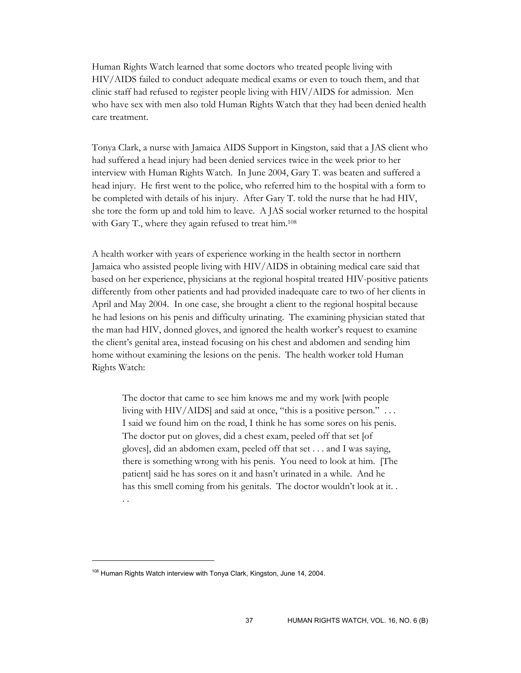Human Rights Watch learned that some doctors who treated people living with HIV/AIDS failed to conduct adequate medical exams or even to touch them, and that clinic staff had refused to register people living with HIV/AIDS for admission. Men who have sex with men also told Human Rights Watch that they had been denied health care treatment.

Tonya Clark, a nurse with Jamaica AIDS Support in Kingston, said that a JAS client who had suffered a head injury had been denied services twice in the week prior to her interview with Human Rights Watch. In June 2004, Gary T. was beaten and suffered a head injury. He first went to the police, who referred him to the hospital with a form to be completed with details of his injury. After Gary T. told the nurse that he had HIV, she tore the form up and told him to leave. A JAS social worker returned to the hospital with Gary T., where they again refused to treat him.108

A health worker with years of experience working in the health sector in northern Jamaica who assisted people living with HIV/AIDS in obtaining medical care said that based on her experience, physicians at the regional hospital treated HIV-positive patients differently from other patients and had provided inadequate care to two of her clients in April and May 2004. In one case, she brought a client to the regional hospital because he had lesions on his penis and difficulty urinating. The examining physician stated that the man had HIV, donned gloves, and ignored the health worker's request to examine the client's genital area, instead focusing on his chest and abdomen and sending him home without examining the lesions on the penis. The health worker told Human Rights Watch:

The doctor that came to see him knows me and my work [with people living with HIV/AIDS] and said at once, "this is a positive person." ... I said we found him on the road, I think he has some sores on his penis. The doctor put on gloves, did a chest exam, peeled off that set [of gloves], did an abdomen exam, peeled off that set . . . and I was saying, there is something wrong with his penis. You need to look at him. [The patient] said he has sores on it and hasn't urinated in a while. And he has this smell coming from his genitals. The doctor wouldn't look at it. . . .

<sup>&</sup>lt;sup>108</sup> Human Rights Watch interview with Tonya Clark, Kingston, June 14, 2004.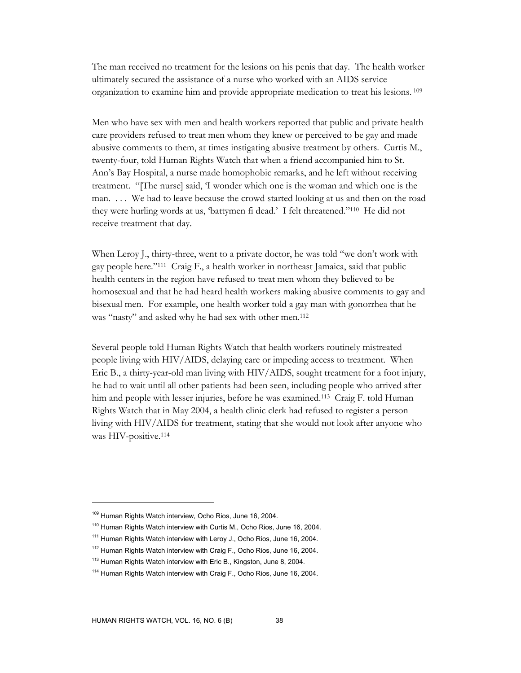The man received no treatment for the lesions on his penis that day. The health worker ultimately secured the assistance of a nurse who worked with an AIDS service organization to examine him and provide appropriate medication to treat his lesions. 109

Men who have sex with men and health workers reported that public and private health care providers refused to treat men whom they knew or perceived to be gay and made abusive comments to them, at times instigating abusive treatment by others. Curtis M., twenty-four, told Human Rights Watch that when a friend accompanied him to St. Ann's Bay Hospital, a nurse made homophobic remarks, and he left without receiving treatment. "[The nurse] said, 'I wonder which one is the woman and which one is the man. . . . We had to leave because the crowd started looking at us and then on the road they were hurling words at us, 'battymen fi dead.' I felt threatened."110 He did not receive treatment that day.

When Leroy J., thirty-three, went to a private doctor, he was told "we don't work with gay people here."111 Craig F., a health worker in northeast Jamaica, said that public health centers in the region have refused to treat men whom they believed to be homosexual and that he had heard health workers making abusive comments to gay and bisexual men. For example, one health worker told a gay man with gonorrhea that he was "nasty" and asked why he had sex with other men.<sup>112</sup>

Several people told Human Rights Watch that health workers routinely mistreated people living with HIV/AIDS, delaying care or impeding access to treatment. When Eric B., a thirty-year-old man living with HIV/AIDS, sought treatment for a foot injury, he had to wait until all other patients had been seen, including people who arrived after him and people with lesser injuries, before he was examined.113 Craig F. told Human Rights Watch that in May 2004, a health clinic clerk had refused to register a person living with HIV/AIDS for treatment, stating that she would not look after anyone who was HIV-positive.<sup>114</sup>

<sup>109</sup> Human Rights Watch interview, Ocho Rios, June 16, 2004.

<sup>&</sup>lt;sup>110</sup> Human Rights Watch interview with Curtis M., Ocho Rios, June 16, 2004.

<sup>&</sup>lt;sup>111</sup> Human Rights Watch interview with Leroy J., Ocho Rios, June 16, 2004.

<sup>&</sup>lt;sup>112</sup> Human Rights Watch interview with Craig F., Ocho Rios, June 16, 2004.

<sup>&</sup>lt;sup>113</sup> Human Rights Watch interview with Eric B., Kingston, June 8, 2004.

<sup>&</sup>lt;sup>114</sup> Human Rights Watch interview with Craig F., Ocho Rios, June 16, 2004.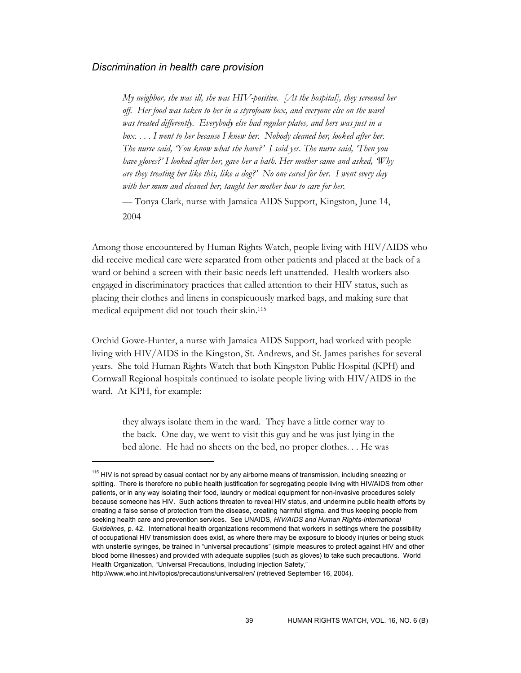### *Discrimination in health care provision*

*My neighbor, she was ill, she was HIV-positive. [At the hospital], they screened her off. Her food was taken to her in a styrofoam box, and everyone else on the ward was treated differently. Everybody else had regular plates, and hers was just in a*  box.... I went to her because I knew her. Nobody cleaned her, looked after her. *The nurse said, 'You know what she have?' I said yes. The nurse said, 'Then you have gloves?' I looked after her, gave her a bath. Her mother came and asked, 'Why are they treating her like this, like a dog?' No one cared for her. I went every day with her mum and cleaned her, taught her mother how to care for her.* 

— Tonya Clark, nurse with Jamaica AIDS Support, Kingston, June 14, 2004

Among those encountered by Human Rights Watch, people living with HIV/AIDS who did receive medical care were separated from other patients and placed at the back of a ward or behind a screen with their basic needs left unattended. Health workers also engaged in discriminatory practices that called attention to their HIV status, such as placing their clothes and linens in conspicuously marked bags, and making sure that medical equipment did not touch their skin.115

Orchid Gowe-Hunter, a nurse with Jamaica AIDS Support, had worked with people living with HIV/AIDS in the Kingston, St. Andrews, and St. James parishes for several years. She told Human Rights Watch that both Kingston Public Hospital (KPH) and Cornwall Regional hospitals continued to isolate people living with HIV/AIDS in the ward. At KPH, for example:

they always isolate them in the ward. They have a little corner way to the back. One day, we went to visit this guy and he was just lying in the bed alone. He had no sheets on the bed, no proper clothes. . . He was

 $115$  HIV is not spread by casual contact nor by any airborne means of transmission, including sneezing or spitting. There is therefore no public health justification for segregating people living with HIV/AIDS from other patients, or in any way isolating their food, laundry or medical equipment for non-invasive procedures solely because someone has HIV. Such actions threaten to reveal HIV status, and undermine public health efforts by creating a false sense of protection from the disease, creating harmful stigma, and thus keeping people from seeking health care and prevention services. See UNAIDS, *HIV/AIDS and Human Rights-International Guidelines*, p. 42. International health organizations recommend that workers in settings where the possibility of occupational HIV transmission does exist, as where there may be exposure to bloody injuries or being stuck with unsterile syringes, be trained in "universal precautions" (simple measures to protect against HIV and other blood borne illnesses) and provided with adequate supplies (such as gloves) to take such precautions. World Health Organization, "Universal Precautions, Including Injection Safety,"

http://www.who.int.hiv/topics/precautions/universal/en/ (retrieved September 16, 2004).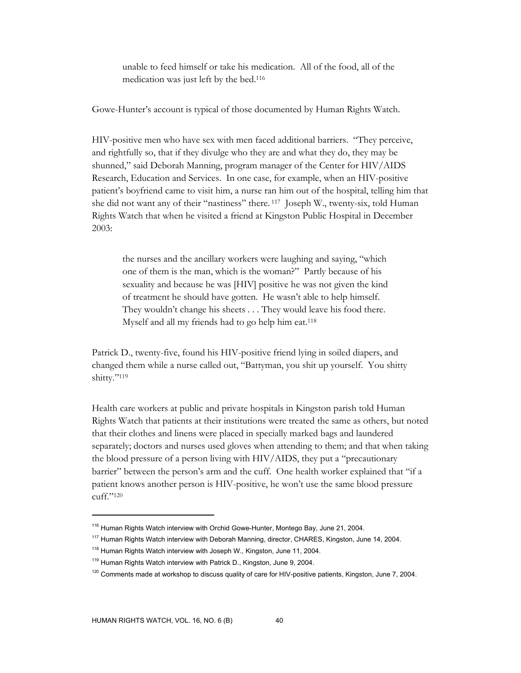unable to feed himself or take his medication. All of the food, all of the medication was just left by the bed.116

Gowe-Hunter's account is typical of those documented by Human Rights Watch.

HIV-positive men who have sex with men faced additional barriers. "They perceive, and rightfully so, that if they divulge who they are and what they do, they may be shunned," said Deborah Manning, program manager of the Center for HIV/AIDS Research, Education and Services. In one case, for example, when an HIV-positive patient's boyfriend came to visit him, a nurse ran him out of the hospital, telling him that she did not want any of their "nastiness" there. 117 Joseph W., twenty-six, told Human Rights Watch that when he visited a friend at Kingston Public Hospital in December 2003:

the nurses and the ancillary workers were laughing and saying, "which one of them is the man, which is the woman?" Partly because of his sexuality and because he was [HIV] positive he was not given the kind of treatment he should have gotten. He wasn't able to help himself. They wouldn't change his sheets . . . They would leave his food there. Myself and all my friends had to go help him eat.<sup>118</sup>

Patrick D., twenty-five, found his HIV-positive friend lying in soiled diapers, and changed them while a nurse called out, "Battyman, you shit up yourself. You shitty shitty."119

Health care workers at public and private hospitals in Kingston parish told Human Rights Watch that patients at their institutions were treated the same as others, but noted that their clothes and linens were placed in specially marked bags and laundered separately; doctors and nurses used gloves when attending to them; and that when taking the blood pressure of a person living with HIV/AIDS, they put a "precautionary barrier" between the person's arm and the cuff. One health worker explained that "if a patient knows another person is HIV-positive, he won't use the same blood pressure cuff."120

<sup>&</sup>lt;sup>116</sup> Human Rights Watch interview with Orchid Gowe-Hunter, Montego Bay, June 21, 2004.

<sup>&</sup>lt;sup>117</sup> Human Rights Watch interview with Deborah Manning, director, CHARES, Kingston, June 14, 2004.

<sup>&</sup>lt;sup>118</sup> Human Rights Watch interview with Joseph W., Kingston, June 11, 2004.

<sup>&</sup>lt;sup>119</sup> Human Rights Watch interview with Patrick D., Kingston, June 9, 2004.

<sup>&</sup>lt;sup>120</sup> Comments made at workshop to discuss quality of care for HIV-positive patients, Kingston, June 7, 2004.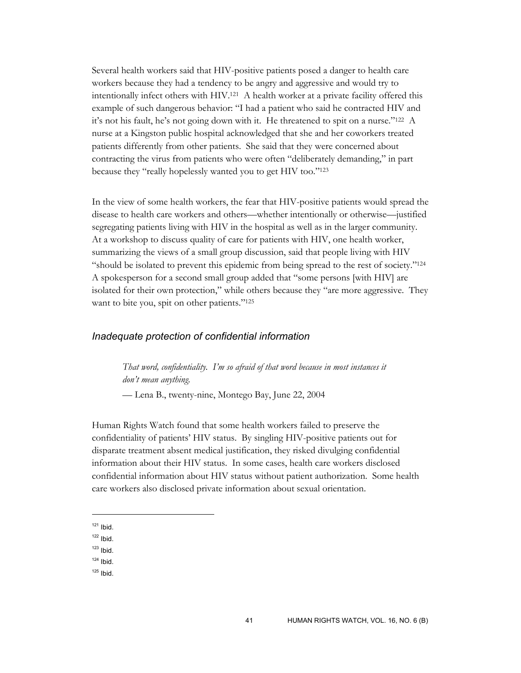Several health workers said that HIV-positive patients posed a danger to health care workers because they had a tendency to be angry and aggressive and would try to intentionally infect others with HIV.121 A health worker at a private facility offered this example of such dangerous behavior: "I had a patient who said he contracted HIV and it's not his fault, he's not going down with it. He threatened to spit on a nurse."122 A nurse at a Kingston public hospital acknowledged that she and her coworkers treated patients differently from other patients. She said that they were concerned about contracting the virus from patients who were often "deliberately demanding," in part because they "really hopelessly wanted you to get HIV too."123

In the view of some health workers, the fear that HIV-positive patients would spread the disease to health care workers and others—whether intentionally or otherwise—justified segregating patients living with HIV in the hospital as well as in the larger community. At a workshop to discuss quality of care for patients with HIV, one health worker, summarizing the views of a small group discussion, said that people living with HIV "should be isolated to prevent this epidemic from being spread to the rest of society."124 A spokesperson for a second small group added that "some persons [with HIV] are isolated for their own protection," while others because they "are more aggressive. They want to bite you, spit on other patients."<sup>125</sup>

### *Inadequate protection of confidential information*

*That word, confidentiality. I'm so afraid of that word because in most instances it don't mean anything.* 

— Lena B., twenty-nine, Montego Bay, June 22, 2004

Human Rights Watch found that some health workers failed to preserve the confidentiality of patients' HIV status. By singling HIV-positive patients out for disparate treatment absent medical justification, they risked divulging confidential information about their HIV status. In some cases, health care workers disclosed confidential information about HIV status without patient authorization. Some health care workers also disclosed private information about sexual orientation.

- $124$  Ibid.
- $125$  Ibid.

 $121$  Ibid.

 $122$  Ibid.

 $123$  Ibid.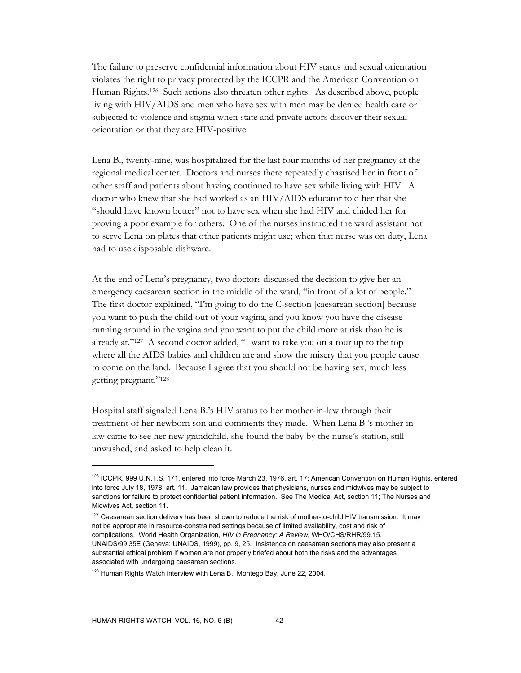The failure to preserve confidential information about HIV status and sexual orientation violates the right to privacy protected by the ICCPR and the American Convention on Human Rights.126 Such actions also threaten other rights. As described above, people living with HIV/AIDS and men who have sex with men may be denied health care or subjected to violence and stigma when state and private actors discover their sexual orientation or that they are HIV-positive.

Lena B., twenty-nine, was hospitalized for the last four months of her pregnancy at the regional medical center. Doctors and nurses there repeatedly chastised her in front of other staff and patients about having continued to have sex while living with HIV. A doctor who knew that she had worked as an HIV/AIDS educator told her that she "should have known better" not to have sex when she had HIV and chided her for proving a poor example for others. One of the nurses instructed the ward assistant not to serve Lena on plates that other patients might use; when that nurse was on duty, Lena had to use disposable dishware.

At the end of Lena's pregnancy, two doctors discussed the decision to give her an emergency caesarean section in the middle of the ward, "in front of a lot of people." The first doctor explained, "I'm going to do the C-section [caesarean section] because you want to push the child out of your vagina, and you know you have the disease running around in the vagina and you want to put the child more at risk than he is already at."127 A second doctor added, "I want to take you on a tour up to the top where all the AIDS babies and children are and show the misery that you people cause to come on the land. Because I agree that you should not be having sex, much less getting pregnant."128

Hospital staff signaled Lena B.'s HIV status to her mother-in-law through their treatment of her newborn son and comments they made. When Lena B.'s mother-inlaw came to see her new grandchild, she found the baby by the nurse's station, still unwashed, and asked to help clean it.

<sup>126</sup> ICCPR, 999 U.N.T.S. 171, entered into force March 23, 1976, art. 17; American Convention on Human Rights, entered into force July 18, 1978, art. 11. Jamaican law provides that physicians, nurses and midwives may be subject to sanctions for failure to protect confidential patient information. See The Medical Act, section 11; The Nurses and Midwives Act, section 11.

 $127$  Caesarean section delivery has been shown to reduce the risk of mother-to-child HIV transmission. It may not be appropriate in resource-constrained settings because of limited availability, cost and risk of complications. World Health Organization, *HIV in Pregnancy: A Review,* WHO/CHS/RHR/99.15, UNAIDS/99.35E (Geneva: UNAIDS, 1999), pp. 9, 25. Insistence on caesarean sections may also present a substantial ethical problem if women are not properly briefed about both the risks and the advantages associated with undergoing caesarean sections.

<sup>&</sup>lt;sup>128</sup> Human Rights Watch interview with Lena B., Montego Bay, June 22, 2004.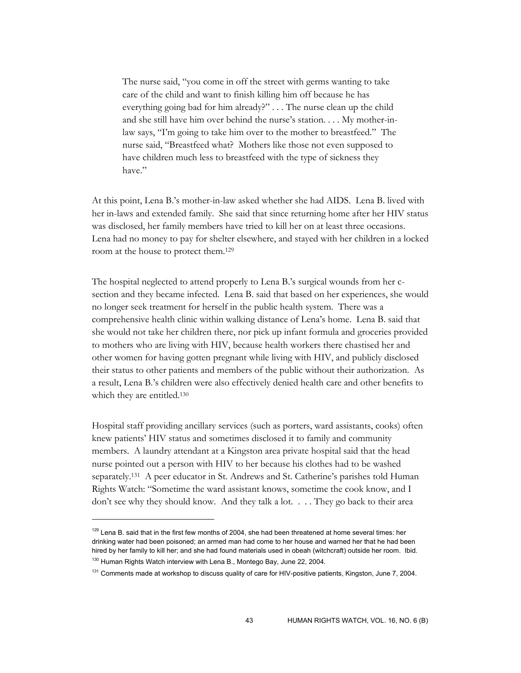The nurse said, "you come in off the street with germs wanting to take care of the child and want to finish killing him off because he has everything going bad for him already?" . . . The nurse clean up the child and she still have him over behind the nurse's station. . . . My mother-inlaw says, "I'm going to take him over to the mother to breastfeed." The nurse said, "Breastfeed what? Mothers like those not even supposed to have children much less to breastfeed with the type of sickness they have."

At this point, Lena B.'s mother-in-law asked whether she had AIDS. Lena B. lived with her in-laws and extended family. She said that since returning home after her HIV status was disclosed, her family members have tried to kill her on at least three occasions. Lena had no money to pay for shelter elsewhere, and stayed with her children in a locked room at the house to protect them.129

The hospital neglected to attend properly to Lena B.'s surgical wounds from her csection and they became infected. Lena B. said that based on her experiences, she would no longer seek treatment for herself in the public health system. There was a comprehensive health clinic within walking distance of Lena's home. Lena B. said that she would not take her children there, nor pick up infant formula and groceries provided to mothers who are living with HIV, because health workers there chastised her and other women for having gotten pregnant while living with HIV, and publicly disclosed their status to other patients and members of the public without their authorization. As a result, Lena B.'s children were also effectively denied health care and other benefits to which they are entitled.<sup>130</sup>

Hospital staff providing ancillary services (such as porters, ward assistants, cooks) often knew patients' HIV status and sometimes disclosed it to family and community members. A laundry attendant at a Kingston area private hospital said that the head nurse pointed out a person with HIV to her because his clothes had to be washed separately.131 A peer educator in St. Andrews and St. Catherine's parishes told Human Rights Watch: "Sometime the ward assistant knows, sometime the cook know, and I don't see why they should know. And they talk a lot. . . . They go back to their area

 $129$  Lena B. said that in the first few months of 2004, she had been threatened at home several times: her drinking water had been poisoned; an armed man had come to her house and warned her that he had been hired by her family to kill her; and she had found materials used in obeah (witchcraft) outside her room. Ibid. <sup>130</sup> Human Rights Watch interview with Lena B., Montego Bay, June 22, 2004.

<sup>&</sup>lt;sup>131</sup> Comments made at workshop to discuss quality of care for HIV-positive patients, Kingston, June 7, 2004.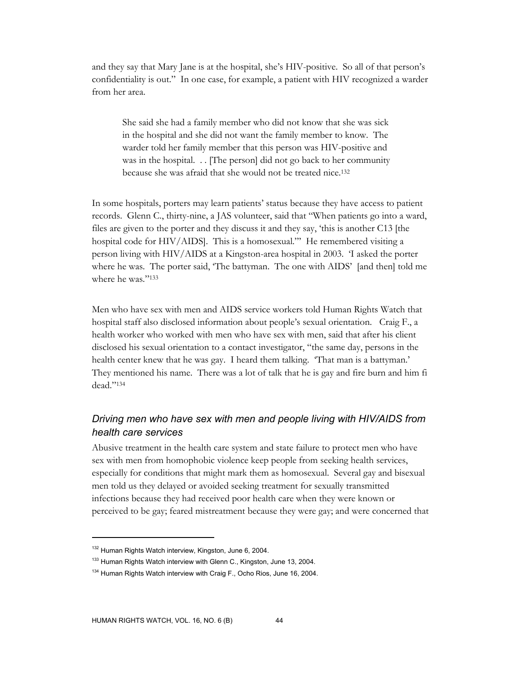and they say that Mary Jane is at the hospital, she's HIV-positive. So all of that person's confidentiality is out." In one case, for example, a patient with HIV recognized a warder from her area.

She said she had a family member who did not know that she was sick in the hospital and she did not want the family member to know. The warder told her family member that this person was HIV-positive and was in the hospital. . . [The person] did not go back to her community because she was afraid that she would not be treated nice.132

In some hospitals, porters may learn patients' status because they have access to patient records. Glenn C., thirty-nine, a JAS volunteer, said that "When patients go into a ward, files are given to the porter and they discuss it and they say, 'this is another C13 [the hospital code for HIV/AIDS]. This is a homosexual." He remembered visiting a person living with HIV/AIDS at a Kingston-area hospital in 2003. 'I asked the porter where he was. The porter said, 'The battyman. The one with AIDS' [and then] told me where he was."<sup>133</sup>

Men who have sex with men and AIDS service workers told Human Rights Watch that hospital staff also disclosed information about people's sexual orientation. Craig F., a health worker who worked with men who have sex with men, said that after his client disclosed his sexual orientation to a contact investigator, "the same day, persons in the health center knew that he was gay. I heard them talking. 'That man is a battyman.' They mentioned his name. There was a lot of talk that he is gay and fire burn and him fi dead."134

# *Driving men who have sex with men and people living with HIV/AIDS from health care services*

Abusive treatment in the health care system and state failure to protect men who have sex with men from homophobic violence keep people from seeking health services, especially for conditions that might mark them as homosexual. Several gay and bisexual men told us they delayed or avoided seeking treatment for sexually transmitted infections because they had received poor health care when they were known or perceived to be gay; feared mistreatment because they were gay; and were concerned that

<sup>132</sup> Human Rights Watch interview, Kingston, June 6, 2004.

<sup>&</sup>lt;sup>133</sup> Human Rights Watch interview with Glenn C., Kingston, June 13, 2004.

<sup>&</sup>lt;sup>134</sup> Human Rights Watch interview with Craig F., Ocho Rios, June 16, 2004.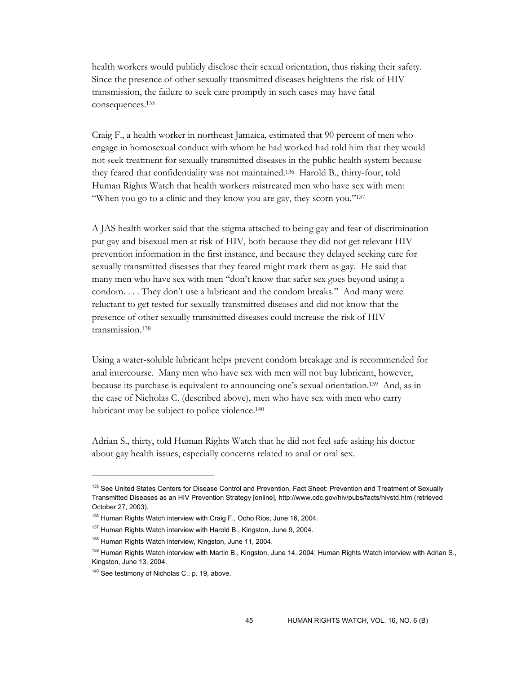health workers would publicly disclose their sexual orientation, thus risking their safety. Since the presence of other sexually transmitted diseases heightens the risk of HIV transmission, the failure to seek care promptly in such cases may have fatal consequences.135

Craig F., a health worker in northeast Jamaica, estimated that 90 percent of men who engage in homosexual conduct with whom he had worked had told him that they would not seek treatment for sexually transmitted diseases in the public health system because they feared that confidentiality was not maintained.136 Harold B., thirty-four, told Human Rights Watch that health workers mistreated men who have sex with men: "When you go to a clinic and they know you are gay, they scorn you."<sup>137</sup>

A JAS health worker said that the stigma attached to being gay and fear of discrimination put gay and bisexual men at risk of HIV, both because they did not get relevant HIV prevention information in the first instance, and because they delayed seeking care for sexually transmitted diseases that they feared might mark them as gay. He said that many men who have sex with men "don't know that safer sex goes beyond using a condom. . . . They don't use a lubricant and the condom breaks." And many were reluctant to get tested for sexually transmitted diseases and did not know that the presence of other sexually transmitted diseases could increase the risk of HIV transmission.138

Using a water-soluble lubricant helps prevent condom breakage and is recommended for anal intercourse. Many men who have sex with men will not buy lubricant, however, because its purchase is equivalent to announcing one's sexual orientation.139 And, as in the case of Nicholas C. (described above), men who have sex with men who carry lubricant may be subject to police violence.140

Adrian S., thirty, told Human Rights Watch that he did not feel safe asking his doctor about gay health issues, especially concerns related to anal or oral sex.

<sup>&</sup>lt;sup>135</sup> See United States Centers for Disease Control and Prevention, Fact Sheet: Prevention and Treatment of Sexually Transmitted Diseases as an HIV Prevention Strategy [online], http://www.cdc.gov/hiv/pubs/facts/hivstd.htm (retrieved October 27, 2003).

<sup>136</sup> Human Rights Watch interview with Craig F., Ocho Rios, June 16, 2004.

<sup>&</sup>lt;sup>137</sup> Human Rights Watch interview with Harold B., Kingston, June 9, 2004.

<sup>&</sup>lt;sup>138</sup> Human Rights Watch interview, Kingston, June 11, 2004.

<sup>&</sup>lt;sup>139</sup> Human Rights Watch interview with Martin B., Kingston, June 14, 2004; Human Rights Watch interview with Adrian S., Kingston, June 13, 2004.

<sup>&</sup>lt;sup>140</sup> See testimony of Nicholas C., p. 19, above.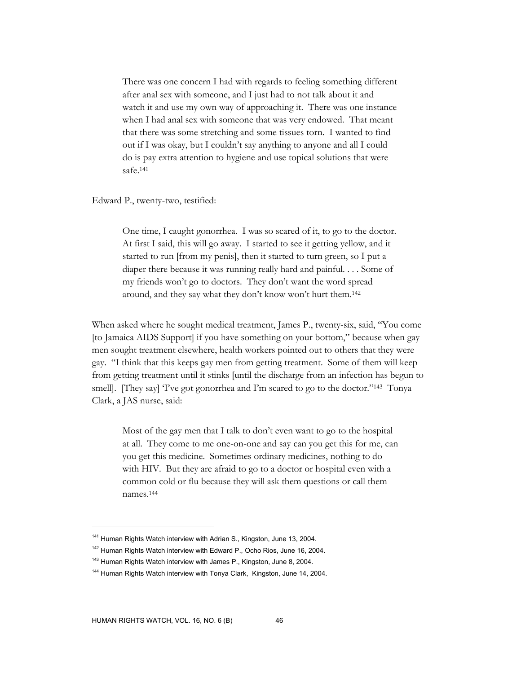There was one concern I had with regards to feeling something different after anal sex with someone, and I just had to not talk about it and watch it and use my own way of approaching it. There was one instance when I had anal sex with someone that was very endowed. That meant that there was some stretching and some tissues torn. I wanted to find out if I was okay, but I couldn't say anything to anyone and all I could do is pay extra attention to hygiene and use topical solutions that were safe.141

Edward P., twenty-two, testified:

One time, I caught gonorrhea. I was so scared of it, to go to the doctor. At first I said, this will go away. I started to see it getting yellow, and it started to run [from my penis], then it started to turn green, so I put a diaper there because it was running really hard and painful. . . . Some of my friends won't go to doctors. They don't want the word spread around, and they say what they don't know won't hurt them.142

When asked where he sought medical treatment, James P., twenty-six, said, "You come [to Jamaica AIDS Support] if you have something on your bottom," because when gay men sought treatment elsewhere, health workers pointed out to others that they were gay. "I think that this keeps gay men from getting treatment. Some of them will keep from getting treatment until it stinks [until the discharge from an infection has begun to smell]. [They say] 'I've got gonorrhea and I'm scared to go to the doctor."143 Tonya Clark, a JAS nurse, said:

Most of the gay men that I talk to don't even want to go to the hospital at all. They come to me one-on-one and say can you get this for me, can you get this medicine. Sometimes ordinary medicines, nothing to do with HIV. But they are afraid to go to a doctor or hospital even with a common cold or flu because they will ask them questions or call them names.144

<sup>&</sup>lt;sup>141</sup> Human Rights Watch interview with Adrian S., Kingston, June 13, 2004.

<sup>&</sup>lt;sup>142</sup> Human Rights Watch interview with Edward P., Ocho Rios, June 16, 2004.

<sup>&</sup>lt;sup>143</sup> Human Rights Watch interview with James P., Kingston, June 8, 2004.

<sup>&</sup>lt;sup>144</sup> Human Rights Watch interview with Tonya Clark, Kingston, June 14, 2004.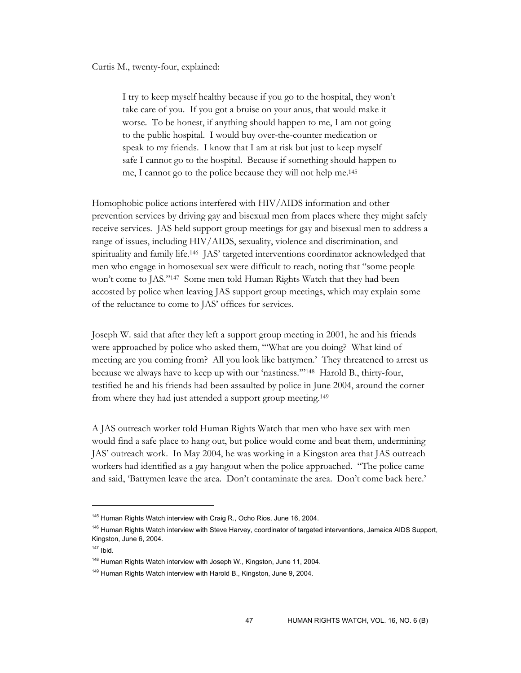Curtis M., twenty-four, explained:

I try to keep myself healthy because if you go to the hospital, they won't take care of you. If you got a bruise on your anus, that would make it worse. To be honest, if anything should happen to me, I am not going to the public hospital. I would buy over-the-counter medication or speak to my friends. I know that I am at risk but just to keep myself safe I cannot go to the hospital. Because if something should happen to me, I cannot go to the police because they will not help me.145

Homophobic police actions interfered with HIV/AIDS information and other prevention services by driving gay and bisexual men from places where they might safely receive services. JAS held support group meetings for gay and bisexual men to address a range of issues, including HIV/AIDS, sexuality, violence and discrimination, and spirituality and family life.146 JAS' targeted interventions coordinator acknowledged that men who engage in homosexual sex were difficult to reach, noting that "some people won't come to JAS."147 Some men told Human Rights Watch that they had been accosted by police when leaving JAS support group meetings, which may explain some of the reluctance to come to JAS' offices for services.

Joseph W. said that after they left a support group meeting in 2001, he and his friends were approached by police who asked them, "'What are you doing? What kind of meeting are you coming from? All you look like battymen.' They threatened to arrest us because we always have to keep up with our 'nastiness.'"148 Harold B., thirty-four, testified he and his friends had been assaulted by police in June 2004, around the corner from where they had just attended a support group meeting.149

A JAS outreach worker told Human Rights Watch that men who have sex with men would find a safe place to hang out, but police would come and beat them, undermining JAS' outreach work. In May 2004, he was working in a Kingston area that JAS outreach workers had identified as a gay hangout when the police approached. "The police came and said, 'Battymen leave the area. Don't contaminate the area. Don't come back here.'

<sup>&</sup>lt;sup>145</sup> Human Rights Watch interview with Craig R., Ocho Rios, June 16, 2004.

<sup>&</sup>lt;sup>146</sup> Human Rights Watch interview with Steve Harvey, coordinator of targeted interventions, Jamaica AIDS Support, Kingston, June 6, 2004.

 $147$  Ibid.

<sup>&</sup>lt;sup>148</sup> Human Rights Watch interview with Joseph W., Kingston, June 11, 2004.

<sup>&</sup>lt;sup>149</sup> Human Rights Watch interview with Harold B., Kingston, June 9, 2004.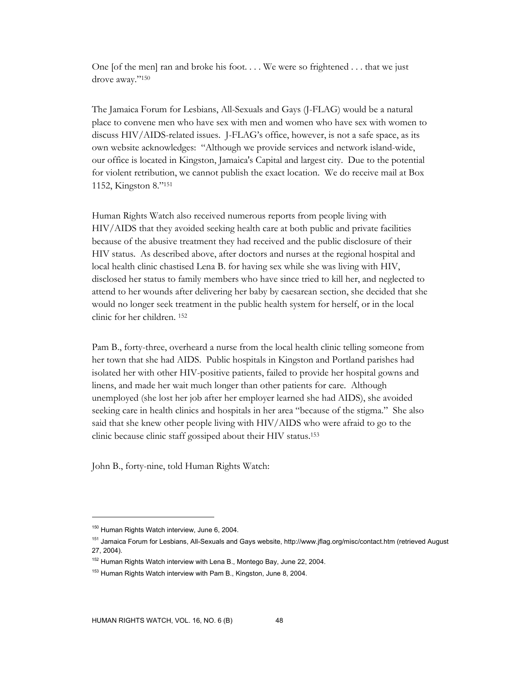One [of the men] ran and broke his foot... We were so frightened  $\dots$  that we just drove away."150

The Jamaica Forum for Lesbians, All-Sexuals and Gays (J-FLAG) would be a natural place to convene men who have sex with men and women who have sex with women to discuss HIV/AIDS-related issues. J-FLAG's office, however, is not a safe space, as its own website acknowledges: "Although we provide services and network island-wide, our office is located in Kingston, Jamaica's Capital and largest city. Due to the potential for violent retribution, we cannot publish the exact location. We do receive mail at Box 1152, Kingston 8."151

Human Rights Watch also received numerous reports from people living with HIV/AIDS that they avoided seeking health care at both public and private facilities because of the abusive treatment they had received and the public disclosure of their HIV status. As described above, after doctors and nurses at the regional hospital and local health clinic chastised Lena B. for having sex while she was living with HIV, disclosed her status to family members who have since tried to kill her, and neglected to attend to her wounds after delivering her baby by caesarean section, she decided that she would no longer seek treatment in the public health system for herself, or in the local clinic for her children. 152

Pam B., forty-three, overheard a nurse from the local health clinic telling someone from her town that she had AIDS. Public hospitals in Kingston and Portland parishes had isolated her with other HIV-positive patients, failed to provide her hospital gowns and linens, and made her wait much longer than other patients for care. Although unemployed (she lost her job after her employer learned she had AIDS), she avoided seeking care in health clinics and hospitals in her area "because of the stigma." She also said that she knew other people living with HIV/AIDS who were afraid to go to the clinic because clinic staff gossiped about their HIV status.153

John B., forty-nine, told Human Rights Watch:

<sup>&</sup>lt;sup>150</sup> Human Rights Watch interview, June 6, 2004.

<sup>&</sup>lt;sup>151</sup> Jamaica Forum for Lesbians, All-Sexuals and Gays website, http://www.jflag.org/misc/contact.htm (retrieved August 27, 2004).

<sup>&</sup>lt;sup>152</sup> Human Rights Watch interview with Lena B., Montego Bay, June 22, 2004.

<sup>&</sup>lt;sup>153</sup> Human Rights Watch interview with Pam B., Kingston, June 8, 2004.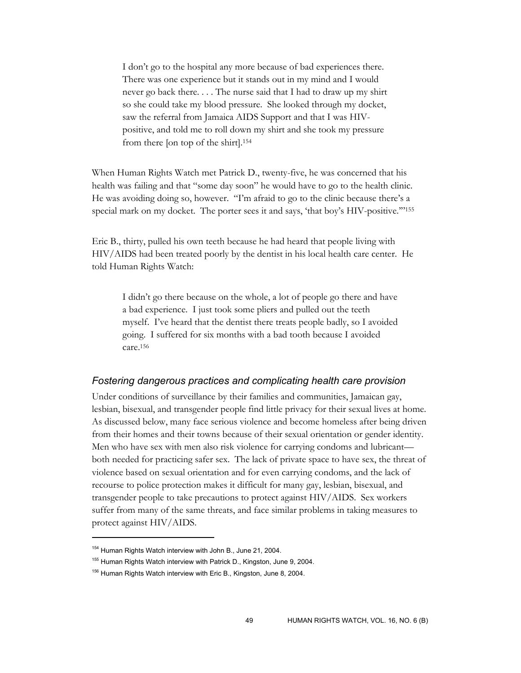I don't go to the hospital any more because of bad experiences there. There was one experience but it stands out in my mind and I would never go back there. . . . The nurse said that I had to draw up my shirt so she could take my blood pressure. She looked through my docket, saw the referral from Jamaica AIDS Support and that I was HIVpositive, and told me to roll down my shirt and she took my pressure from there [on top of the shirt].154

When Human Rights Watch met Patrick D., twenty-five, he was concerned that his health was failing and that "some day soon" he would have to go to the health clinic. He was avoiding doing so, however. "I'm afraid to go to the clinic because there's a special mark on my docket. The porter sees it and says, 'that boy's HIV-positive.'"155

Eric B., thirty, pulled his own teeth because he had heard that people living with HIV/AIDS had been treated poorly by the dentist in his local health care center. He told Human Rights Watch:

I didn't go there because on the whole, a lot of people go there and have a bad experience. I just took some pliers and pulled out the teeth myself. I've heard that the dentist there treats people badly, so I avoided going. I suffered for six months with a bad tooth because I avoided care.156

#### *Fostering dangerous practices and complicating health care provision*

Under conditions of surveillance by their families and communities, Jamaican gay, lesbian, bisexual, and transgender people find little privacy for their sexual lives at home. As discussed below, many face serious violence and become homeless after being driven from their homes and their towns because of their sexual orientation or gender identity. Men who have sex with men also risk violence for carrying condoms and lubricant both needed for practicing safer sex. The lack of private space to have sex, the threat of violence based on sexual orientation and for even carrying condoms, and the lack of recourse to police protection makes it difficult for many gay, lesbian, bisexual, and transgender people to take precautions to protect against HIV/AIDS. Sex workers suffer from many of the same threats, and face similar problems in taking measures to protect against HIV/AIDS.

<sup>&</sup>lt;sup>154</sup> Human Rights Watch interview with John B., June 21, 2004.

<sup>&</sup>lt;sup>155</sup> Human Rights Watch interview with Patrick D., Kingston, June 9, 2004.

<sup>&</sup>lt;sup>156</sup> Human Rights Watch interview with Eric B., Kingston, June 8, 2004.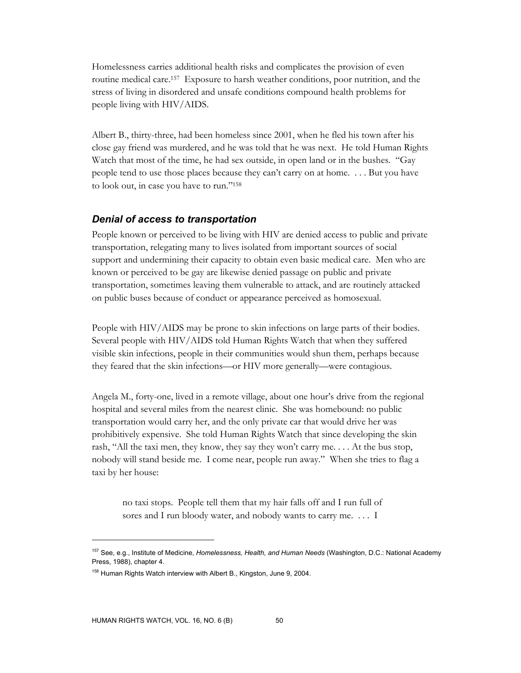Homelessness carries additional health risks and complicates the provision of even routine medical care.157 Exposure to harsh weather conditions, poor nutrition, and the stress of living in disordered and unsafe conditions compound health problems for people living with HIV/AIDS.

Albert B., thirty-three, had been homeless since 2001, when he fled his town after his close gay friend was murdered, and he was told that he was next. He told Human Rights Watch that most of the time, he had sex outside, in open land or in the bushes. "Gay people tend to use those places because they can't carry on at home. . . . But you have to look out, in case you have to run."158

### *Denial of access to transportation*

People known or perceived to be living with HIV are denied access to public and private transportation, relegating many to lives isolated from important sources of social support and undermining their capacity to obtain even basic medical care. Men who are known or perceived to be gay are likewise denied passage on public and private transportation, sometimes leaving them vulnerable to attack, and are routinely attacked on public buses because of conduct or appearance perceived as homosexual.

People with HIV/AIDS may be prone to skin infections on large parts of their bodies. Several people with HIV/AIDS told Human Rights Watch that when they suffered visible skin infections, people in their communities would shun them, perhaps because they feared that the skin infections—or HIV more generally—were contagious.

Angela M., forty-one, lived in a remote village, about one hour's drive from the regional hospital and several miles from the nearest clinic. She was homebound: no public transportation would carry her, and the only private car that would drive her was prohibitively expensive. She told Human Rights Watch that since developing the skin rash, "All the taxi men, they know, they say they won't carry me. . . . At the bus stop, nobody will stand beside me. I come near, people run away." When she tries to flag a taxi by her house:

no taxi stops. People tell them that my hair falls off and I run full of sores and I run bloody water, and nobody wants to carry me. . . . I

<sup>157</sup> See, e.g., Institute of Medicine, *Homelessness, Health, and Human Needs* (Washington, D.C.: National Academy Press, 1988), chapter 4.

<sup>&</sup>lt;sup>158</sup> Human Rights Watch interview with Albert B., Kingston, June 9, 2004.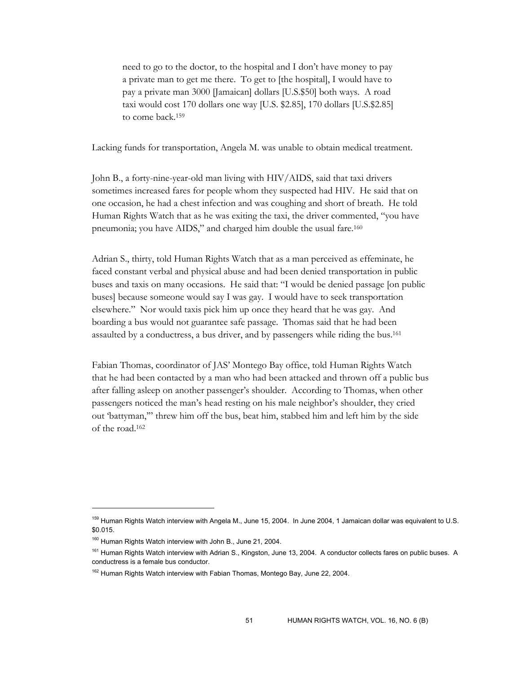need to go to the doctor, to the hospital and I don't have money to pay a private man to get me there. To get to [the hospital], I would have to pay a private man 3000 [Jamaican] dollars [U.S.\$50] both ways. A road taxi would cost 170 dollars one way [U.S. \$2.85], 170 dollars [U.S.\$2.85] to come back.159

Lacking funds for transportation, Angela M. was unable to obtain medical treatment.

John B., a forty-nine-year-old man living with HIV/AIDS, said that taxi drivers sometimes increased fares for people whom they suspected had HIV. He said that on one occasion, he had a chest infection and was coughing and short of breath. He told Human Rights Watch that as he was exiting the taxi, the driver commented, "you have pneumonia; you have AIDS," and charged him double the usual fare.<sup>160</sup>

Adrian S., thirty, told Human Rights Watch that as a man perceived as effeminate, he faced constant verbal and physical abuse and had been denied transportation in public buses and taxis on many occasions. He said that: "I would be denied passage [on public buses] because someone would say I was gay. I would have to seek transportation elsewhere." Nor would taxis pick him up once they heard that he was gay. And boarding a bus would not guarantee safe passage. Thomas said that he had been assaulted by a conductress, a bus driver, and by passengers while riding the bus.161

Fabian Thomas, coordinator of JAS' Montego Bay office, told Human Rights Watch that he had been contacted by a man who had been attacked and thrown off a public bus after falling asleep on another passenger's shoulder. According to Thomas, when other passengers noticed the man's head resting on his male neighbor's shoulder, they cried out 'battyman,'" threw him off the bus, beat him, stabbed him and left him by the side of the road.162

<sup>&</sup>lt;sup>159</sup> Human Rights Watch interview with Angela M., June 15, 2004. In June 2004, 1 Jamaican dollar was equivalent to U.S. \$0.015.

<sup>&</sup>lt;sup>160</sup> Human Rights Watch interview with John B., June 21, 2004.

<sup>&</sup>lt;sup>161</sup> Human Rights Watch interview with Adrian S., Kingston, June 13, 2004. A conductor collects fares on public buses. A conductress is a female bus conductor.

<sup>&</sup>lt;sup>162</sup> Human Rights Watch interview with Fabian Thomas, Montego Bay, June 22, 2004.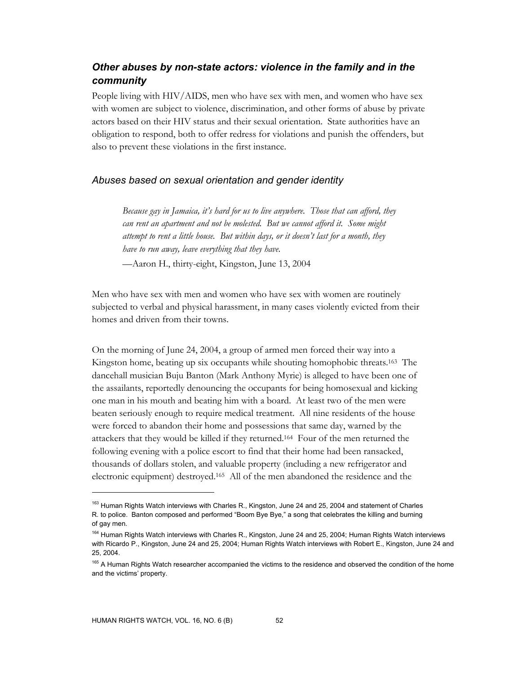# *Other abuses by non-state actors: violence in the family and in the community*

People living with HIV/AIDS, men who have sex with men, and women who have sex with women are subject to violence, discrimination, and other forms of abuse by private actors based on their HIV status and their sexual orientation. State authorities have an obligation to respond, both to offer redress for violations and punish the offenders, but also to prevent these violations in the first instance.

### *Abuses based on sexual orientation and gender identity*

*Because gay in Jamaica, it's hard for us to live anywhere. Those that can afford, they can rent an apartment and not be molested. But we cannot afford it. Some might attempt to rent a little house. But within days, or it doesn't last for a month, they have to run away, leave everything that they have.* 

—Aaron H., thirty-eight, Kingston, June 13, 2004

Men who have sex with men and women who have sex with women are routinely subjected to verbal and physical harassment, in many cases violently evicted from their homes and driven from their towns.

On the morning of June 24, 2004, a group of armed men forced their way into a Kingston home, beating up six occupants while shouting homophobic threats.163 The dancehall musician Buju Banton (Mark Anthony Myrie) is alleged to have been one of the assailants, reportedly denouncing the occupants for being homosexual and kicking one man in his mouth and beating him with a board. At least two of the men were beaten seriously enough to require medical treatment. All nine residents of the house were forced to abandon their home and possessions that same day, warned by the attackers that they would be killed if they returned.164 Four of the men returned the following evening with a police escort to find that their home had been ransacked, thousands of dollars stolen, and valuable property (including a new refrigerator and electronic equipment) destroyed.165 All of the men abandoned the residence and the

<sup>&</sup>lt;sup>163</sup> Human Rights Watch interviews with Charles R., Kingston, June 24 and 25, 2004 and statement of Charles R. to police. Banton composed and performed "Boom Bye Bye," a song that celebrates the killing and burning of gay men.

<sup>164</sup> Human Rights Watch interviews with Charles R., Kingston, June 24 and 25, 2004; Human Rights Watch interviews with Ricardo P., Kingston, June 24 and 25, 2004; Human Rights Watch interviews with Robert E., Kingston, June 24 and 25, 2004.

<sup>&</sup>lt;sup>165</sup> A Human Rights Watch researcher accompanied the victims to the residence and observed the condition of the home and the victims' property.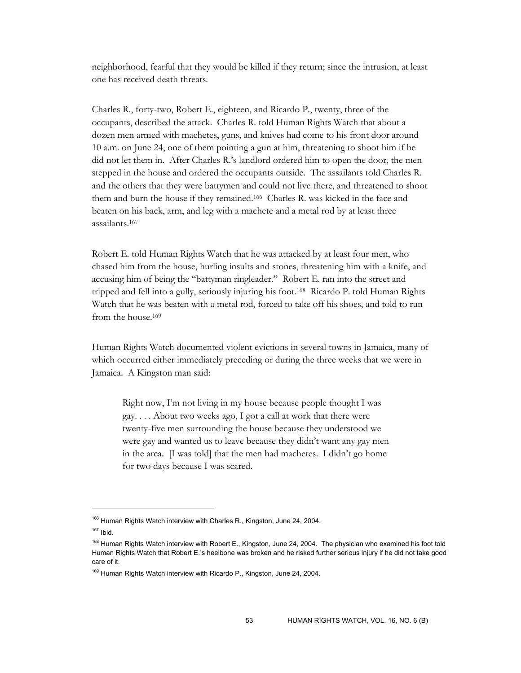neighborhood, fearful that they would be killed if they return; since the intrusion, at least one has received death threats.

Charles R., forty-two, Robert E., eighteen, and Ricardo P., twenty, three of the occupants, described the attack. Charles R. told Human Rights Watch that about a dozen men armed with machetes, guns, and knives had come to his front door around 10 a.m. on June 24, one of them pointing a gun at him, threatening to shoot him if he did not let them in. After Charles R.'s landlord ordered him to open the door, the men stepped in the house and ordered the occupants outside. The assailants told Charles R. and the others that they were battymen and could not live there, and threatened to shoot them and burn the house if they remained.166 Charles R. was kicked in the face and beaten on his back, arm, and leg with a machete and a metal rod by at least three assailants.167

Robert E. told Human Rights Watch that he was attacked by at least four men, who chased him from the house, hurling insults and stones, threatening him with a knife, and accusing him of being the "battyman ringleader." Robert E. ran into the street and tripped and fell into a gully, seriously injuring his foot.168 Ricardo P. told Human Rights Watch that he was beaten with a metal rod, forced to take off his shoes, and told to run from the house.169

Human Rights Watch documented violent evictions in several towns in Jamaica, many of which occurred either immediately preceding or during the three weeks that we were in Jamaica. A Kingston man said:

Right now, I'm not living in my house because people thought I was gay. . . . About two weeks ago, I got a call at work that there were twenty-five men surrounding the house because they understood we were gay and wanted us to leave because they didn't want any gay men in the area. [I was told] that the men had machetes. I didn't go home for two days because I was scared.

<sup>166</sup> Human Rights Watch interview with Charles R., Kingston, June 24, 2004.

 $167$  Ibid.

<sup>&</sup>lt;sup>168</sup> Human Rights Watch interview with Robert E., Kingston, June 24, 2004. The physician who examined his foot told Human Rights Watch that Robert E.'s heelbone was broken and he risked further serious injury if he did not take good care of it.

<sup>&</sup>lt;sup>169</sup> Human Rights Watch interview with Ricardo P., Kingston, June 24, 2004.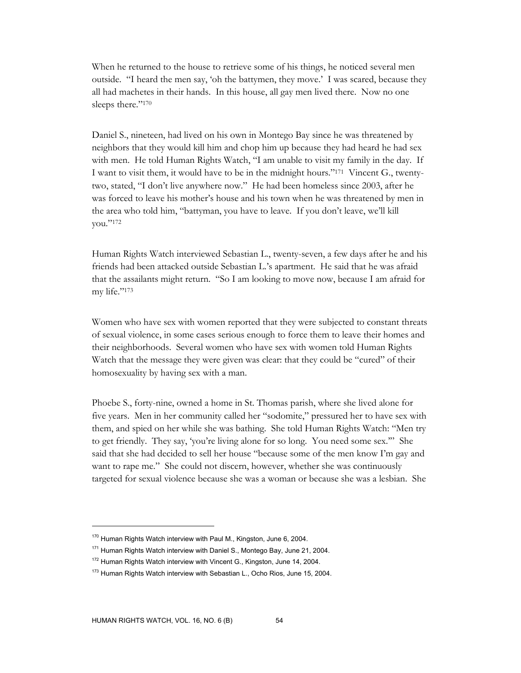When he returned to the house to retrieve some of his things, he noticed several men outside. "I heard the men say, 'oh the battymen, they move.' I was scared, because they all had machetes in their hands. In this house, all gay men lived there. Now no one sleeps there."170

Daniel S., nineteen, had lived on his own in Montego Bay since he was threatened by neighbors that they would kill him and chop him up because they had heard he had sex with men. He told Human Rights Watch, "I am unable to visit my family in the day. If I want to visit them, it would have to be in the midnight hours."171 Vincent G., twentytwo, stated, "I don't live anywhere now." He had been homeless since 2003, after he was forced to leave his mother's house and his town when he was threatened by men in the area who told him, "battyman, you have to leave. If you don't leave, we'll kill you."172

Human Rights Watch interviewed Sebastian L., twenty-seven, a few days after he and his friends had been attacked outside Sebastian L.'s apartment. He said that he was afraid that the assailants might return. "So I am looking to move now, because I am afraid for my life."173

Women who have sex with women reported that they were subjected to constant threats of sexual violence, in some cases serious enough to force them to leave their homes and their neighborhoods. Several women who have sex with women told Human Rights Watch that the message they were given was clear: that they could be "cured" of their homosexuality by having sex with a man.

Phoebe S., forty-nine, owned a home in St. Thomas parish, where she lived alone for five years. Men in her community called her "sodomite," pressured her to have sex with them, and spied on her while she was bathing. She told Human Rights Watch: "Men try to get friendly. They say, 'you're living alone for so long. You need some sex.'" She said that she had decided to sell her house "because some of the men know I'm gay and want to rape me." She could not discern, however, whether she was continuously targeted for sexual violence because she was a woman or because she was a lesbian. She

<sup>&</sup>lt;sup>170</sup> Human Rights Watch interview with Paul M., Kingston, June 6, 2004.

<sup>171</sup> Human Rights Watch interview with Daniel S., Montego Bay, June 21, 2004.

<sup>&</sup>lt;sup>172</sup> Human Rights Watch interview with Vincent G., Kingston, June 14, 2004.

<sup>&</sup>lt;sup>173</sup> Human Rights Watch interview with Sebastian L., Ocho Rios, June 15, 2004.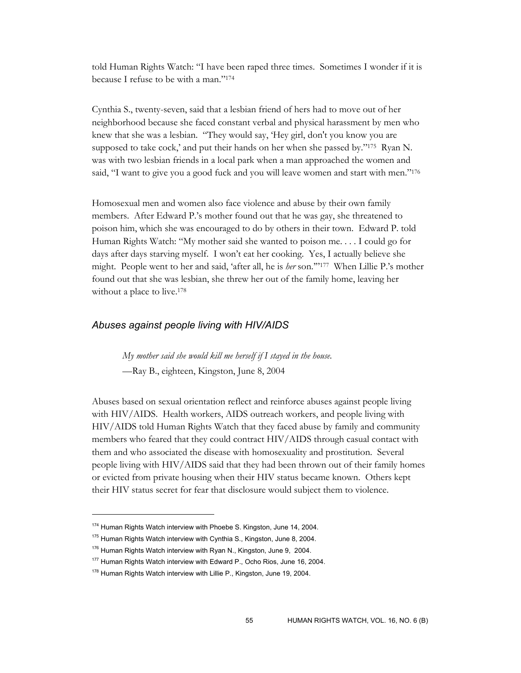told Human Rights Watch: "I have been raped three times. Sometimes I wonder if it is because I refuse to be with a man."174

Cynthia S., twenty-seven, said that a lesbian friend of hers had to move out of her neighborhood because she faced constant verbal and physical harassment by men who knew that she was a lesbian. "They would say, 'Hey girl, don't you know you are supposed to take cock,' and put their hands on her when she passed by."175 Ryan N. was with two lesbian friends in a local park when a man approached the women and said, "I want to give you a good fuck and you will leave women and start with men."<sup>176</sup>

Homosexual men and women also face violence and abuse by their own family members. After Edward P.'s mother found out that he was gay, she threatened to poison him, which she was encouraged to do by others in their town. Edward P. told Human Rights Watch: "My mother said she wanted to poison me. . . . I could go for days after days starving myself. I won't eat her cooking. Yes, I actually believe she might. People went to her and said, 'after all, he is *her* son.'"177 When Lillie P.'s mother found out that she was lesbian, she threw her out of the family home, leaving her without a place to live.<sup>178</sup>

#### *Abuses against people living with HIV/AIDS*

*My mother said she would kill me herself if I stayed in the house.* 

—Ray B., eighteen, Kingston, June 8, 2004

Abuses based on sexual orientation reflect and reinforce abuses against people living with HIV/AIDS. Health workers, AIDS outreach workers, and people living with HIV/AIDS told Human Rights Watch that they faced abuse by family and community members who feared that they could contract HIV/AIDS through casual contact with them and who associated the disease with homosexuality and prostitution. Several people living with HIV/AIDS said that they had been thrown out of their family homes or evicted from private housing when their HIV status became known. Others kept their HIV status secret for fear that disclosure would subject them to violence.

<sup>&</sup>lt;sup>174</sup> Human Rights Watch interview with Phoebe S. Kingston, June 14, 2004.

<sup>&</sup>lt;sup>175</sup> Human Rights Watch interview with Cynthia S., Kingston, June 8, 2004.

 $176$  Human Rights Watch interview with Ryan N., Kingston, June 9, 2004.

<sup>&</sup>lt;sup>177</sup> Human Rights Watch interview with Edward P., Ocho Rios, June 16, 2004.

<sup>&</sup>lt;sup>178</sup> Human Rights Watch interview with Lillie P., Kingston, June 19, 2004.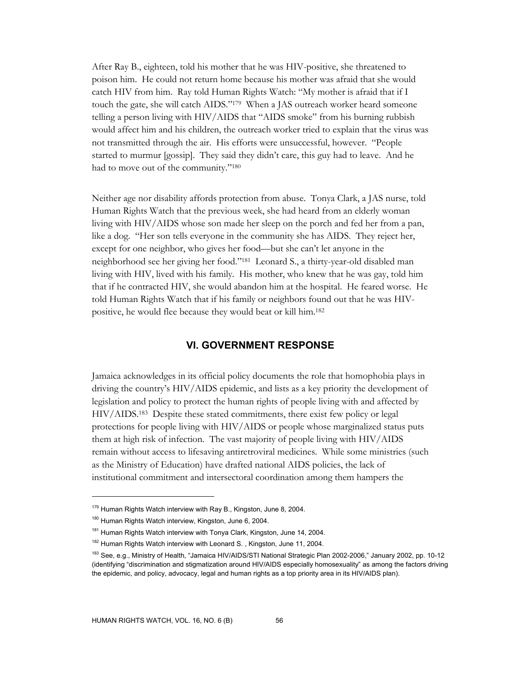After Ray B., eighteen, told his mother that he was HIV-positive, she threatened to poison him. He could not return home because his mother was afraid that she would catch HIV from him. Ray told Human Rights Watch: "My mother is afraid that if I touch the gate, she will catch AIDS."179 When a JAS outreach worker heard someone telling a person living with HIV/AIDS that "AIDS smoke" from his burning rubbish would affect him and his children, the outreach worker tried to explain that the virus was not transmitted through the air. His efforts were unsuccessful, however. "People started to murmur [gossip]. They said they didn't care, this guy had to leave. And he had to move out of the community."180

Neither age nor disability affords protection from abuse. Tonya Clark, a JAS nurse, told Human Rights Watch that the previous week, she had heard from an elderly woman living with HIV/AIDS whose son made her sleep on the porch and fed her from a pan, like a dog. "Her son tells everyone in the community she has AIDS. They reject her, except for one neighbor, who gives her food—but she can't let anyone in the neighborhood see her giving her food."181 Leonard S., a thirty-year-old disabled man living with HIV, lived with his family. His mother, who knew that he was gay, told him that if he contracted HIV, she would abandon him at the hospital. He feared worse. He told Human Rights Watch that if his family or neighbors found out that he was HIVpositive, he would flee because they would beat or kill him.182

### **VI. GOVERNMENT RESPONSE**

Jamaica acknowledges in its official policy documents the role that homophobia plays in driving the country's HIV/AIDS epidemic, and lists as a key priority the development of legislation and policy to protect the human rights of people living with and affected by HIV/AIDS.183 Despite these stated commitments, there exist few policy or legal protections for people living with HIV/AIDS or people whose marginalized status puts them at high risk of infection. The vast majority of people living with HIV/AIDS remain without access to lifesaving antiretroviral medicines. While some ministries (such as the Ministry of Education) have drafted national AIDS policies, the lack of institutional commitment and intersectoral coordination among them hampers the

<sup>&</sup>lt;sup>179</sup> Human Rights Watch interview with Ray B., Kingston, June 8, 2004.

<sup>180</sup> Human Rights Watch interview, Kingston, June 6, 2004.

<sup>&</sup>lt;sup>181</sup> Human Rights Watch interview with Tonya Clark, Kingston, June 14, 2004.

<sup>&</sup>lt;sup>182</sup> Human Rights Watch interview with Leonard S., Kingston, June 11, 2004.

<sup>&</sup>lt;sup>183</sup> See, e.g., Ministry of Health, "Jamaica HIV/AIDS/STI National Strategic Plan 2002-2006," January 2002, pp. 10-12 (identifying "discrimination and stigmatization around HIV/AIDS especially homosexuality" as among the factors driving the epidemic, and policy, advocacy, legal and human rights as a top priority area in its HIV/AIDS plan).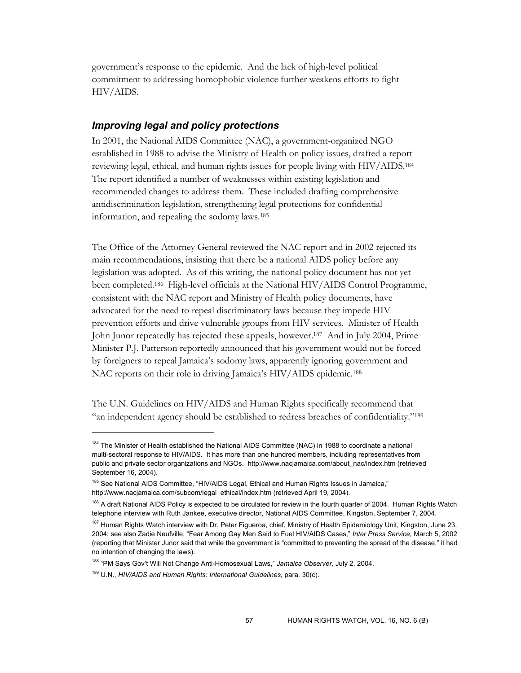government's response to the epidemic. And the lack of high-level political commitment to addressing homophobic violence further weakens efforts to fight HIV/AIDS.

### *Improving legal and policy protections*

In 2001, the National AIDS Committee (NAC), a government-organized NGO established in 1988 to advise the Ministry of Health on policy issues, drafted a report reviewing legal, ethical, and human rights issues for people living with HIV/AIDS.184 The report identified a number of weaknesses within existing legislation and recommended changes to address them. These included drafting comprehensive antidiscrimination legislation, strengthening legal protections for confidential information, and repealing the sodomy laws.185

The Office of the Attorney General reviewed the NAC report and in 2002 rejected its main recommendations, insisting that there be a national AIDS policy before any legislation was adopted. As of this writing, the national policy document has not yet been completed.186 High-level officials at the National HIV/AIDS Control Programme, consistent with the NAC report and Ministry of Health policy documents, have advocated for the need to repeal discriminatory laws because they impede HIV prevention efforts and drive vulnerable groups from HIV services. Minister of Health John Junor repeatedly has rejected these appeals, however.187 And in July 2004, Prime Minister P.J. Patterson reportedly announced that his government would not be forced by foreigners to repeal Jamaica's sodomy laws, apparently ignoring government and NAC reports on their role in driving Jamaica's HIV/AIDS epidemic.188

The U.N. Guidelines on HIV/AIDS and Human Rights specifically recommend that "an independent agency should be established to redress breaches of confidentiality."<sup>189</sup>

<sup>&</sup>lt;sup>184</sup> The Minister of Health established the National AIDS Committee (NAC) in 1988 to coordinate a national multi-sectoral response to HIV/AIDS. It has more than one hundred members, including representatives from public and private sector organizations and NGOs. http://www.nacjamaica.com/about\_nac/index.htm (retrieved September 16, 2004).

<sup>185</sup> See National AIDS Committee, "HIV/AIDS Legal, Ethical and Human Rights Issues in Jamaica," http://www.nacjamaica.com/subcom/legal\_ethical/index.htm (retrieved April 19, 2004).

<sup>&</sup>lt;sup>186</sup> A draft National AIDS Policy is expected to be circulated for review in the fourth quarter of 2004. Human Rights Watch telephone interview with Ruth Jankee, executive director, National AIDS Committee, Kingston, September 7, 2004.

<sup>&</sup>lt;sup>187</sup> Human Rights Watch interview with Dr. Peter Figueroa, chief, Ministry of Health Epidemiology Unit, Kingston, June 23, 2004; see also Zadie Neufville, "Fear Among Gay Men Said to Fuel HIV/AIDS Cases," *Inter Press Service,* March 5, 2002 (reporting that Minister Junor said that while the government is "committed to preventing the spread of the disease," it had no intention of changing the laws).

<sup>188 &</sup>quot;PM Says Gov't Will Not Change Anti-Homosexual Laws," *Jamaica Observer,* July 2, 2004.

<sup>&</sup>lt;sup>189</sup> U.N., *HIV/AIDS and Human Rights: International Guidelines, para.* 30(c).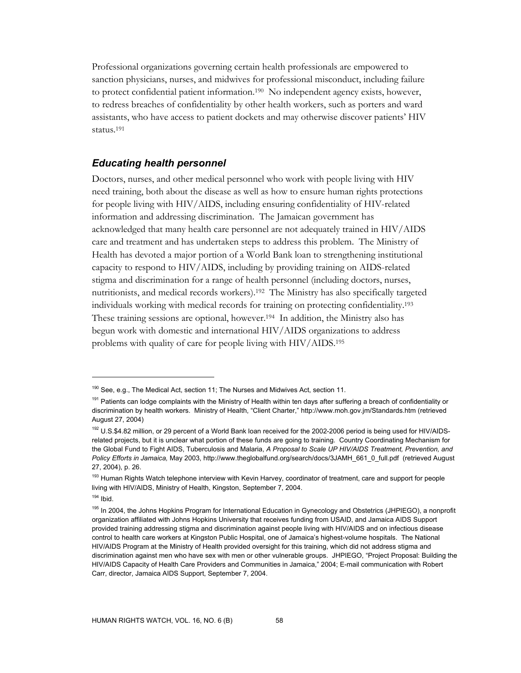Professional organizations governing certain health professionals are empowered to sanction physicians, nurses, and midwives for professional misconduct, including failure to protect confidential patient information.190 No independent agency exists, however, to redress breaches of confidentiality by other health workers, such as porters and ward assistants, who have access to patient dockets and may otherwise discover patients' HIV status.191

### *Educating health personnel*

Doctors, nurses, and other medical personnel who work with people living with HIV need training, both about the disease as well as how to ensure human rights protections for people living with HIV/AIDS, including ensuring confidentiality of HIV-related information and addressing discrimination. The Jamaican government has acknowledged that many health care personnel are not adequately trained in HIV/AIDS care and treatment and has undertaken steps to address this problem. The Ministry of Health has devoted a major portion of a World Bank loan to strengthening institutional capacity to respond to HIV/AIDS, including by providing training on AIDS-related stigma and discrimination for a range of health personnel (including doctors, nurses, nutritionists, and medical records workers).192 The Ministry has also specifically targeted individuals working with medical records for training on protecting confidentiality.193 These training sessions are optional, however.194 In addition, the Ministry also has begun work with domestic and international HIV/AIDS organizations to address problems with quality of care for people living with HIV/AIDS.195

<sup>&</sup>lt;sup>190</sup> See, e.g., The Medical Act, section 11; The Nurses and Midwives Act, section 11.

<sup>&</sup>lt;sup>191</sup> Patients can lodge complaints with the Ministry of Health within ten days after suffering a breach of confidentiality or discrimination by health workers. Ministry of Health, "Client Charter," http://www.moh.gov.jm/Standards.htm (retrieved August 27, 2004)

<sup>192</sup> U.S.\$4.82 million, or 29 percent of a World Bank loan received for the 2002-2006 period is being used for HIV/AIDSrelated projects, but it is unclear what portion of these funds are going to training. Country Coordinating Mechanism for the Global Fund to Fight AIDS, Tuberculosis and Malaria, *A Proposal to Scale UP HIV/AIDS Treatment, Prevention, and Policy Efforts in Jamaica,* May 2003, http://www.theglobalfund.org/search/docs/3JAMH\_661\_0\_full.pdf (retrieved August 27, 2004), p. 26.

<sup>&</sup>lt;sup>193</sup> Human Rights Watch telephone interview with Kevin Harvey, coordinator of treatment, care and support for people living with HIV/AIDS, Ministry of Health, Kingston, September 7, 2004.

 $194$  Ibid.

<sup>&</sup>lt;sup>195</sup> In 2004, the Johns Hopkins Program for International Education in Gynecology and Obstetrics (JHPIEGO), a nonprofit organization affiliated with Johns Hopkins University that receives funding from USAID, and Jamaica AIDS Support provided training addressing stigma and discrimination against people living with HIV/AIDS and on infectious disease control to health care workers at Kingston Public Hospital, one of Jamaica's highest-volume hospitals. The National HIV/AIDS Program at the Ministry of Health provided oversight for this training, which did not address stigma and discrimination against men who have sex with men or other vulnerable groups. JHPIEGO, "Project Proposal: Building the HIV/AIDS Capacity of Health Care Providers and Communities in Jamaica," 2004; E-mail communication with Robert Carr, director, Jamaica AIDS Support, September 7, 2004.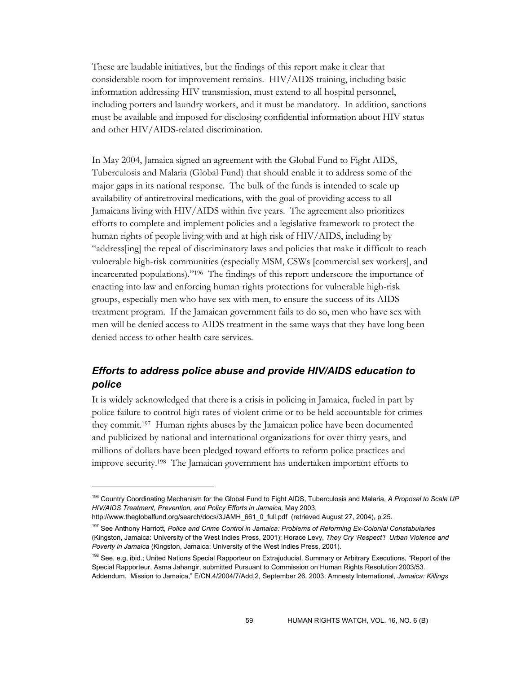These are laudable initiatives, but the findings of this report make it clear that considerable room for improvement remains. HIV/AIDS training, including basic information addressing HIV transmission, must extend to all hospital personnel, including porters and laundry workers, and it must be mandatory. In addition, sanctions must be available and imposed for disclosing confidential information about HIV status and other HIV/AIDS-related discrimination.

In May 2004, Jamaica signed an agreement with the Global Fund to Fight AIDS, Tuberculosis and Malaria (Global Fund) that should enable it to address some of the major gaps in its national response. The bulk of the funds is intended to scale up availability of antiretroviral medications, with the goal of providing access to all Jamaicans living with HIV/AIDS within five years. The agreement also prioritizes efforts to complete and implement policies and a legislative framework to protect the human rights of people living with and at high risk of HIV/AIDS, including by "address[ing] the repeal of discriminatory laws and policies that make it difficult to reach vulnerable high-risk communities (especially MSM, CSWs [commercial sex workers], and incarcerated populations)."196 The findings of this report underscore the importance of enacting into law and enforcing human rights protections for vulnerable high-risk groups, especially men who have sex with men, to ensure the success of its AIDS treatment program. If the Jamaican government fails to do so, men who have sex with men will be denied access to AIDS treatment in the same ways that they have long been denied access to other health care services.

## *Efforts to address police abuse and provide HIV/AIDS education to police*

It is widely acknowledged that there is a crisis in policing in Jamaica, fueled in part by police failure to control high rates of violent crime or to be held accountable for crimes they commit.197 Human rights abuses by the Jamaican police have been documented and publicized by national and international organizations for over thirty years, and millions of dollars have been pledged toward efforts to reform police practices and improve security.198 The Jamaican government has undertaken important efforts to

 $\ddot{\phantom{a}}$ 

<sup>196</sup> Country Coordinating Mechanism for the Global Fund to Fight AIDS, Tuberculosis and Malaria, *A Proposal to Scale UP HIV/AIDS Treatment, Prevention, and Policy Efforts in Jamaica,* May 2003,

http://www.theglobalfund.org/search/docs/3JAMH\_661\_0\_full.pdf (retrieved August 27, 2004), p.25.

<sup>197</sup> See Anthony Harriott, *Police and Crime Control in Jamaica: Problems of Reforming Ex-Colonial Constabularies*  (Kingston, Jamaica: University of the West Indies Press, 2001); Horace Levy, *They Cry 'Respect'! Urban Violence and Poverty in Jamaica* (Kingston, Jamaica: University of the West Indies Press, 2001).

<sup>&</sup>lt;sup>198</sup> See, e.g, ibid.; United Nations Special Rapporteur on Extrajuducial, Summary or Arbitrary Executions, "Report of the Special Rapporteur, Asma Jahangir, submitted Pursuant to Commission on Human Rights Resolution 2003/53. Addendum. Mission to Jamaica," E/CN.4/2004/7/Add.2, September 26, 2003; Amnesty International, *Jamaica: Killings*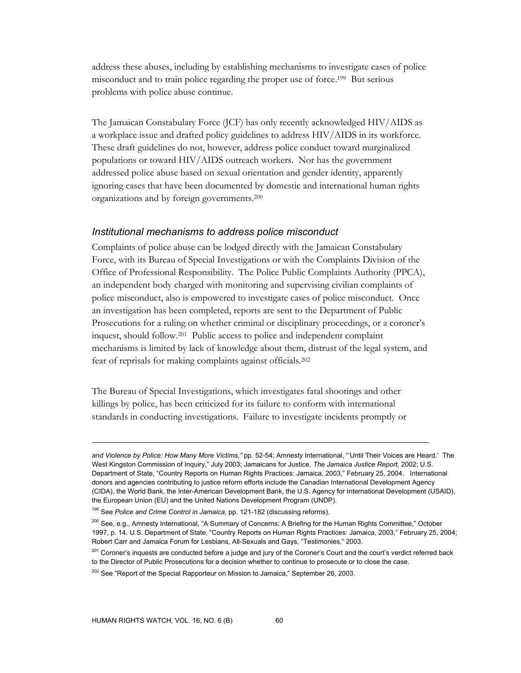address these abuses, including by establishing mechanisms to investigate cases of police misconduct and to train police regarding the proper use of force.199 But serious problems with police abuse continue.

The Jamaican Constabulary Force (JCF) has only recently acknowledged HIV/AIDS as a workplace issue and drafted policy guidelines to address HIV/AIDS in its workforce. These draft guidelines do not, however, address police conduct toward marginalized populations or toward HIV/AIDS outreach workers. Nor has the government addressed police abuse based on sexual orientation and gender identity, apparently ignoring cases that have been documented by domestic and international human rights organizations and by foreign governments.200

#### *Institutional mechanisms to address police misconduct*

Complaints of police abuse can be lodged directly with the Jamaican Constabulary Force, with its Bureau of Special Investigations or with the Complaints Division of the Office of Professional Responsibility. The Police Public Complaints Authority (PPCA), an independent body charged with monitoring and supervising civilian complaints of police misconduct, also is empowered to investigate cases of police misconduct. Once an investigation has been completed, reports are sent to the Department of Public Prosecutions for a ruling on whether criminal or disciplinary proceedings, or a coroner's inquest, should follow.201 Public access to police and independent complaint mechanisms is limited by lack of knowledge about them, distrust of the legal system, and fear of reprisals for making complaints against officials.202

The Bureau of Special Investigations, which investigates fatal shootings and other killings by police, has been criticized for its failure to conform with international standards in conducting investigations. Failure to investigate incidents promptly or

*and Violence by Police: How Many More Victims,"* pp. 52-54; Amnesty International, "'Until Their Voices are Heard.' The West Kingston Commission of Inquiry," July 2003; Jamaicans for Justice, *The Jamaica Justice Report,* 2002; U.S. Department of State, "Country Reports on Human Rights Practices: Jamaica, 2003," February 25, 2004. International donors and agencies contributing to justice reform efforts include the Canadian International Development Agency (CIDA), the World Bank, the Inter-American Development Bank, the U.S. Agency for International Development (USAID), the European Union (EU) and the United Nations Development Program (UNDP).

<sup>199</sup> See *Police and Crime Control in Jamaica,* pp. 121-182 (discussing reforms).

<sup>&</sup>lt;sup>200</sup> See, e.g., Amnesty International, "A Summary of Concerns: A Briefing for the Human Rights Committee," October 1997, p. 14. U.S. Department of State, "Country Reports on Human Rights Practices: Jamaica, 2003," February 25, 2004; Robert Carr and Jamaica Forum for Lesbians, All-Sexuals and Gays, "Testimonies," 2003.

<sup>&</sup>lt;sup>201</sup> Coroner's inquests are conducted before a judge and jury of the Coroner's Court and the court's verdict referred back to the Director of Public Prosecutions for a decision whether to continue to prosecute or to close the case.

 $202$  See "Report of the Special Rapporteur on Mission to Jamaica," September 26, 2003.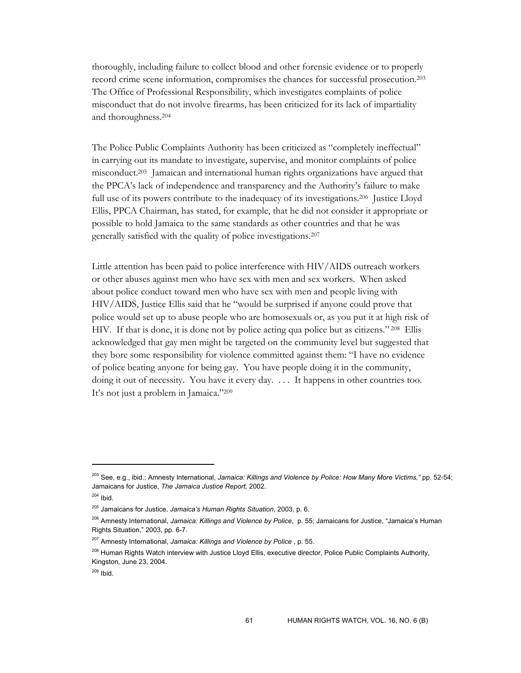thoroughly, including failure to collect blood and other forensic evidence or to properly record crime scene information, compromises the chances for successful prosecution.203 The Office of Professional Responsibility, which investigates complaints of police misconduct that do not involve firearms, has been criticized for its lack of impartiality and thoroughness.204

The Police Public Complaints Authority has been criticized as "completely ineffectual" in carrying out its mandate to investigate, supervise, and monitor complaints of police misconduct.205 Jamaican and international human rights organizations have argued that the PPCA's lack of independence and transparency and the Authority's failure to make full use of its powers contribute to the inadequacy of its investigations.<sup>206</sup> Justice Lloyd Ellis, PPCA Chairman, has stated, for example, that he did not consider it appropriate or possible to hold Jamaica to the same standards as other countries and that he was generally satisfied with the quality of police investigations.207

Little attention has been paid to police interference with HIV/AIDS outreach workers or other abuses against men who have sex with men and sex workers. When asked about police conduct toward men who have sex with men and people living with HIV/AIDS, Justice Ellis said that he "would be surprised if anyone could prove that police would set up to abuse people who are homosexuals or, as you put it at high risk of HIV. If that is done, it is done not by police acting qua police but as citizens." 208 Ellis acknowledged that gay men might be targeted on the community level but suggested that they bore some responsibility for violence committed against them: "I have no evidence of police beating anyone for being gay. You have people doing it in the community, doing it out of necessity. You have it every day. . . . It happens in other countries too. It's not just a problem in Jamaica."209

<sup>203</sup> See, e.g., ibid.; Amnesty International, *Jamaica: Killings and Violence by Police: How Many More Victims,"* pp. 52-54; Jamaicans for Justice, *The Jamaica Justice Report,* 2002.

 $204$  Ibid.

<sup>205</sup> Jamaicans for Justice, *Jamaica's Human Rights Situation,* 2003, p. 6.

<sup>206</sup> Amnesty International, *Jamaica: Killings and Violence by Police*, p. 55; Jamaicans for Justice, "Jamaica's Human Rights Situation," 2003, pp. 6-7.

<sup>207</sup> Amnesty International, *Jamaica: Killings and Violence by Police* , p. 55.

<sup>&</sup>lt;sup>208</sup> Human Rights Watch interview with Justice Lloyd Ellis, executive director, Police Public Complaints Authority, Kingston, June 23, 2004.

<sup>209</sup> Ibid.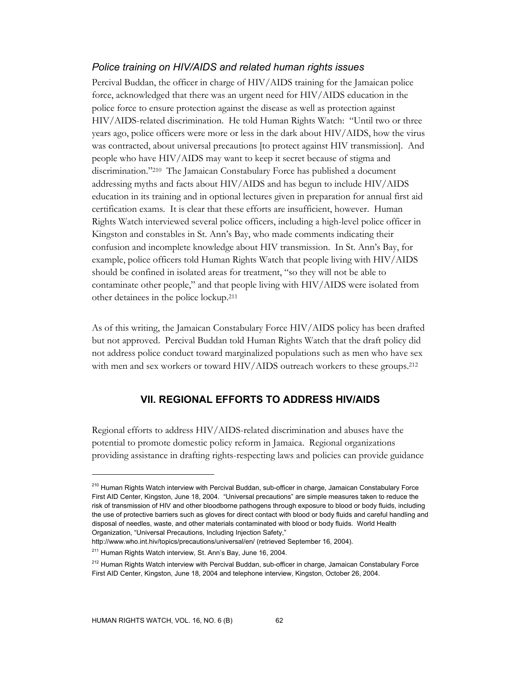### *Police training on HIV/AIDS and related human rights issues*

Percival Buddan, the officer in charge of HIV/AIDS training for the Jamaican police force, acknowledged that there was an urgent need for HIV/AIDS education in the police force to ensure protection against the disease as well as protection against HIV/AIDS-related discrimination. He told Human Rights Watch: "Until two or three years ago, police officers were more or less in the dark about HIV/AIDS, how the virus was contracted, about universal precautions [to protect against HIV transmission]. And people who have HIV/AIDS may want to keep it secret because of stigma and discrimination."210 The Jamaican Constabulary Force has published a document addressing myths and facts about HIV/AIDS and has begun to include HIV/AIDS education in its training and in optional lectures given in preparation for annual first aid certification exams. It is clear that these efforts are insufficient, however. Human Rights Watch interviewed several police officers, including a high-level police officer in Kingston and constables in St. Ann's Bay, who made comments indicating their confusion and incomplete knowledge about HIV transmission. In St. Ann's Bay, for example, police officers told Human Rights Watch that people living with HIV/AIDS should be confined in isolated areas for treatment, "so they will not be able to contaminate other people," and that people living with HIV/AIDS were isolated from other detainees in the police lockup.211

As of this writing, the Jamaican Constabulary Force HIV/AIDS policy has been drafted but not approved. Percival Buddan told Human Rights Watch that the draft policy did not address police conduct toward marginalized populations such as men who have sex with men and sex workers or toward HIV/AIDS outreach workers to these groups.<sup>212</sup>

## **VII. REGIONAL EFFORTS TO ADDRESS HIV/AIDS**

Regional efforts to address HIV/AIDS-related discrimination and abuses have the potential to promote domestic policy reform in Jamaica. Regional organizations providing assistance in drafting rights-respecting laws and policies can provide guidance

<sup>&</sup>lt;sup>210</sup> Human Rights Watch interview with Percival Buddan, sub-officer in charge, Jamaican Constabulary Force First AID Center, Kingston, June 18, 2004. "Universal precautions" are simple measures taken to reduce the risk of transmission of HIV and other bloodborne pathogens through exposure to blood or body fluids, including the use of protective barriers such as gloves for direct contact with blood or body fluids and careful handling and disposal of needles, waste, and other materials contaminated with blood or body fluids. World Health Organization, "Universal Precautions, Including Injection Safety,"

http://www.who.int.hiv/topics/precautions/universal/en/ (retrieved September 16, 2004).

<sup>&</sup>lt;sup>211</sup> Human Rights Watch interview, St. Ann's Bay, June 16, 2004.

<sup>&</sup>lt;sup>212</sup> Human Rights Watch interview with Percival Buddan, sub-officer in charge, Jamaican Constabulary Force First AID Center, Kingston, June 18, 2004 and telephone interview, Kingston, October 26, 2004.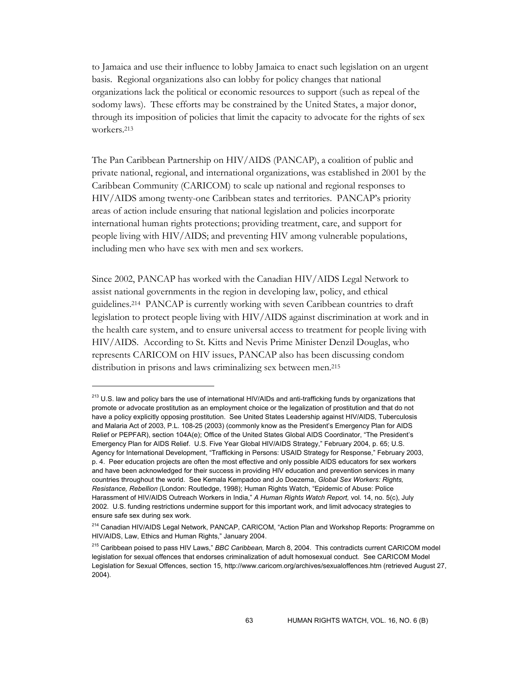to Jamaica and use their influence to lobby Jamaica to enact such legislation on an urgent basis. Regional organizations also can lobby for policy changes that national organizations lack the political or economic resources to support (such as repeal of the sodomy laws). These efforts may be constrained by the United States, a major donor, through its imposition of policies that limit the capacity to advocate for the rights of sex workers.213

The Pan Caribbean Partnership on HIV/AIDS (PANCAP), a coalition of public and private national, regional, and international organizations, was established in 2001 by the Caribbean Community (CARICOM) to scale up national and regional responses to HIV/AIDS among twenty-one Caribbean states and territories. PANCAP's priority areas of action include ensuring that national legislation and policies incorporate international human rights protections; providing treatment, care, and support for people living with HIV/AIDS; and preventing HIV among vulnerable populations, including men who have sex with men and sex workers.

Since 2002, PANCAP has worked with the Canadian HIV/AIDS Legal Network to assist national governments in the region in developing law, policy, and ethical guidelines.214 PANCAP is currently working with seven Caribbean countries to draft legislation to protect people living with HIV/AIDS against discrimination at work and in the health care system, and to ensure universal access to treatment for people living with HIV/AIDS. According to St. Kitts and Nevis Prime Minister Denzil Douglas, who represents CARICOM on HIV issues, PANCAP also has been discussing condom distribution in prisons and laws criminalizing sex between men.215

<sup>&</sup>lt;sup>213</sup> U.S. law and policy bars the use of international HIV/AIDs and anti-trafficking funds by organizations that promote or advocate prostitution as an employment choice or the legalization of prostitution and that do not have a policy explicitly opposing prostitution. See United States Leadership against HIV/AIDS, Tuberculosis and Malaria Act of 2003, P.L. 108-25 (2003) (commonly know as the President's Emergency Plan for AIDS Relief or PEPFAR), section 104A(e); Office of the United States Global AIDS Coordinator, "The President's Emergency Plan for AIDS Relief. U.S. Five Year Global HIV/AIDS Strategy," February 2004, p. 65; U.S. Agency for International Development, "Trafficking in Persons: USAID Strategy for Response," February 2003, p. 4. Peer education projects are often the most effective and only possible AIDS educators for sex workers and have been acknowledged for their success in providing HIV education and prevention services in many countries throughout the world. See Kemala Kempadoo and Jo Doezema, *Global Sex Workers: Rights, Resistance, Rebellion* (London: Routledge, 1998); Human Rights Watch, "Epidemic of Abuse: Police Harassment of HIV/AIDS Outreach Workers in India," *A Human Rights Watch Report,* vol. 14, no. 5(c), July 2002. U.S. funding restrictions undermine support for this important work, and limit advocacy strategies to ensure safe sex during sex work.

<sup>&</sup>lt;sup>214</sup> Canadian HIV/AIDS Legal Network, PANCAP, CARICOM, "Action Plan and Workshop Reports: Programme on HIV/AIDS, Law, Ethics and Human Rights," January 2004.

<sup>215</sup> Caribbean poised to pass HIV Laws," *BBC Caribbean,* March 8, 2004. This contradicts current CARICOM model legislation for sexual offences that endorses criminalization of adult homosexual conduct. See CARICOM Model Legislation for Sexual Offences, section 15, http://www.caricom.org/archives/sexualoffences.htm (retrieved August 27, 2004).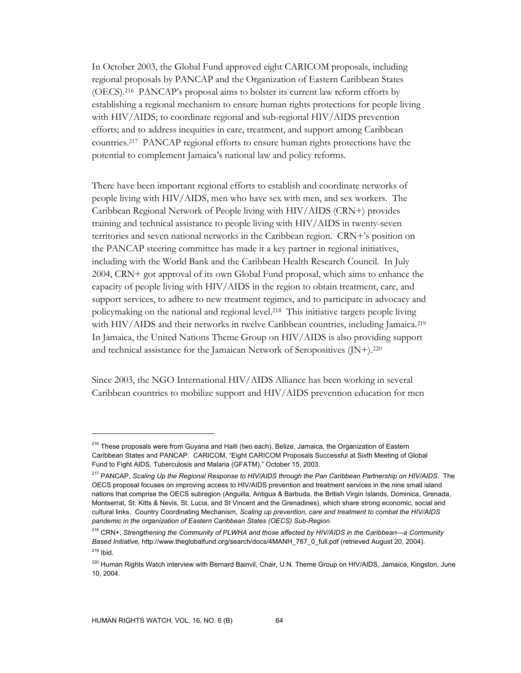In October 2003, the Global Fund approved eight CARICOM proposals, including regional proposals by PANCAP and the Organization of Eastern Caribbean States (OECS).216 PANCAP's proposal aims to bolster its current law reform efforts by establishing a regional mechanism to ensure human rights protections for people living with HIV/AIDS; to coordinate regional and sub-regional HIV/AIDS prevention efforts; and to address inequities in care, treatment, and support among Caribbean countries.217 PANCAP regional efforts to ensure human rights protections have the potential to complement Jamaica's national law and policy reforms.

There have been important regional efforts to establish and coordinate networks of people living with HIV/AIDS, men who have sex with men, and sex workers. The Caribbean Regional Network of People living with HIV/AIDS (CRN+) provides training and technical assistance to people living with HIV/AIDS in twenty-seven territories and seven national networks in the Caribbean region. CRN+'s position on the PANCAP steering committee has made it a key partner in regional initiatives, including with the World Bank and the Caribbean Health Research Council. In July 2004, CRN+ got approval of its own Global Fund proposal, which aims to enhance the capacity of people living with HIV/AIDS in the region to obtain treatment, care, and support services, to adhere to new treatment regimes, and to participate in advocacy and policymaking on the national and regional level.218 This initiative targets people living with HIV/AIDS and their networks in twelve Caribbean countries, including Jamaica.<sup>219</sup> In Jamaica, the United Nations Theme Group on HIV/AIDS is also providing support and technical assistance for the Jamaican Network of Seropositives (JN+).220

Since 2003, the NGO International HIV/AIDS Alliance has been working in several Caribbean countries to mobilize support and HIV/AIDS prevention education for men

 $\ddot{\phantom{a}}$ 

<sup>&</sup>lt;sup>216</sup> These proposals were from Guyana and Haiti (two each), Belize, Jamaica, the Organization of Eastern Caribbean States and PANCAP. CARICOM, "Eight CARICOM Proposals Successful at Sixth Meeting of Global Fund to Fight AIDS, Tuberculosis and Malaria (GFATM)," October 15, 2003.

<sup>217</sup> PANCAP, *Scaling Up the Regional Response to HIV/AIDS through the Pan Caribbean Partnership on HIV/AIDS*. The OECS proposal focuses on improving access to HIV/AIDS prevention and treatment services in the nine small island nations that comprise the OECS subregion (Anguilla, Antigua & Barbuda, the British Virgin Islands, Dominica, Grenada, Montserrat, St. Kitts & Nevis, St. Lucia, and St Vincent and the Grenadines), which share strong economic, social and cultural links. Country Coordinating Mechanism, *Scaling up prevention, care and treatment to combat the HIV/AIDS pandemic in the organization of Eastern Caribbean States (OECS) Sub-Region*.

<sup>218</sup> CRN+, *Strengthening the Community of PLWHA and those affected by HIV/AIDS in the Caribbean—a Community Based Initiative,* http://www.theglobalfund.org/search/docs/4MANH\_767\_0\_full.pdf (retrieved August 20, 2004).  $219$  Ibid.

<sup>&</sup>lt;sup>220</sup> Human Rights Watch interview with Bernard Bainvil, Chair, U.N. Theme Group on HIV/AIDS, Jamaica, Kingston, June 10, 2004.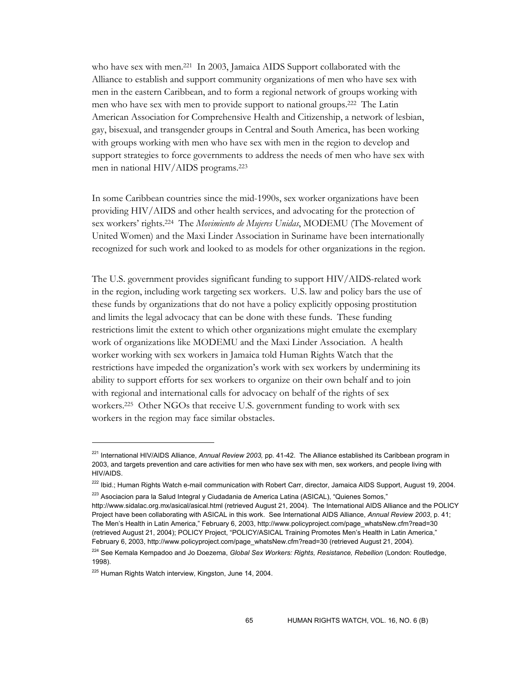who have sex with men.<sup>221</sup> In 2003, Jamaica AIDS Support collaborated with the Alliance to establish and support community organizations of men who have sex with men in the eastern Caribbean, and to form a regional network of groups working with men who have sex with men to provide support to national groups.222 The Latin American Association for Comprehensive Health and Citizenship, a network of lesbian, gay, bisexual, and transgender groups in Central and South America, has been working with groups working with men who have sex with men in the region to develop and support strategies to force governments to address the needs of men who have sex with men in national HIV/AIDS programs.223

In some Caribbean countries since the mid-1990s, sex worker organizations have been providing HIV/AIDS and other health services, and advocating for the protection of sex workers' rights.224 The *Movimiento de Mujeres Unidas*, MODEMU (The Movement of United Women) and the Maxi Linder Association in Suriname have been internationally recognized for such work and looked to as models for other organizations in the region.

The U.S. government provides significant funding to support HIV/AIDS-related work in the region, including work targeting sex workers. U.S. law and policy bars the use of these funds by organizations that do not have a policy explicitly opposing prostitution and limits the legal advocacy that can be done with these funds. These funding restrictions limit the extent to which other organizations might emulate the exemplary work of organizations like MODEMU and the Maxi Linder Association. A health worker working with sex workers in Jamaica told Human Rights Watch that the restrictions have impeded the organization's work with sex workers by undermining its ability to support efforts for sex workers to organize on their own behalf and to join with regional and international calls for advocacy on behalf of the rights of sex workers.225 Other NGOs that receive U.S. government funding to work with sex workers in the region may face similar obstacles.

<sup>221</sup> International HIV/AIDS Alliance, *Annual Review 2003,* pp. 41-42. The Alliance established its Caribbean program in 2003, and targets prevention and care activities for men who have sex with men, sex workers, and people living with HIV/AIDS.

<sup>&</sup>lt;sup>222</sup> Ibid.; Human Rights Watch e-mail communication with Robert Carr, director, Jamaica AIDS Support, August 19, 2004.

<sup>&</sup>lt;sup>223</sup> Asociacion para la Salud Integral y Ciudadania de America Latina (ASICAL), "Quienes Somos,"

http://www.sidalac.org.mx/asical/asical.html (retrieved August 21, 2004). The International AIDS Alliance and the POLICY Project have been collaborating with ASICAL in this work. See International AIDS Alliance, *Annual Review 2003*, p. 41; The Men's Health in Latin America," February 6, 2003, http://www.policyproject.com/page\_whatsNew.cfm?read=30 (retrieved August 21, 2004); POLICY Project, "POLICY/ASICAL Training Promotes Men's Health in Latin America," February 6, 2003, http://www.policyproject.com/page\_whatsNew.cfm?read=30 (retrieved August 21, 2004).

<sup>224</sup> See Kemala Kempadoo and Jo Doezema, *Global Sex Workers: Rights, Resistance, Rebellion* (London: Routledge, 1998).

<sup>&</sup>lt;sup>225</sup> Human Rights Watch interview, Kingston, June 14, 2004.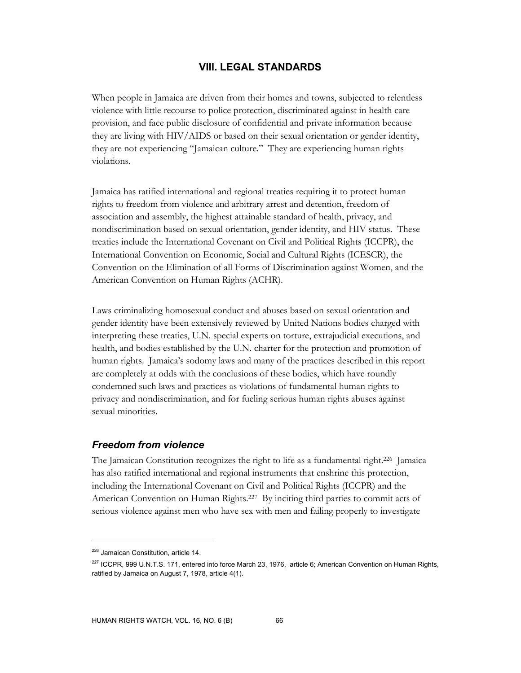## **VIII. LEGAL STANDARDS**

When people in Jamaica are driven from their homes and towns, subjected to relentless violence with little recourse to police protection, discriminated against in health care provision, and face public disclosure of confidential and private information because they are living with HIV/AIDS or based on their sexual orientation or gender identity, they are not experiencing "Jamaican culture." They are experiencing human rights violations.

Jamaica has ratified international and regional treaties requiring it to protect human rights to freedom from violence and arbitrary arrest and detention, freedom of association and assembly, the highest attainable standard of health, privacy, and nondiscrimination based on sexual orientation, gender identity, and HIV status. These treaties include the International Covenant on Civil and Political Rights (ICCPR), the International Convention on Economic, Social and Cultural Rights (ICESCR), the Convention on the Elimination of all Forms of Discrimination against Women, and the American Convention on Human Rights (ACHR).

Laws criminalizing homosexual conduct and abuses based on sexual orientation and gender identity have been extensively reviewed by United Nations bodies charged with interpreting these treaties, U.N. special experts on torture, extrajudicial executions, and health, and bodies established by the U.N. charter for the protection and promotion of human rights. Jamaica's sodomy laws and many of the practices described in this report are completely at odds with the conclusions of these bodies, which have roundly condemned such laws and practices as violations of fundamental human rights to privacy and nondiscrimination, and for fueling serious human rights abuses against sexual minorities.

### *Freedom from violence*

The Jamaican Constitution recognizes the right to life as a fundamental right.226 Jamaica has also ratified international and regional instruments that enshrine this protection, including the International Covenant on Civil and Political Rights (ICCPR) and the American Convention on Human Rights.227 By inciting third parties to commit acts of serious violence against men who have sex with men and failing properly to investigate

<sup>&</sup>lt;sup>226</sup> Jamaican Constitution, article 14.

<sup>&</sup>lt;sup>227</sup> ICCPR, 999 U.N.T.S. 171, entered into force March 23, 1976, article 6; American Convention on Human Rights, ratified by Jamaica on August 7, 1978, article 4(1).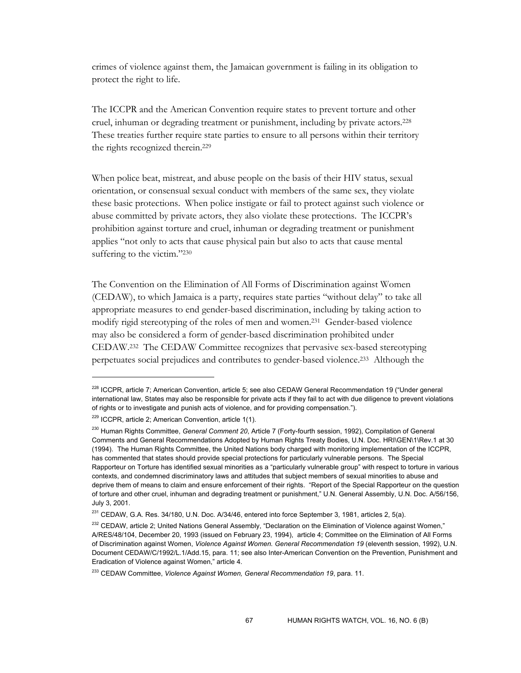crimes of violence against them, the Jamaican government is failing in its obligation to protect the right to life.

The ICCPR and the American Convention require states to prevent torture and other cruel, inhuman or degrading treatment or punishment, including by private actors.228 These treaties further require state parties to ensure to all persons within their territory the rights recognized therein.229

When police beat, mistreat, and abuse people on the basis of their HIV status, sexual orientation, or consensual sexual conduct with members of the same sex, they violate these basic protections. When police instigate or fail to protect against such violence or abuse committed by private actors, they also violate these protections. The ICCPR's prohibition against torture and cruel, inhuman or degrading treatment or punishment applies "not only to acts that cause physical pain but also to acts that cause mental suffering to the victim."230

The Convention on the Elimination of All Forms of Discrimination against Women (CEDAW), to which Jamaica is a party, requires state parties "without delay" to take all appropriate measures to end gender-based discrimination, including by taking action to modify rigid stereotyping of the roles of men and women.231 Gender-based violence may also be considered a form of gender-based discrimination prohibited under CEDAW.232 The CEDAW Committee recognizes that pervasive sex-based stereotyping perpetuates social prejudices and contributes to gender-based violence.233 Although the

<sup>&</sup>lt;sup>228</sup> ICCPR, article 7; American Convention, article 5; see also CEDAW General Recommendation 19 ("Under general international law, States may also be responsible for private acts if they fail to act with due diligence to prevent violations of rights or to investigate and punish acts of violence, and for providing compensation.").

 $229$  ICCPR, article 2; American Convention, article 1(1).

<sup>230</sup> Human Rights Committee, *General Comment 20*, Article 7 (Forty-fourth session, 1992), Compilation of General Comments and General Recommendations Adopted by Human Rights Treaty Bodies, U.N. Doc. HRI\GEN\1\Rev.1 at 30 (1994). The Human Rights Committee, the United Nations body charged with monitoring implementation of the ICCPR, has commented that states should provide special protections for particularly vulnerable persons. The Special Rapporteur on Torture has identified sexual minorities as a "particularly vulnerable group" with respect to torture in various contexts, and condemned discriminatory laws and attitudes that subject members of sexual minorities to abuse and deprive them of means to claim and ensure enforcement of their rights. "Report of the Special Rapporteur on the question of torture and other cruel, inhuman and degrading treatment or punishment," U.N. General Assembly, U.N. Doc. A/56/156, July 3, 2001.

<sup>&</sup>lt;sup>231</sup> CEDAW, G.A. Res. 34/180, U.N. Doc. A/34/46, entered into force September 3, 1981, articles 2, 5(a).

<sup>&</sup>lt;sup>232</sup> CEDAW, article 2; United Nations General Assembly, "Declaration on the Elimination of Violence against Women," A/RES/48/104, December 20, 1993 (issued on February 23, 1994), article 4; Committee on the Elimination of All Forms of Discrimination against Women, *Violence Against Women. General Recommendation 19* (eleventh session, 1992), U.N. Document CEDAW/C/1992/L.1/Add.15, para. 11; see also Inter-American Convention on the Prevention, Punishment and Eradication of Violence against Women," article 4.

<sup>233</sup> CEDAW Committee, *Violence Against Women, General Recommendation 19*, para. 11.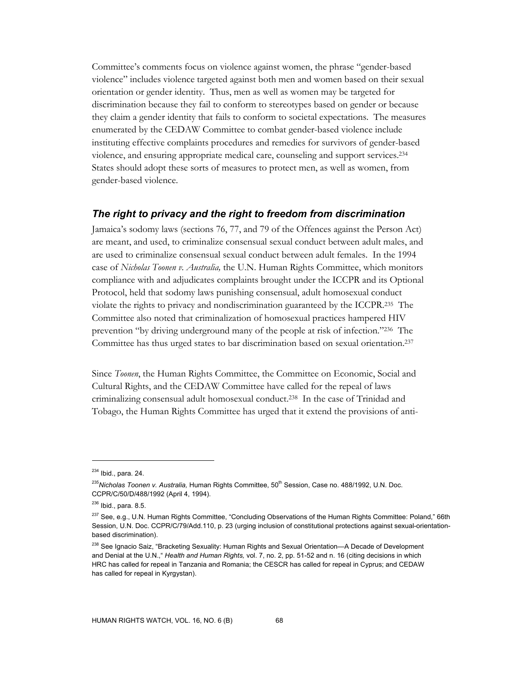Committee's comments focus on violence against women, the phrase "gender-based violence" includes violence targeted against both men and women based on their sexual orientation or gender identity. Thus, men as well as women may be targeted for discrimination because they fail to conform to stereotypes based on gender or because they claim a gender identity that fails to conform to societal expectations. The measures enumerated by the CEDAW Committee to combat gender-based violence include instituting effective complaints procedures and remedies for survivors of gender-based violence, and ensuring appropriate medical care, counseling and support services.234 States should adopt these sorts of measures to protect men, as well as women, from gender-based violence.

### *The right to privacy and the right to freedom from discrimination*

Jamaica's sodomy laws (sections 76, 77, and 79 of the Offences against the Person Act) are meant, and used, to criminalize consensual sexual conduct between adult males, and are used to criminalize consensual sexual conduct between adult females. In the 1994 case of *Nicholas Toonen v. Australia,* the U.N. Human Rights Committee, which monitors compliance with and adjudicates complaints brought under the ICCPR and its Optional Protocol, held that sodomy laws punishing consensual, adult homosexual conduct violate the rights to privacy and nondiscrimination guaranteed by the ICCPR.235 The Committee also noted that criminalization of homosexual practices hampered HIV prevention "by driving underground many of the people at risk of infection."236 The Committee has thus urged states to bar discrimination based on sexual orientation.237

Since *Toonen*, the Human Rights Committee, the Committee on Economic, Social and Cultural Rights, and the CEDAW Committee have called for the repeal of laws criminalizing consensual adult homosexual conduct.238 In the case of Trinidad and Tobago, the Human Rights Committee has urged that it extend the provisions of anti-

<sup>234</sup> Ibid., para. 24.

<sup>&</sup>lt;sup>235</sup>Nicholas Toonen v. Australia, Human Rights Committee, 50<sup>th</sup> Session, Case no. 488/1992, U.N. Doc. CCPR/C/50/D/488/1992 (April 4, 1994).

 $236$  Ibid., para. 8.5.

<sup>&</sup>lt;sup>237</sup> See, e.g., U.N. Human Rights Committee, "Concluding Observations of the Human Rights Committee: Poland," 66th Session, U.N. Doc. CCPR/C/79/Add.110, p. 23 (urging inclusion of constitutional protections against sexual-orientationbased discrimination).

<sup>&</sup>lt;sup>238</sup> See Ignacio Saiz, "Bracketing Sexuality: Human Rights and Sexual Orientation—A Decade of Development and Denial at the U.N.," *Health and Human Rights,* vol. 7, no. 2, pp. 51-52 and n. 16 (citing decisions in which HRC has called for repeal in Tanzania and Romania; the CESCR has called for repeal in Cyprus; and CEDAW has called for repeal in Kyrgystan).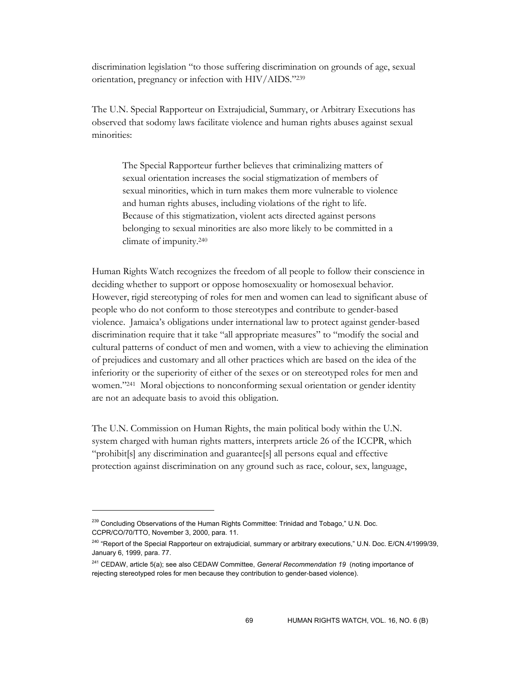discrimination legislation "to those suffering discrimination on grounds of age, sexual orientation, pregnancy or infection with HIV/AIDS."239

The U.N. Special Rapporteur on Extrajudicial, Summary, or Arbitrary Executions has observed that sodomy laws facilitate violence and human rights abuses against sexual minorities:

The Special Rapporteur further believes that criminalizing matters of sexual orientation increases the social stigmatization of members of sexual minorities, which in turn makes them more vulnerable to violence and human rights abuses, including violations of the right to life. Because of this stigmatization, violent acts directed against persons belonging to sexual minorities are also more likely to be committed in a climate of impunity.240

Human Rights Watch recognizes the freedom of all people to follow their conscience in deciding whether to support or oppose homosexuality or homosexual behavior. However, rigid stereotyping of roles for men and women can lead to significant abuse of people who do not conform to those stereotypes and contribute to gender-based violence. Jamaica's obligations under international law to protect against gender-based discrimination require that it take "all appropriate measures" to "modify the social and cultural patterns of conduct of men and women, with a view to achieving the elimination of prejudices and customary and all other practices which are based on the idea of the inferiority or the superiority of either of the sexes or on stereotyped roles for men and women."<sup>241</sup> Moral objections to nonconforming sexual orientation or gender identity are not an adequate basis to avoid this obligation.

The U.N. Commission on Human Rights, the main political body within the U.N. system charged with human rights matters, interprets article 26 of the ICCPR, which "prohibit[s] any discrimination and guarantee[s] all persons equal and effective protection against discrimination on any ground such as race, colour, sex, language,

<sup>&</sup>lt;sup>239</sup> Concluding Observations of the Human Rights Committee: Trinidad and Tobago," U.N. Doc. CCPR/CO/70/TTO, November 3, 2000, para. 11.

<sup>&</sup>lt;sup>240</sup> "Report of the Special Rapporteur on extrajudicial, summary or arbitrary executions," U.N. Doc. E/CN.4/1999/39, January 6, 1999, para. 77.

<sup>241</sup> CEDAW, article 5(a); see also CEDAW Committee, *General Recommendation 19* (noting importance of rejecting stereotyped roles for men because they contribution to gender-based violence).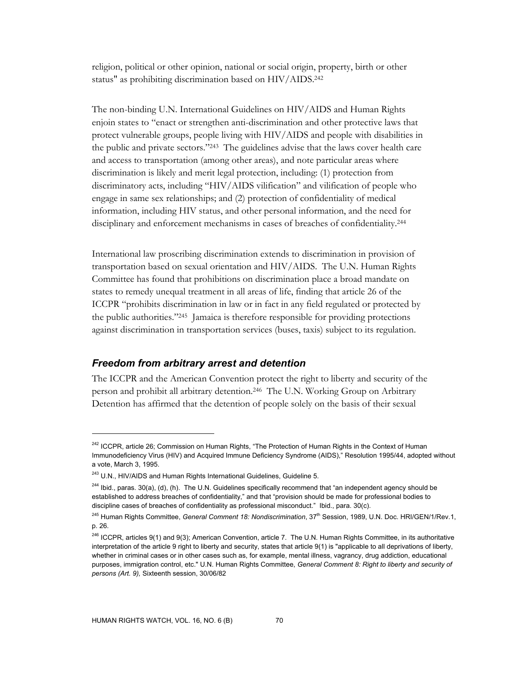religion, political or other opinion, national or social origin, property, birth or other status" as prohibiting discrimination based on HIV/AIDS.242

The non-binding U.N. International Guidelines on HIV/AIDS and Human Rights enjoin states to "enact or strengthen anti-discrimination and other protective laws that protect vulnerable groups, people living with HIV/AIDS and people with disabilities in the public and private sectors."243 The guidelines advise that the laws cover health care and access to transportation (among other areas), and note particular areas where discrimination is likely and merit legal protection, including: (1) protection from discriminatory acts, including "HIV/AIDS vilification" and vilification of people who engage in same sex relationships; and (2) protection of confidentiality of medical information, including HIV status, and other personal information, and the need for disciplinary and enforcement mechanisms in cases of breaches of confidentiality.244

International law proscribing discrimination extends to discrimination in provision of transportation based on sexual orientation and HIV/AIDS. The U.N. Human Rights Committee has found that prohibitions on discrimination place a broad mandate on states to remedy unequal treatment in all areas of life, finding that article 26 of the ICCPR "prohibits discrimination in law or in fact in any field regulated or protected by the public authorities."245 Jamaica is therefore responsible for providing protections against discrimination in transportation services (buses, taxis) subject to its regulation.

### *Freedom from arbitrary arrest and detention*

The ICCPR and the American Convention protect the right to liberty and security of the person and prohibit all arbitrary detention.246 The U.N. Working Group on Arbitrary Detention has affirmed that the detention of people solely on the basis of their sexual

<sup>&</sup>lt;sup>242</sup> ICCPR, article 26; Commission on Human Rights, "The Protection of Human Rights in the Context of Human Immunodeficiency Virus (HIV) and Acquired Immune Deficiency Syndrome (AIDS)," Resolution 1995/44, adopted without a vote, March 3, 1995.

 $243$  U.N., HIV/AIDS and Human Rights International Guidelines, Guideline 5.

 $244$  Ibid., paras. 30(a), (d), (h). The U.N. Guidelines specifically recommend that "an independent agency should be established to address breaches of confidentiality," and that "provision should be made for professional bodies to discipline cases of breaches of confidentiality as professional misconduct." Ibid., para. 30(c).

<sup>245</sup> Human Rights Committee, *General Comment 18: Nondiscrimination*, 37th Session, 1989, U.N. Doc. HRI/GEN/1/Rev.1, p. 26.

<sup>&</sup>lt;sup>246</sup> ICCPR, articles 9(1) and 9(3); American Convention, article 7. The U.N. Human Rights Committee, in its authoritative interpretation of the article 9 right to liberty and security, states that article 9(1) is "applicable to all deprivations of liberty, whether in criminal cases or in other cases such as, for example, mental illness, vagrancy, drug addiction, educational purposes, immigration control, etc." U.N. Human Rights Committee, *General Comment 8: Right to liberty and security of persons (Art. 9),* Sixteenth session, 30/06/82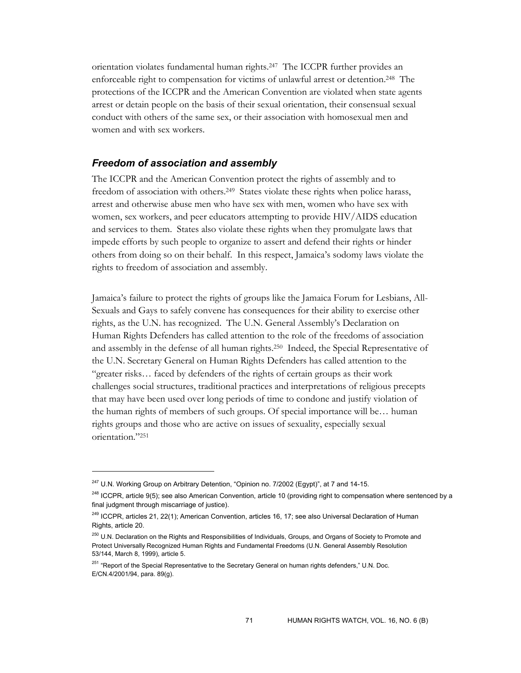orientation violates fundamental human rights.247 The ICCPR further provides an enforceable right to compensation for victims of unlawful arrest or detention.248 The protections of the ICCPR and the American Convention are violated when state agents arrest or detain people on the basis of their sexual orientation, their consensual sexual conduct with others of the same sex, or their association with homosexual men and women and with sex workers.

## *Freedom of association and assembly*

The ICCPR and the American Convention protect the rights of assembly and to freedom of association with others.<sup>249</sup> States violate these rights when police harass, arrest and otherwise abuse men who have sex with men, women who have sex with women, sex workers, and peer educators attempting to provide HIV/AIDS education and services to them. States also violate these rights when they promulgate laws that impede efforts by such people to organize to assert and defend their rights or hinder others from doing so on their behalf. In this respect, Jamaica's sodomy laws violate the rights to freedom of association and assembly.

Jamaica's failure to protect the rights of groups like the Jamaica Forum for Lesbians, All-Sexuals and Gays to safely convene has consequences for their ability to exercise other rights, as the U.N. has recognized. The U.N. General Assembly's Declaration on Human Rights Defenders has called attention to the role of the freedoms of association and assembly in the defense of all human rights.250 Indeed, the Special Representative of the U.N. Secretary General on Human Rights Defenders has called attention to the "greater risks… faced by defenders of the rights of certain groups as their work challenges social structures, traditional practices and interpretations of religious precepts that may have been used over long periods of time to condone and justify violation of the human rights of members of such groups. Of special importance will be… human rights groups and those who are active on issues of sexuality, especially sexual orientation."251

 $247$  U.N. Working Group on Arbitrary Detention, "Opinion no. 7/2002 (Egypt)", at 7 and 14-15.

<sup>&</sup>lt;sup>248</sup> ICCPR, article 9(5); see also American Convention, article 10 (providing right to compensation where sentenced by a final judgment through miscarriage of justice).

<sup>&</sup>lt;sup>249</sup> ICCPR, articles 21, 22(1); American Convention, articles 16, 17; see also Universal Declaration of Human Rights, article 20.

<sup>&</sup>lt;sup>250</sup> U.N. Declaration on the Rights and Responsibilities of Individuals, Groups, and Organs of Society to Promote and Protect Universally Recognized Human Rights and Fundamental Freedoms (U.N. General Assembly Resolution 53/144, March 8, 1999), article 5.

<sup>&</sup>lt;sup>251</sup> "Report of the Special Representative to the Secretary General on human rights defenders," U.N. Doc. E/CN.4/2001/94, para. 89(g).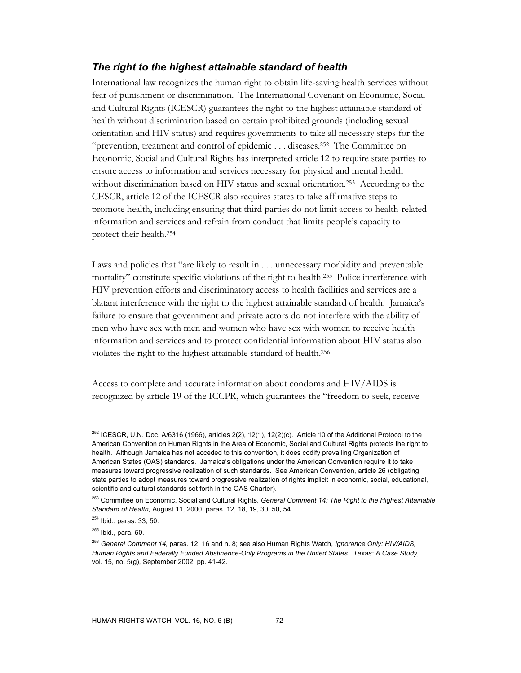# *The right to the highest attainable standard of health*

International law recognizes the human right to obtain life-saving health services without fear of punishment or discrimination. The International Covenant on Economic, Social and Cultural Rights (ICESCR) guarantees the right to the highest attainable standard of health without discrimination based on certain prohibited grounds (including sexual orientation and HIV status) and requires governments to take all necessary steps for the "prevention, treatment and control of epidemic . . . diseases.252 The Committee on Economic, Social and Cultural Rights has interpreted article 12 to require state parties to ensure access to information and services necessary for physical and mental health without discrimination based on HIV status and sexual orientation.253 According to the CESCR, article 12 of the ICESCR also requires states to take affirmative steps to promote health, including ensuring that third parties do not limit access to health-related information and services and refrain from conduct that limits people's capacity to protect their health.254

Laws and policies that "are likely to result in . . . unnecessary morbidity and preventable mortality" constitute specific violations of the right to health.255 Police interference with HIV prevention efforts and discriminatory access to health facilities and services are a blatant interference with the right to the highest attainable standard of health. Jamaica's failure to ensure that government and private actors do not interfere with the ability of men who have sex with men and women who have sex with women to receive health information and services and to protect confidential information about HIV status also violates the right to the highest attainable standard of health.256

Access to complete and accurate information about condoms and HIV/AIDS is recognized by article 19 of the ICCPR, which guarantees the "freedom to seek, receive

-

<sup>&</sup>lt;sup>252</sup> ICESCR, U.N. Doc. A/6316 (1966), articles 2(2), 12(1), 12(2)(c). Article 10 of the Additional Protocol to the American Convention on Human Rights in the Area of Economic, Social and Cultural Rights protects the right to health. Although Jamaica has not acceded to this convention, it does codify prevailing Organization of American States (OAS) standards. Jamaica's obligations under the American Convention require it to take measures toward progressive realization of such standards. See American Convention, article 26 (obligating state parties to adopt measures toward progressive realization of rights implicit in economic, social, educational, scientific and cultural standards set forth in the OAS Charter).

<sup>253</sup> Committee on Economic, Social and Cultural Rights, *General Comment 14: The Right to the Highest Attainable Standard of Health,* August 11, 2000, paras. 12, 18, 19, 30, 50, 54.

<sup>254</sup> Ibid., paras. 33, 50.

 $255$  Ibid., para. 50.

<sup>256</sup> *General Comment 14*, paras. 12, 16 and n. 8; see also Human Rights Watch, *Ignorance Only: HIV/AIDS, Human Rights and Federally Funded Abstinence-Only Programs in the United States. Texas: A Case Study,*  vol. 15, no. 5(g), September 2002, pp. 41-42.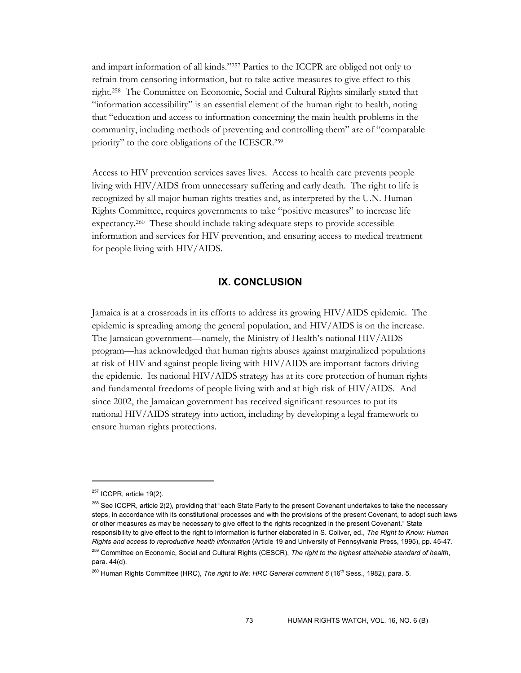and impart information of all kinds."257 Parties to the ICCPR are obliged not only to refrain from censoring information, but to take active measures to give effect to this right.258 The Committee on Economic, Social and Cultural Rights similarly stated that "information accessibility" is an essential element of the human right to health, noting that "education and access to information concerning the main health problems in the community, including methods of preventing and controlling them" are of "comparable priority" to the core obligations of the ICESCR.259

Access to HIV prevention services saves lives. Access to health care prevents people living with HIV/AIDS from unnecessary suffering and early death. The right to life is recognized by all major human rights treaties and, as interpreted by the U.N. Human Rights Committee, requires governments to take "positive measures" to increase life expectancy.260 These should include taking adequate steps to provide accessible information and services for HIV prevention, and ensuring access to medical treatment for people living with HIV/AIDS.

## **IX. CONCLUSION**

Jamaica is at a crossroads in its efforts to address its growing HIV/AIDS epidemic. The epidemic is spreading among the general population, and HIV/AIDS is on the increase. The Jamaican government—namely, the Ministry of Health's national HIV/AIDS program—has acknowledged that human rights abuses against marginalized populations at risk of HIV and against people living with HIV/AIDS are important factors driving the epidemic. Its national HIV/AIDS strategy has at its core protection of human rights and fundamental freedoms of people living with and at high risk of HIV/AIDS. And since 2002, the Jamaican government has received significant resources to put its national HIV/AIDS strategy into action, including by developing a legal framework to ensure human rights protections.

 $\ddot{\phantom{a}}$ 

 $257$  ICCPR, article 19(2).

<sup>&</sup>lt;sup>258</sup> See ICCPR, article 2(2), providing that "each State Party to the present Covenant undertakes to take the necessary steps, in accordance with its constitutional processes and with the provisions of the present Covenant, to adopt such laws or other measures as may be necessary to give effect to the rights recognized in the present Covenant." State responsibility to give effect to the right to information is further elaborated in S. Coliver, ed., *The Right to Know: Human Rights and access to reproductive health information* (Article 19 and University of Pennsylvania Press, 1995), pp. 45-47.

<sup>259</sup> Committee on Economic, Social and Cultural Rights (CESCR), *The right to the highest attainable standard of health*, para. 44(d).

<sup>&</sup>lt;sup>260</sup> Human Rights Committee (HRC), *The right to life: HRC General comment 6* (16<sup>th</sup> Sess., 1982), para. 5.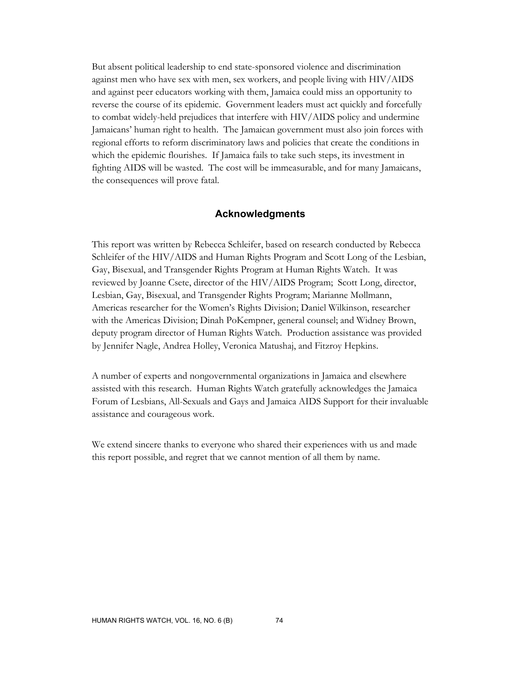But absent political leadership to end state-sponsored violence and discrimination against men who have sex with men, sex workers, and people living with HIV/AIDS and against peer educators working with them, Jamaica could miss an opportunity to reverse the course of its epidemic. Government leaders must act quickly and forcefully to combat widely-held prejudices that interfere with HIV/AIDS policy and undermine Jamaicans' human right to health. The Jamaican government must also join forces with regional efforts to reform discriminatory laws and policies that create the conditions in which the epidemic flourishes. If Jamaica fails to take such steps, its investment in fighting AIDS will be wasted. The cost will be immeasurable, and for many Jamaicans, the consequences will prove fatal.

## **Acknowledgments**

This report was written by Rebecca Schleifer, based on research conducted by Rebecca Schleifer of the HIV/AIDS and Human Rights Program and Scott Long of the Lesbian, Gay, Bisexual, and Transgender Rights Program at Human Rights Watch. It was reviewed by Joanne Csete, director of the HIV/AIDS Program; Scott Long, director, Lesbian, Gay, Bisexual, and Transgender Rights Program; Marianne Møllmann, Americas researcher for the Women's Rights Division; Daniel Wilkinson, researcher with the Americas Division; Dinah PoKempner, general counsel; and Widney Brown, deputy program director of Human Rights Watch. Production assistance was provided by Jennifer Nagle, Andrea Holley, Veronica Matushaj, and Fitzroy Hepkins.

A number of experts and nongovernmental organizations in Jamaica and elsewhere assisted with this research. Human Rights Watch gratefully acknowledges the Jamaica Forum of Lesbians, All-Sexuals and Gays and Jamaica AIDS Support for their invaluable assistance and courageous work.

We extend sincere thanks to everyone who shared their experiences with us and made this report possible, and regret that we cannot mention of all them by name.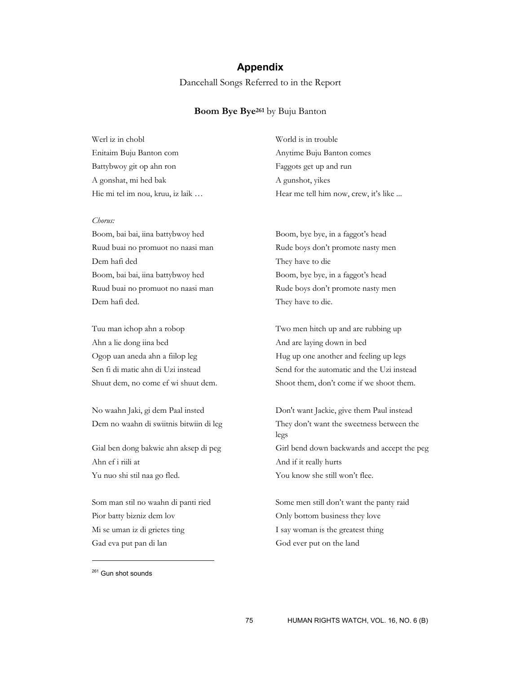## **Appendix**

Dancehall Songs Referred to in the Report

### **Boom Bye Bye261** by Buju Banton

| Werl iz in chobl                 | World is in trouble                   |
|----------------------------------|---------------------------------------|
| Enitaim Buju Banton com          | Anytime Buju Banton comes             |
| Battybwoy git op ahn ron         | Faggots get up and run                |
| A gonshat, mi hed bak            | A gunshot, vikes                      |
| Hie mi tel im nou, kruu, iz laik | Hear me tell him now, crew, it's like |

#### *Chorus:*

Boom, bai bai, iina battybwoy hed Boom, bye bye, in a faggot's head Ruud buai no promuot no naasi man Rude boys don't promote nasty men Dem hafi ded They have to die Boom, bai bai, iina battybwoy hed Boom, bye bye, in a faggot's head Ruud buai no promuot no naasi man Rude boys don't promote nasty men Dem hafi ded. They have to die.

Ahn a lie dong iina bed And are laying down in bed

Ahn ef i riili at And if it really hurts Yu nuo shi stil naa go fled. You know she still won't flee.

Pior batty bizniz dem lov Only bottom business they love Mi se uman iz di grietes ting I say woman is the greatest thing Gad eva put pan di lan God ever put on the land

Tuu man ichop ahn a robop Two men hitch up and are rubbing up Ogop uan aneda ahn a fiilop leg Hug up one another and feeling up legs Sen fi di matic ahn di Uzi instead Send for the automatic and the Uzi instead Shuut dem, no come ef wi shuut dem. Shoot them, don't come if we shoot them.

No waahn Jaki, gi dem Paal insted Don't want Jackie, give them Paul instead Dem no waahn di swiitnis bitwiin di leg They don't want the sweetness between the legs Gial ben dong bakwie ahn aksep di peg Girl bend down backwards and accept the peg

Som man stil no waahn di panti ried Some men still don't want the panty raid

<sup>&</sup>lt;sup>261</sup> Gun shot sounds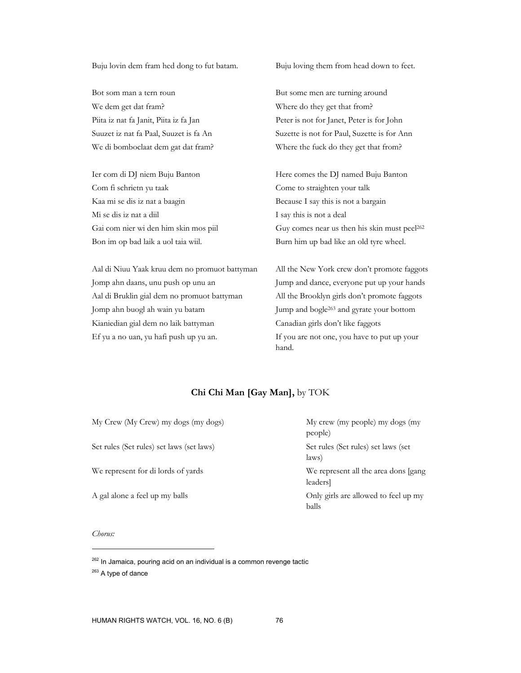Buju lovin dem fram hed dong to fut batam. Buju loving them from head down to feet.

Bot som man a tern roun But some men are turning around We dem get dat fram? Where do they get that from?

Com fi schrietn yu taak Come to straighten your talk Kaa mi se dis iz nat a baagin Because I say this is not a bargain Mi se dis iz nat a diil I say this is not a deal

Aal di Niuu Yaak kruu dem no promuot battyman All the New York crew don't promote faggots Jomp ahn daans, unu push op unu an Jump and dance, everyone put up your hands Aal di Bruklin gial dem no promuot battyman All the Brooklyn girls don't promote faggots Jomp ahn buogl ah wain yu batam Jump and bogle263 and gyrate your bottom Kianiedian gial dem no laik battyman Canadian girls don't like faggots Ef yu a no uan, yu hafi push up yu an. If you are not one, you have to put up your

Piita iz nat fa Janit, Piita iz fa Jan Peter is not for Janet, Peter is for John Suuzet iz nat fa Paal, Suuzet is fa An Suzette is not for Paul, Suzette is for Ann We di bomboclaat dem gat dat fram? Where the fuck do they get that from?

Ier com di DJ niem Buju Banton Here comes the DJ named Buju Banton Gai com nier wi den him skin mos piil Guy comes near us then his skin must peel<sup>262</sup> Bon im op bad laik a uol taia wiil. Burn him up bad like an old tyre wheel.

hand.

## **Chi Chi Man [Gay Man],** by TOK

| My Crew (My Crew) my dogs (my dogs)       | My crew (my people) my dogs (my<br>people)       |
|-------------------------------------------|--------------------------------------------------|
| Set rules (Set rules) set laws (set laws) | Set rules (Set rules) set laws (set<br>laws)     |
| We represent for di lords of yards        | We represent all the area dons [gang]<br>leaders |
| A gal alone a feel up my balls            | Only girls are allowed to feel up my<br>balls    |

#### *Chorus:*

<sup>&</sup>lt;sup>262</sup> In Jamaica, pouring acid on an individual is a common revenge tactic <sup>263</sup> A type of dance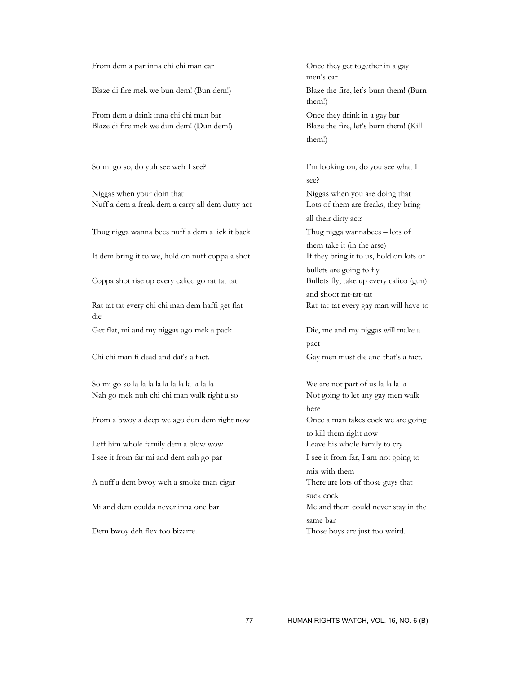From dem a par inna chi chi man car Once they get together in a gay

Blaze di fire mek we bun dem! (Bun dem!) Blaze the fire, let's burn them! (Burn

From dem a drink inna chi chi man bar Once they drink in a gay bar Blaze di fire mek we dun dem! (Dun dem!) Blaze the fire, let's burn them! (Kill

So mi go so, do yuh see weh I see? I'm looking on, do you see what I

Niggas when your doin that Niggas when you are doing that Nuff a dem a freak dem a carry all dem dutty act Lots of them are freaks, they bring

Thug nigga wanna bees nuff a dem a lick it back Thug nigga wannabees – lots of

It dem bring it to we, hold on nuff coppa a shot If they bring it to us, hold on lots of

Coppa shot rise up every calico go rat tat tat Bullets fly, take up every calico (gun)

Rat tat tat every chi chi man dem haffi get flat Rat-tat-tat every gay man will have to die

Get flat, mi and my niggas ago mek a pack Die, me and my niggas will make a

So mi go so la la la la la la la la la la la We are not part of us la la la la Nah go mek nuh chi chi man walk right a so Not going to let any gay men walk

From a bwoy a deep we ago dun dem right now Once a man takes cock we are going

Leff him whole family dem a blow wow Leave his whole family to cry I see it from far mi and dem nah go par I see it from far, I am not going to

A nuff a dem bwoy weh a smoke man cigar There are lots of those guys that

men's car them!) them!)

 see? all their dirty acts them take it (in the arse) bullets are going to fly and shoot rat-tat-tat

pact and the pact of the state of the state of the state of the state of the state of the state of the state of the state of the state of the state of the state of the state of the state of the state of the state of the st Chi chi man fi dead and dat's a fact. Gay men must die and that's a fact.

here where the contract of the contract of the contract of the contract of the contract of the contract of the contract of the contract of the contract of the contract of the contract of the contract of the contract of the to kill them right now mix with them suck cock Mi and dem coulda never inna one bar Me and them could never stay in the same bar Dem bwoy deh flex too bizarre. Those boys are just too weird.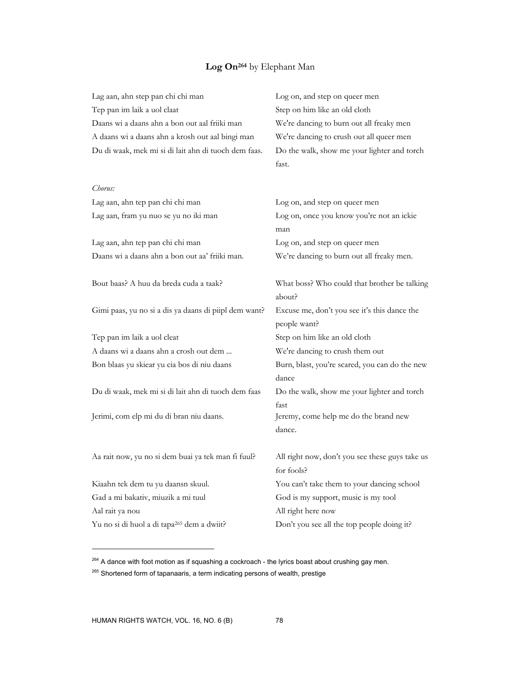# **Log On264** by Elephant Man

| Lag aan, ahn step pan chi chi man                      | Log on, and step on queer men                                |
|--------------------------------------------------------|--------------------------------------------------------------|
| Tep pan im laik a uol claat                            | Step on him like an old cloth                                |
| Daans wi a daans ahn a bon out aal friiki man          | We're dancing to burn out all freaky men                     |
| A daans wi a daans ahn a krosh out aal bingi man       | We're dancing to crush out all queer men                     |
| Du di waak, mek mi si di lait ahn di tuoch dem faas.   | Do the walk, show me your lighter and torch                  |
|                                                        | fast.                                                        |
| Chorus:                                                |                                                              |
| Lag aan, ahn tep pan chi chi man                       | Log on, and step on queer men                                |
| Lag aan, fram yu nuo se yu no iki man                  | Log on, once you know you're not an ickie                    |
|                                                        | man                                                          |
| Lag aan, ahn tep pan chi chi man                       | Log on, and step on queer men                                |
| Daans wi a daans ahn a bon out aa' friiki man.         | We're dancing to burn out all freaky men.                    |
| Bout baas? A huu da breda cuda a taak?                 | What boss? Who could that brother be talking<br>about?       |
| Gimi paas, yu no si a dis ya daans di piipl dem want?  | Excuse me, don't you see it's this dance the<br>people want? |
| Tep pan im laik a uol cleat                            | Step on him like an old cloth                                |
| A daans wi a daans ahn a crosh out dem                 | We're dancing to crush them out                              |
| Bon blaas yu skiear yu cia bos di niu daans            | Burn, blast, you're scared, you can do the new<br>dance      |
| Du di waak, mek mi si di lait ahn di tuoch dem faas    | Do the walk, show me your lighter and torch                  |
|                                                        | fast                                                         |
| Jerimi, com elp mi du di bran niu daans.               | Jeremy, come help me do the brand new                        |
|                                                        | dance.                                                       |
| Aa rait now, yu no si dem buai ya tek man fi fuul?     | All right now, don't you see these guys take us              |
|                                                        | for fools?                                                   |
| Kiaahn tek dem tu yu daansn skuul.                     | You can't take them to your dancing school                   |
| Gad a mi bakativ, miuzik a mi tuul                     | God is my support, music is my tool                          |
| Aal rait ya nou                                        | All right here now                                           |
| Yu no si di huol a di tapa <sup>265</sup> dem a dwiit? | Don't you see all the top people doing it?                   |

 $264$  A dance with foot motion as if squashing a cockroach - the lyrics boast about crushing gay men.

 $265$  Shortened form of tapanaaris, a term indicating persons of wealth, prestige